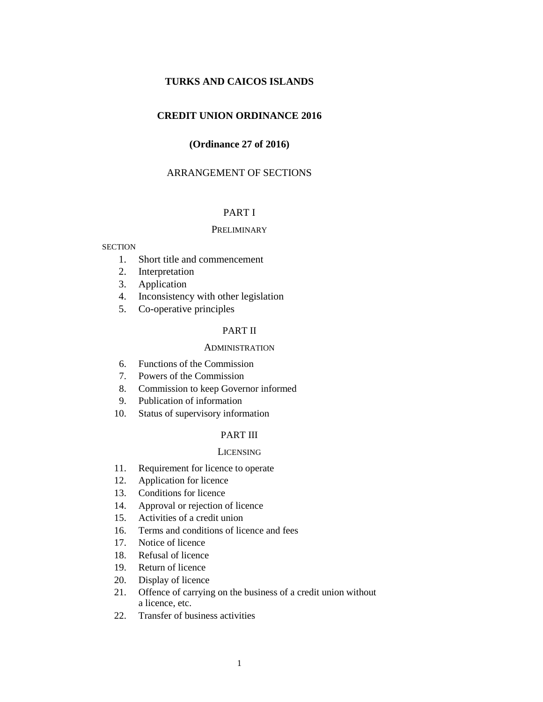# **TURKS AND CAICOS ISLANDS**

# **CREDIT UNION ORDINANCE 2016**

# **(Ordinance 27 of 2016)**

# ARRANGEMENT OF SECTIONS

# PART I

#### **PRELIMINARY**

#### **SECTION**

- 1. Short title and commencement
- 2. Interpretation
- 3. Application
- 4. Inconsistency with other legislation
- 5. Co-operative principles

### PART II

# **ADMINISTRATION**

- 6. Functions of the Commission
- 7. Powers of the Commission
- 8. Commission to keep Governor informed
- 9. Publication of information
- 10. Status of supervisory information

# PART III

### **LICENSING**

- 11. Requirement for licence to operate
- 12. Application for licence
- 13. Conditions for licence
- 14. Approval or rejection of licence
- 15. Activities of a credit union
- 16. Terms and conditions of licence and fees
- 17. Notice of licence
- 18. Refusal of licence
- 19. Return of licence
- 20. Display of licence
- 21. Offence of carrying on the business of a credit union without a licence, etc.
- 22. Transfer of business activities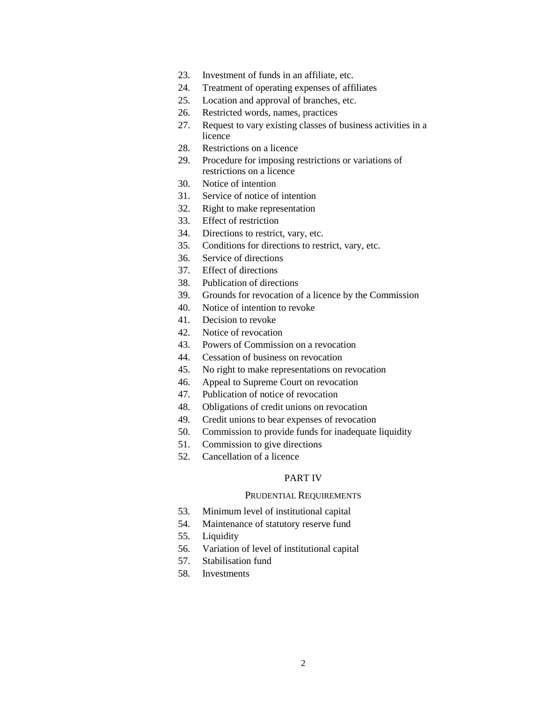- 23. Investment of funds in an affiliate, etc.
- 24. Treatment of operating expenses of affiliates
- 25. Location and approval of branches, etc.
- 26. Restricted words, names, practices
- 27. Request to vary existing classes of business activities in a licence
- 28. Restrictions on a licence
- 29. Procedure for imposing restrictions or variations of restrictions on a licence
- 30. Notice of intention
- 31. Service of notice of intention
- 32. Right to make representation
- 33. Effect of restriction
- 34. Directions to restrict, vary, etc.
- 35. Conditions for directions to restrict, vary, etc.
- 36. Service of directions
- 37. Effect of directions
- 38. Publication of directions
- 39. Grounds for revocation of a licence by the Commission
- 40. Notice of intention to revoke
- 41. Decision to revoke
- 42. Notice of revocation
- 43. Powers of Commission on a revocation
- 44. Cessation of business on revocation
- 45. No right to make representations on revocation
- 46. Appeal to Supreme Court on revocation
- 47. Publication of notice of revocation
- 48. Obligations of credit unions on revocation
- 49. Credit unions to bear expenses of revocation
- 50. Commission to provide funds for inadequate liquidity
- 51. Commission to give directions
- 52. Cancellation of a licence

# PART IV

#### PRUDENTIAL REQUIREMENTS

- 53. Minimum level of institutional capital
- 54. Maintenance of statutory reserve fund
- 55. Liquidity
- 56. Variation of level of institutional capital
- 57. Stabilisation fund
- 58. Investments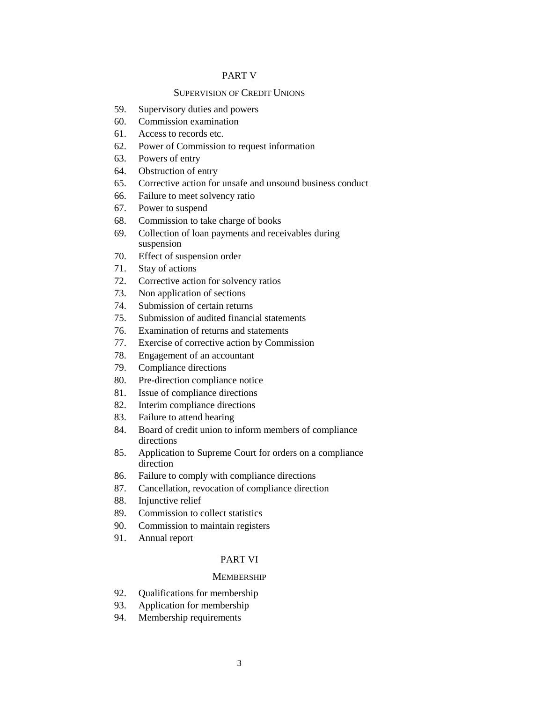# PART V

# SUPERVISION OF CREDIT UNIONS

- 59. Supervisory duties and powers
- 60. Commission examination
- 61. Access to records etc.
- 62. Power of Commission to request information
- 63. Powers of entry
- 64. Obstruction of entry
- 65. Corrective action for unsafe and unsound business conduct
- 66. Failure to meet solvency ratio
- 67. Power to suspend
- 68. Commission to take charge of books
- 69. Collection of loan payments and receivables during suspension
- 70. Effect of suspension order
- 71. Stay of actions
- 72. Corrective action for solvency ratios
- 73. Non application of sections
- 74. Submission of certain returns
- 75. Submission of audited financial statements
- 76. Examination of returns and statements
- 77. Exercise of corrective action by Commission
- 78. Engagement of an accountant
- 79. Compliance directions
- 80. Pre-direction compliance notice
- 81. Issue of compliance directions
- 82. Interim compliance directions
- 83. Failure to attend hearing
- 84. Board of credit union to inform members of compliance directions
- 85. Application to Supreme Court for orders on a compliance direction
- 86. Failure to comply with compliance directions
- 87. Cancellation, revocation of compliance direction
- 88. Injunctive relief
- 89. Commission to collect statistics
- 90. Commission to maintain registers
- 91. Annual report

#### PART VI

# **MEMBERSHIP**

- 92. Qualifications for membership
- 93. Application for membership
- 94. Membership requirements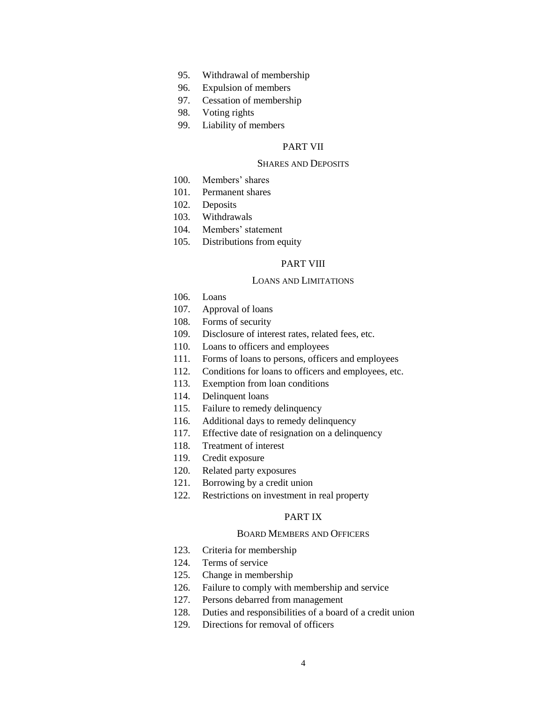- 95. Withdrawal of membership
- 96. Expulsion of members
- 97. Cessation of membership
- 98. Voting rights
- 99. Liability of members

# PART VII

### SHARES AND DEPOSITS

- 100. Members' shares
- 101. Permanent shares
- 102. Deposits
- 103. Withdrawals
- 104. Members' statement
- 105. Distributions from equity

# PART VIII

### LOANS AND LIMITATIONS

- 106. Loans
- 107. Approval of loans
- 108. Forms of security
- 109. Disclosure of interest rates, related fees, etc.
- 110. Loans to officers and employees
- 111. Forms of loans to persons, officers and employees
- 112. Conditions for loans to officers and employees, etc.
- 113. Exemption from loan conditions
- 114. Delinquent loans
- 115. Failure to remedy delinquency
- 116. Additional days to remedy delinquency
- 117. Effective date of resignation on a delinquency
- 118. Treatment of interest
- 119. Credit exposure
- 120. Related party exposures
- 121. Borrowing by a credit union
- 122. Restrictions on investment in real property

# PART IX

# BOARD MEMBERS AND OFFICERS

- 123. Criteria for membership
- 124. Terms of service
- 125. Change in membership
- 126. Failure to comply with membership and service
- 127. Persons debarred from management
- 128. Duties and responsibilities of a board of a credit union
- 129. Directions for removal of officers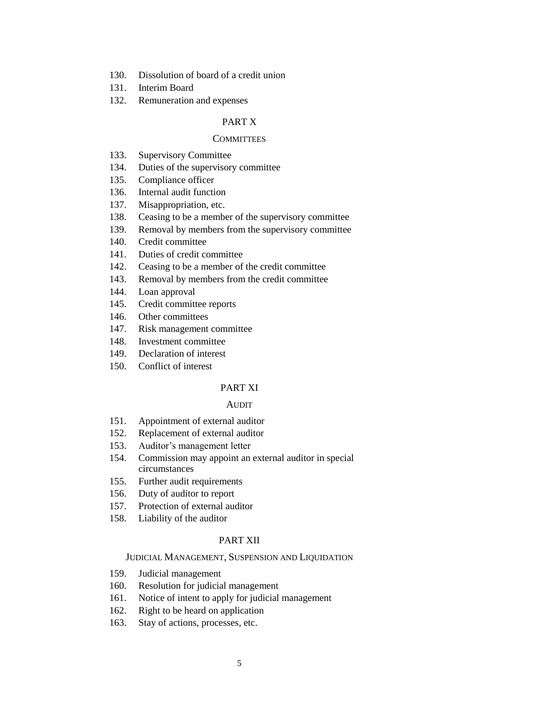- 130. Dissolution of board of a credit union
- 131. Interim Board
- 132. Remuneration and expenses

# PART X

# **COMMITTEES**

- 133. Supervisory Committee
- 134. Duties of the supervisory committee
- 135. Compliance officer
- 136. Internal audit function
- 137. Misappropriation, etc.
- 138. Ceasing to be a member of the supervisory committee
- 139. Removal by members from the supervisory committee
- 140. Credit committee
- 141. Duties of credit committee
- 142. Ceasing to be a member of the credit committee
- 143. Removal by members from the credit committee
- 144. Loan approval
- 145. Credit committee reports
- 146. Other committees
- 147. Risk management committee
- 148. Investment committee
- 149. Declaration of interest
- 150. Conflict of interest

# PART XI

#### AUDIT

- 151. Appointment of external auditor
- 152. Replacement of external auditor
- 153. Auditor's management letter
- 154. Commission may appoint an external auditor in special circumstances
- 155. Further audit requirements
- 156. Duty of auditor to report
- 157. Protection of external auditor
- 158. Liability of the auditor

# PART XII

# JUDICIAL MANAGEMENT, SUSPENSION AND LIQUIDATION

- 159. Judicial management
- 160. Resolution for judicial management
- 161. Notice of intent to apply for judicial management
- 162. Right to be heard on application
- 163. Stay of actions, processes, etc.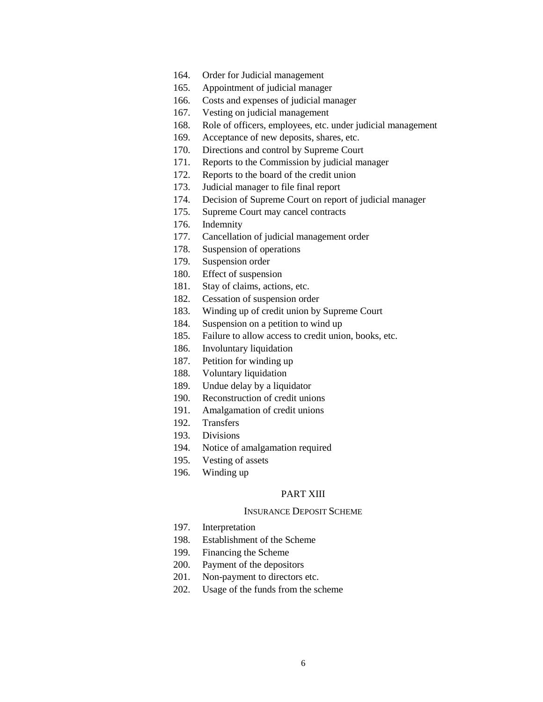- 164. Order for Judicial management
- 165. Appointment of judicial manager
- 166. Costs and expenses of judicial manager
- 167. Vesting on judicial management
- 168. Role of officers, employees, etc. under judicial management
- 169. Acceptance of new deposits, shares, etc.
- 170. Directions and control by Supreme Court
- 171. Reports to the Commission by judicial manager
- 172. Reports to the board of the credit union
- 173. Judicial manager to file final report
- 174. Decision of Supreme Court on report of judicial manager
- 175. Supreme Court may cancel contracts
- 176. Indemnity
- 177. Cancellation of judicial management order
- 178. Suspension of operations
- 179. Suspension order
- 180. Effect of suspension
- 181. Stay of claims, actions, etc.
- 182. Cessation of suspension order
- 183. Winding up of credit union by Supreme Court
- 184. Suspension on a petition to wind up
- 185. Failure to allow access to credit union, books, etc.
- 186. Involuntary liquidation
- 187. Petition for winding up
- 188. Voluntary liquidation
- 189. Undue delay by a liquidator
- 190. Reconstruction of credit unions
- 191. Amalgamation of credit unions
- 192. Transfers
- 193. Divisions
- 194. Notice of amalgamation required
- 195. Vesting of assets
- 196. Winding up

# PART XIII

# INSURANCE DEPOSIT SCHEME

- 197. Interpretation
- 198. Establishment of the Scheme
- 199. Financing the Scheme
- 200. Payment of the depositors
- 201. Non-payment to directors etc.
- 202. Usage of the funds from the scheme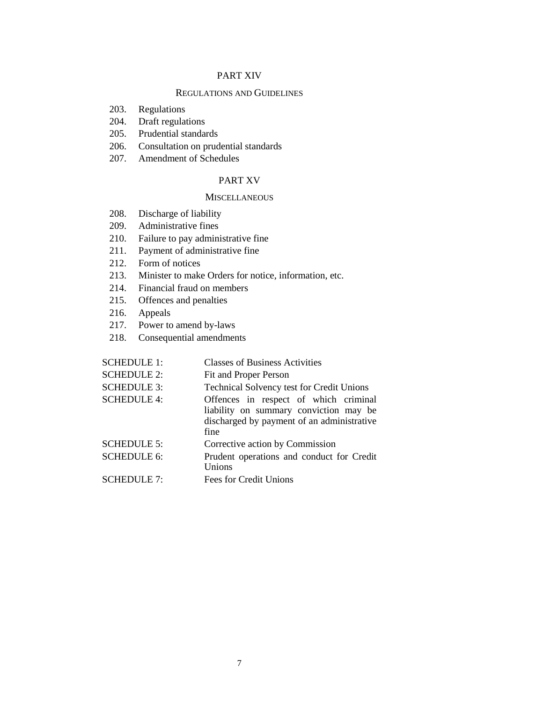# PART XIV

# REGULATIONS AND GUIDELINES

- 203. Regulations
- 204. Draft regulations
- 205. Prudential standards
- 206. Consultation on prudential standards
- 207. Amendment of Schedules

# PART XV

### **MISCELLANEOUS**

- 208. Discharge of liability
- 209. Administrative fines
- 210. Failure to pay administrative fine
- 211. Payment of administrative fine
- 212. Form of notices
- 213. Minister to make Orders for notice, information, etc.
- 214. Financial fraud on members
- 215. Offences and penalties
- 216. Appeals
- 217. Power to amend by-laws
- 218. Consequential amendments

| <b>SCHEDULE 1:</b> | <b>Classes of Business Activities</b>                                                                                                 |
|--------------------|---------------------------------------------------------------------------------------------------------------------------------------|
| <b>SCHEDULE 2:</b> | Fit and Proper Person                                                                                                                 |
| <b>SCHEDULE 3:</b> | <b>Technical Solvency test for Credit Unions</b>                                                                                      |
| <b>SCHEDULE 4:</b> | Offences in respect of which criminal<br>liability on summary conviction may be<br>discharged by payment of an administrative<br>fine |
| <b>SCHEDULE 5:</b> | Corrective action by Commission                                                                                                       |
| <b>SCHEDULE 6:</b> | Prudent operations and conduct for Credit<br>Unions                                                                                   |
| <b>SCHEDULE 7:</b> | Fees for Credit Unions                                                                                                                |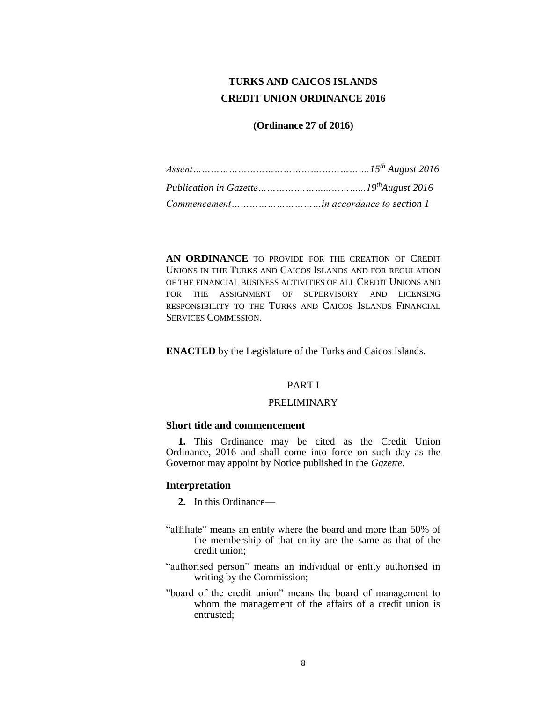# **TURKS AND CAICOS ISLANDS CREDIT UNION ORDINANCE 2016**

# **(Ordinance 27 of 2016)**

**AN ORDINANCE** TO PROVIDE FOR THE CREATION OF CREDIT UNIONS IN THE TURKS AND CAICOS ISLANDS AND FOR REGULATION OF THE FINANCIAL BUSINESS ACTIVITIES OF ALL CREDIT UNIONS AND FOR THE ASSIGNMENT OF SUPERVISORY AND LICENSING RESPONSIBILITY TO THE TURKS AND CAICOS ISLANDS FINANCIAL SERVICES COMMISSION.

**ENACTED** by the Legislature of the Turks and Caicos Islands.

# PART I

# PRELIMINARY

# **Short title and commencement**

**1.** This Ordinance may be cited as the Credit Union Ordinance, 2016 and shall come into force on such day as the Governor may appoint by Notice published in the *Gazette*.

# **Interpretation**

- **2.** In this Ordinance—
- "affiliate" means an entity where the board and more than 50% of the membership of that entity are the same as that of the credit union;
- "authorised person" means an individual or entity authorised in writing by the Commission;
- "board of the credit union" means the board of management to whom the management of the affairs of a credit union is entrusted;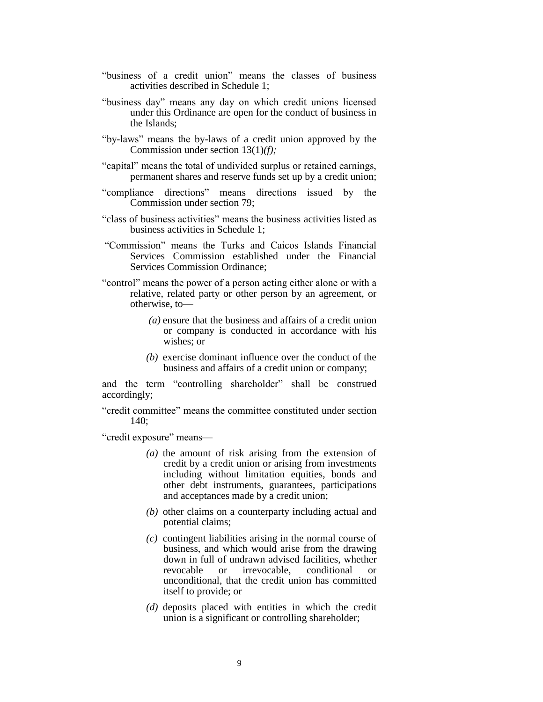- "business of a credit union" means the classes of business activities described in Schedule 1;
- "business day" means any day on which credit unions licensed under this Ordinance are open for the conduct of business in the Islands;
- "by-laws" means the by-laws of a credit union approved by the Commission under section 13(1)*(f);*
- "capital" means the total of undivided surplus or retained earnings, permanent shares and reserve funds set up by a credit union;
- "compliance directions" means directions issued by the Commission under section 79;
- "class of business activities" means the business activities listed as business activities in Schedule 1;
- "Commission" means the Turks and Caicos Islands Financial Services Commission established under the Financial Services Commission Ordinance;
- "control" means the power of a person acting either alone or with a relative, related party or other person by an agreement, or otherwise, to—
	- *(a)* ensure that the business and affairs of a credit union or company is conducted in accordance with his wishes: or
	- *(b)* exercise dominant influence over the conduct of the business and affairs of a credit union or company;

and the term "controlling shareholder" shall be construed accordingly;

"credit committee" means the committee constituted under section 140;

"credit exposure" means—

- *(a)* the amount of risk arising from the extension of credit by a credit union or arising from investments including without limitation equities, bonds and other debt instruments, guarantees, participations and acceptances made by a credit union;
- *(b)* other claims on a counterparty including actual and potential claims;
- *(c)* contingent liabilities arising in the normal course of business, and which would arise from the drawing down in full of undrawn advised facilities, whether revocable or irrevocable, conditional or unconditional, that the credit union has committed itself to provide; or
- *(d)* deposits placed with entities in which the credit union is a significant or controlling shareholder;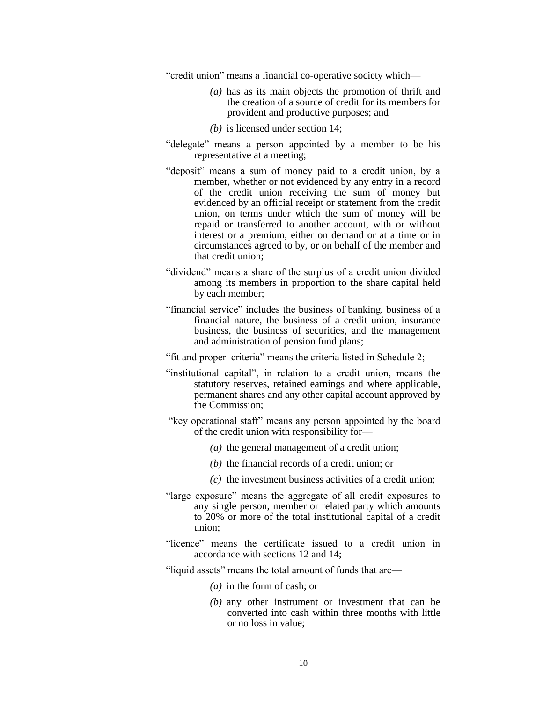"credit union" means a financial co-operative society which—

- *(a)* has as its main objects the promotion of thrift and the creation of a source of credit for its members for provident and productive purposes; and
- *(b)* is licensed under section 14;
- "delegate" means a person appointed by a member to be his representative at a meeting;
- "deposit" means a sum of money paid to a credit union, by a member, whether or not evidenced by any entry in a record of the credit union receiving the sum of money but evidenced by an official receipt or statement from the credit union, on terms under which the sum of money will be repaid or transferred to another account, with or without interest or a premium, either on demand or at a time or in circumstances agreed to by, or on behalf of the member and that credit union;
- "dividend" means a share of the surplus of a credit union divided among its members in proportion to the share capital held by each member;
- "financial service" includes the business of banking, business of a financial nature, the business of a credit union, insurance business, the business of securities, and the management and administration of pension fund plans;
- "fit and proper criteria" means the criteria listed in Schedule 2;
- "institutional capital", in relation to a credit union, means the statutory reserves, retained earnings and where applicable, permanent shares and any other capital account approved by the Commission;
- "key operational staff" means any person appointed by the board of the credit union with responsibility for—
	- *(a)* the general management of a credit union;
	- *(b)* the financial records of a credit union; or
	- *(c)* the investment business activities of a credit union;
- "large exposure" means the aggregate of all credit exposures to any single person, member or related party which amounts to 20% or more of the total institutional capital of a credit union;
- "licence" means the certificate issued to a credit union in accordance with sections 12 and 14;
- "liquid assets" means the total amount of funds that are—
	- *(a)* in the form of cash; or
	- *(b)* any other instrument or investment that can be converted into cash within three months with little or no loss in value;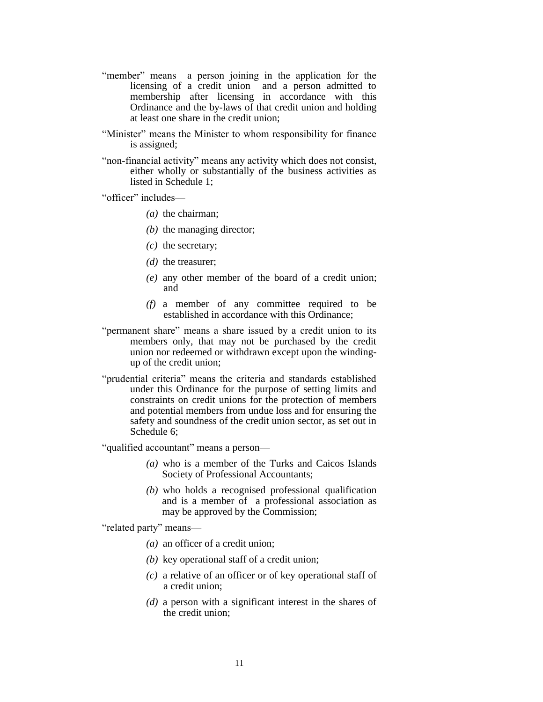- "member" means a person joining in the application for the licensing of a credit union and a person admitted to membership after licensing in accordance with this Ordinance and the by-laws of that credit union and holding at least one share in the credit union;
- "Minister" means the Minister to whom responsibility for finance is assigned;
- "non-financial activity" means any activity which does not consist, either wholly or substantially of the business activities as listed in Schedule 1;

"officer" includes—

- *(a)* the chairman;
- *(b)* the managing director;
- *(c)* the secretary;
- *(d)* the treasurer;
- *(e)* any other member of the board of a credit union; and
- *(f)* a member of any committee required to be established in accordance with this Ordinance;
- "permanent share" means a share issued by a credit union to its members only, that may not be purchased by the credit union nor redeemed or withdrawn except upon the windingup of the credit union;
- "prudential criteria" means the criteria and standards established under this Ordinance for the purpose of setting limits and constraints on credit unions for the protection of members and potential members from undue loss and for ensuring the safety and soundness of the credit union sector, as set out in Schedule 6;

"qualified accountant" means a person—

- *(a)* who is a member of the Turks and Caicos Islands Society of Professional Accountants;
- *(b)* who holds a recognised professional qualification and is a member of a professional association as may be approved by the Commission;

"related party" means—

- *(a)* an officer of a credit union;
- *(b)* key operational staff of a credit union;
- *(c)* a relative of an officer or of key operational staff of a credit union;
- *(d)* a person with a significant interest in the shares of the credit union;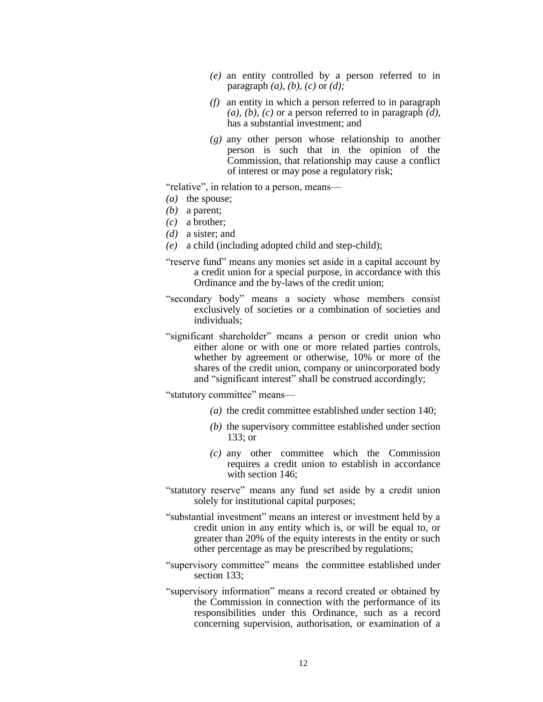- *(e)* an entity controlled by a person referred to in paragraph *(a), (b), (c)* or *(d);*
- *(f)* an entity in which a person referred to in paragraph *(a), (b), (c)* or a person referred to in paragraph *(d)*, has a substantial investment; and
- *(g)* any other person whose relationship to another person is such that in the opinion of the Commission, that relationship may cause a conflict of interest or may pose a regulatory risk;

"relative", in relation to a person, means—

- *(a)* the spouse;
- *(b)* a parent;
- *(c)* a brother;
- *(d)* a sister; and
- *(e)* a child (including adopted child and step-child);
- "reserve fund" means any monies set aside in a capital account by a credit union for a special purpose, in accordance with this Ordinance and the by-laws of the credit union;
- "secondary body" means a society whose members consist exclusively of societies or a combination of societies and individuals;
- "significant shareholder" means a person or credit union who either alone or with one or more related parties controls, whether by agreement or otherwise, 10% or more of the shares of the credit union, company or unincorporated body and "significant interest" shall be construed accordingly;

"statutory committee" means—

- *(a)* the credit committee established under section 140;
- *(b)* the supervisory committee established under section 133; or
- *(c)* any other committee which the Commission requires a credit union to establish in accordance with section 146;
- "statutory reserve" means any fund set aside by a credit union solely for institutional capital purposes;
- "substantial investment" means an interest or investment held by a credit union in any entity which is, or will be equal to, or greater than 20% of the equity interests in the entity or such other percentage as may be prescribed by regulations;
- "supervisory committee" means the committee established under section 133;
- "supervisory information" means a record created or obtained by the Commission in connection with the performance of its responsibilities under this Ordinance, such as a record concerning supervision, authorisation, or examination of a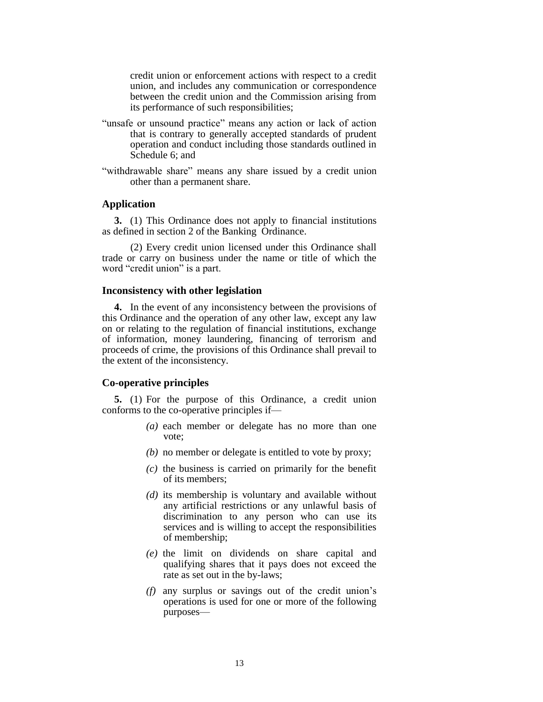credit union or enforcement actions with respect to a credit union, and includes any communication or correspondence between the credit union and the Commission arising from its performance of such responsibilities;

- "unsafe or unsound practice" means any action or lack of action that is contrary to generally accepted standards of prudent operation and conduct including those standards outlined in Schedule 6; and
- "withdrawable share" means any share issued by a credit union other than a permanent share.

# **Application**

**3.** (1) This Ordinance does not apply to financial institutions as defined in section 2 of the Banking Ordinance.

(2) Every credit union licensed under this Ordinance shall trade or carry on business under the name or title of which the word "credit union" is a part.

#### **Inconsistency with other legislation**

**4.** In the event of any inconsistency between the provisions of this Ordinance and the operation of any other law, except any law on or relating to the regulation of financial institutions, exchange of information, money laundering, financing of terrorism and proceeds of crime, the provisions of this Ordinance shall prevail to the extent of the inconsistency.

# **Co-operative principles**

**5.** (1) For the purpose of this Ordinance, a credit union conforms to the co-operative principles if—

- *(a)* each member or delegate has no more than one vote;
- *(b)* no member or delegate is entitled to vote by proxy;
- *(c)* the business is carried on primarily for the benefit of its members;
- *(d)* its membership is voluntary and available without any artificial restrictions or any unlawful basis of discrimination to any person who can use its services and is willing to accept the responsibilities of membership;
- *(e)* the limit on dividends on share capital and qualifying shares that it pays does not exceed the rate as set out in the by-laws;
- *(f)* any surplus or savings out of the credit union's operations is used for one or more of the following purposes—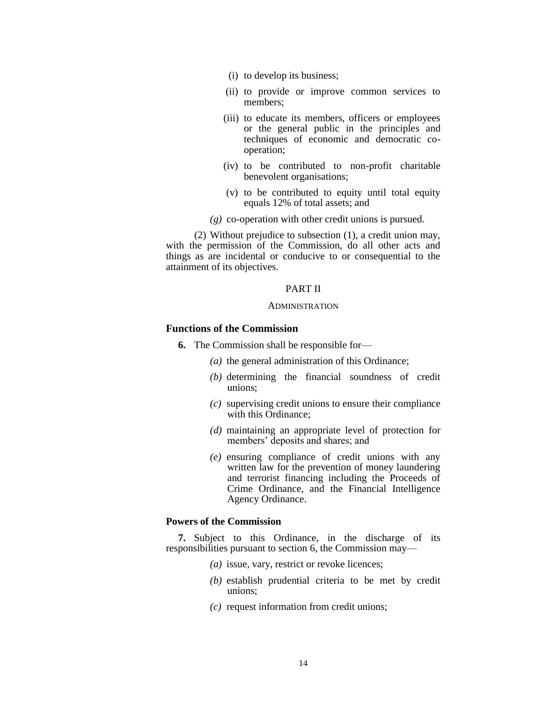- (i) to develop its business;
- (ii) to provide or improve common services to members;
- (iii) to educate its members, officers or employees or the general public in the principles and techniques of economic and democratic cooperation;
- (iv) to be contributed to non-profit charitable benevolent organisations;
- (v) to be contributed to equity until total equity equals 12% of total assets; and
- *(g)* co-operation with other credit unions is pursued.

(2) Without prejudice to subsection (1), a credit union may, with the permission of the Commission, do all other acts and things as are incidental or conducive to or consequential to the attainment of its objectives.

### PART II

### ADMINISTRATION

# **Functions of the Commission**

- **6.** The Commission shall be responsible for—
	- *(a)* the general administration of this Ordinance;
	- *(b)* determining the financial soundness of credit unions;
	- *(c)* supervising credit unions to ensure their compliance with this Ordinance;
	- *(d)* maintaining an appropriate level of protection for members' deposits and shares; and
	- *(e)* ensuring compliance of credit unions with any written law for the prevention of money laundering and terrorist financing including the Proceeds of Crime Ordinance, and the Financial Intelligence Agency Ordinance.

# **Powers of the Commission**

**7.** Subject to this Ordinance, in the discharge of its responsibilities pursuant to section 6, the Commission may—

- *(a)* issue, vary, restrict or revoke licences;
- *(b)* establish prudential criteria to be met by credit unions;
- *(c)* request information from credit unions;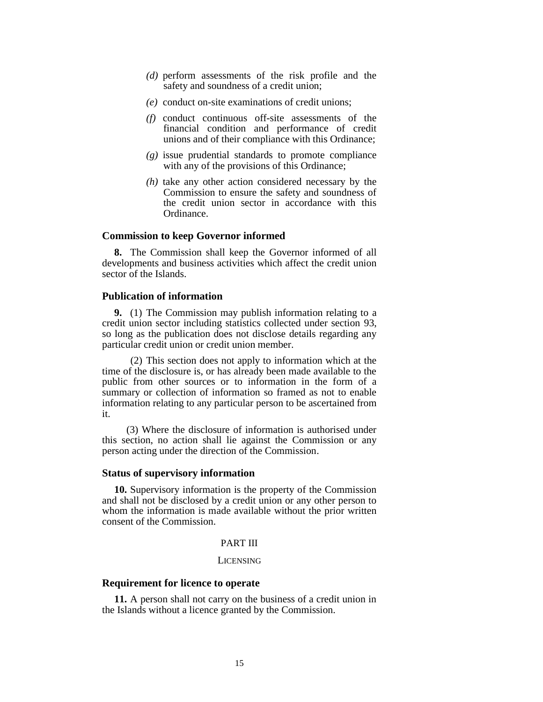- *(d)* perform assessments of the risk profile and the safety and soundness of a credit union;
- *(e)* conduct on-site examinations of credit unions;
- *(f)* conduct continuous off-site assessments of the financial condition and performance of credit unions and of their compliance with this Ordinance;
- *(g)* issue prudential standards to promote compliance with any of the provisions of this Ordinance;
- *(h)* take any other action considered necessary by the Commission to ensure the safety and soundness of the credit union sector in accordance with this Ordinance.

#### **Commission to keep Governor informed**

**8.** The Commission shall keep the Governor informed of all developments and business activities which affect the credit union sector of the Islands.

# **Publication of information**

**9.** (1) The Commission may publish information relating to a credit union sector including statistics collected under section 93, so long as the publication does not disclose details regarding any particular credit union or credit union member.

(2) This section does not apply to information which at the time of the disclosure is, or has already been made available to the public from other sources or to information in the form of a summary or collection of information so framed as not to enable information relating to any particular person to be ascertained from it.

(3) Where the disclosure of information is authorised under this section, no action shall lie against the Commission or any person acting under the direction of the Commission.

### **Status of supervisory information**

**10.** Supervisory information is the property of the Commission and shall not be disclosed by a credit union or any other person to whom the information is made available without the prior written consent of the Commission.

# PART III

# LICENSING

### **Requirement for licence to operate**

**11.** A person shall not carry on the business of a credit union in the Islands without a licence granted by the Commission.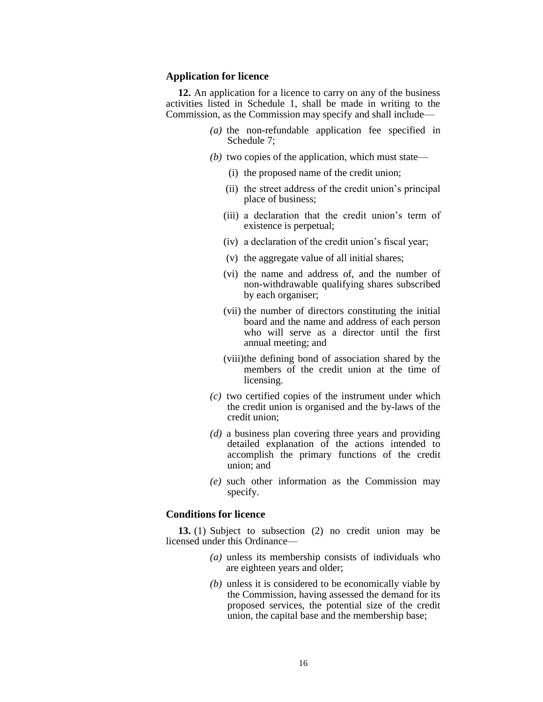### **Application for licence**

**12.** An application for a licence to carry on any of the business activities listed in Schedule 1, shall be made in writing to the Commission, as the Commission may specify and shall include—

- *(a)* the non-refundable application fee specified in Schedule 7;
- *(b)* two copies of the application, which must state—
	- (i) the proposed name of the credit union;
	- (ii) the street address of the credit union's principal place of business;
	- (iii) a declaration that the credit union's term of existence is perpetual;
	- (iv) a declaration of the credit union's fiscal year;
	- (v) the aggregate value of all initial shares;
	- (vi) the name and address of, and the number of non-withdrawable qualifying shares subscribed by each organiser;
	- (vii) the number of directors constituting the initial board and the name and address of each person who will serve as a director until the first annual meeting; and
	- (viii)the defining bond of association shared by the members of the credit union at the time of licensing.
- *(c)* two certified copies of the instrument under which the credit union is organised and the by-laws of the credit union;
- *(d)* a business plan covering three years and providing detailed explanation of the actions intended to accomplish the primary functions of the credit union; and
- *(e)* such other information as the Commission may specify.

# **Conditions for licence**

**13.** (1) Subject to subsection (2) no credit union may be licensed under this Ordinance—

- *(a)* unless its membership consists of individuals who are eighteen years and older;
- *(b)* unless it is considered to be economically viable by the Commission, having assessed the demand for its proposed services, the potential size of the credit union, the capital base and the membership base;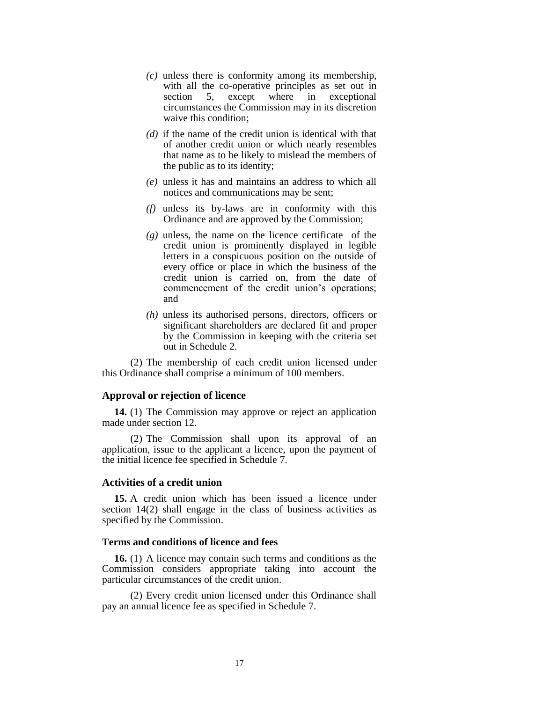- *(c)* unless there is conformity among its membership, with all the co-operative principles as set out in section 5, except where in exceptional circumstances the Commission may in its discretion waive this condition;
- *(d)* if the name of the credit union is identical with that of another credit union or which nearly resembles that name as to be likely to mislead the members of the public as to its identity;
- *(e)* unless it has and maintains an address to which all notices and communications may be sent;
- *(f)* unless its by-laws are in conformity with this Ordinance and are approved by the Commission;
- *(g)* unless, the name on the licence certificate of the credit union is prominently displayed in legible letters in a conspicuous position on the outside of every office or place in which the business of the credit union is carried on, from the date of commencement of the credit union's operations; and
- *(h)* unless its authorised persons, directors, officers or significant shareholders are declared fit and proper by the Commission in keeping with the criteria set out in Schedule 2.

(2) The membership of each credit union licensed under this Ordinance shall comprise a minimum of 100 members.

### **Approval or rejection of licence**

**14.** (1) The Commission may approve or reject an application made under section 12.

(2) The Commission shall upon its approval of an application, issue to the applicant a licence, upon the payment of the initial licence fee specified in Schedule 7.

# **Activities of a credit union**

**15.** A credit union which has been issued a licence under section 14(2) shall engage in the class of business activities as specified by the Commission.

### **Terms and conditions of licence and fees**

**16.** (1) A licence may contain such terms and conditions as the Commission considers appropriate taking into account the particular circumstances of the credit union.

(2) Every credit union licensed under this Ordinance shall pay an annual licence fee as specified in Schedule 7.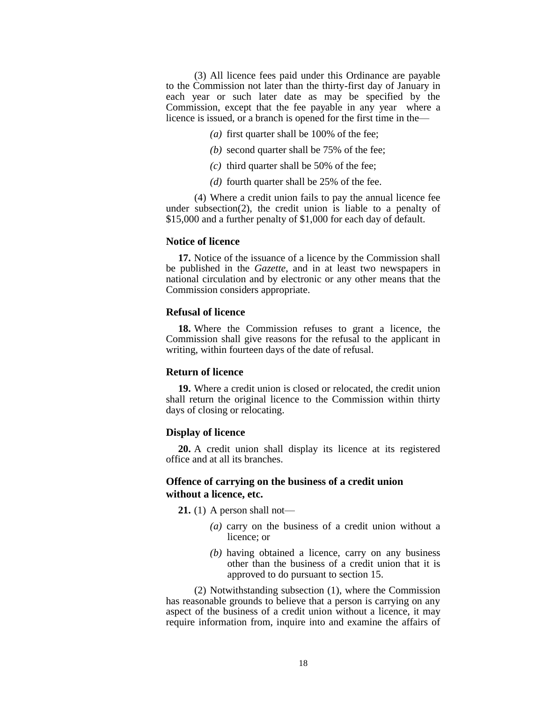(3) All licence fees paid under this Ordinance are payable to the Commission not later than the thirty-first day of January in each year or such later date as may be specified by the Commission, except that the fee payable in any year where a licence is issued, or a branch is opened for the first time in the—

- *(a)* first quarter shall be 100% of the fee;
- *(b)* second quarter shall be 75% of the fee;
- *(c)* third quarter shall be 50% of the fee;
- *(d)* fourth quarter shall be 25% of the fee.

(4) Where a credit union fails to pay the annual licence fee under subsection(2), the credit union is liable to a penalty of \$15,000 and a further penalty of \$1,000 for each day of default.

#### **Notice of licence**

**17.** Notice of the issuance of a licence by the Commission shall be published in the *Gazette*, and in at least two newspapers in national circulation and by electronic or any other means that the Commission considers appropriate.

# **Refusal of licence**

**18.** Where the Commission refuses to grant a licence, the Commission shall give reasons for the refusal to the applicant in writing, within fourteen days of the date of refusal.

# **Return of licence**

**19.** Where a credit union is closed or relocated, the credit union shall return the original licence to the Commission within thirty days of closing or relocating.

#### **Display of licence**

**20.** A credit union shall display its licence at its registered office and at all its branches.

# **Offence of carrying on the business of a credit union without a licence, etc.**

**21.** (1) A person shall not—

- *(a)* carry on the business of a credit union without a licence; or
- *(b)* having obtained a licence, carry on any business other than the business of a credit union that it is approved to do pursuant to section 15.

(2) Notwithstanding subsection (1), where the Commission has reasonable grounds to believe that a person is carrying on any aspect of the business of a credit union without a licence, it may require information from, inquire into and examine the affairs of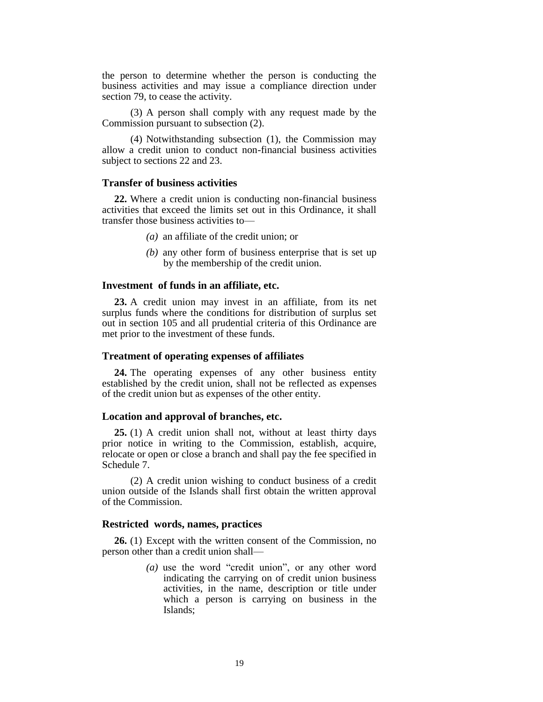the person to determine whether the person is conducting the business activities and may issue a compliance direction under section 79, to cease the activity.

(3) A person shall comply with any request made by the Commission pursuant to subsection (2).

(4) Notwithstanding subsection (1), the Commission may allow a credit union to conduct non-financial business activities subject to sections 22 and 23.

# **Transfer of business activities**

**22.** Where a credit union is conducting non-financial business activities that exceed the limits set out in this Ordinance, it shall transfer those business activities to—

- *(a)* an affiliate of the credit union; or
- *(b)* any other form of business enterprise that is set up by the membership of the credit union.

#### **Investment of funds in an affiliate, etc.**

**23.** A credit union may invest in an affiliate, from its net surplus funds where the conditions for distribution of surplus set out in section 105 and all prudential criteria of this Ordinance are met prior to the investment of these funds.

# **Treatment of operating expenses of affiliates**

**24.** The operating expenses of any other business entity established by the credit union, shall not be reflected as expenses of the credit union but as expenses of the other entity.

#### **Location and approval of branches, etc.**

**25.** (1) A credit union shall not, without at least thirty days prior notice in writing to the Commission, establish, acquire, relocate or open or close a branch and shall pay the fee specified in Schedule 7.

(2) A credit union wishing to conduct business of a credit union outside of the Islands shall first obtain the written approval of the Commission.

### **Restricted words, names, practices**

**26.** (1) Except with the written consent of the Commission, no person other than a credit union shall—

> *(a)* use the word "credit union", or any other word indicating the carrying on of credit union business activities, in the name, description or title under which a person is carrying on business in the Islands;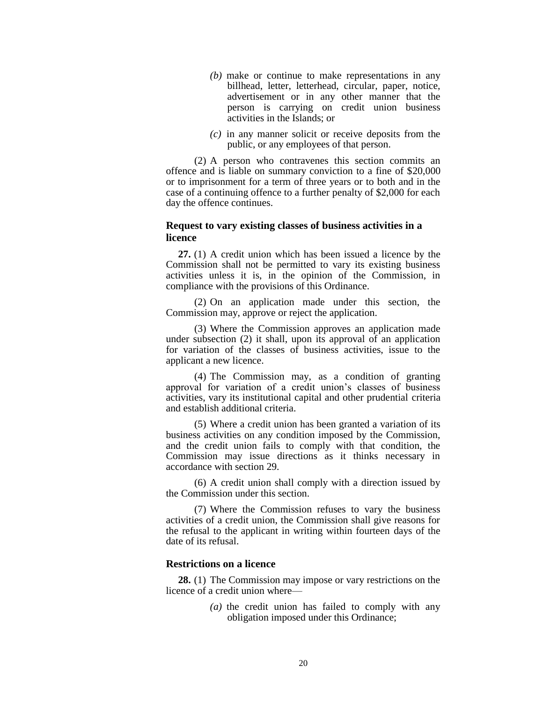- *(b)* make or continue to make representations in any billhead, letter, letterhead, circular, paper, notice, advertisement or in any other manner that the person is carrying on credit union business activities in the Islands; or
- *(c)* in any manner solicit or receive deposits from the public, or any employees of that person.

(2) A person who contravenes this section commits an offence and is liable on summary conviction to a fine of \$20,000 or to imprisonment for a term of three years or to both and in the case of a continuing offence to a further penalty of \$2,000 for each day the offence continues.

# **Request to vary existing classes of business activities in a licence**

**27.** (1) A credit union which has been issued a licence by the Commission shall not be permitted to vary its existing business activities unless it is, in the opinion of the Commission, in compliance with the provisions of this Ordinance.

(2) On an application made under this section, the Commission may, approve or reject the application.

(3) Where the Commission approves an application made under subsection (2) it shall, upon its approval of an application for variation of the classes of business activities, issue to the applicant a new licence.

(4) The Commission may, as a condition of granting approval for variation of a credit union's classes of business activities, vary its institutional capital and other prudential criteria and establish additional criteria.

(5) Where a credit union has been granted a variation of its business activities on any condition imposed by the Commission, and the credit union fails to comply with that condition, the Commission may issue directions as it thinks necessary in accordance with section 29.

(6) A credit union shall comply with a direction issued by the Commission under this section.

(7) Where the Commission refuses to vary the business activities of a credit union, the Commission shall give reasons for the refusal to the applicant in writing within fourteen days of the date of its refusal.

# **Restrictions on a licence**

**28.** (1) The Commission may impose or vary restrictions on the licence of a credit union where—

> *(a)* the credit union has failed to comply with any obligation imposed under this Ordinance;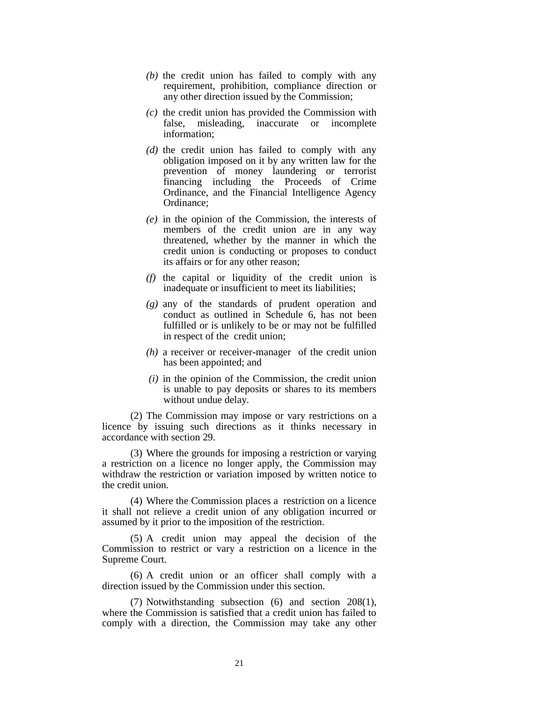- *(b)* the credit union has failed to comply with any requirement, prohibition, compliance direction or any other direction issued by the Commission;
- *(c)* the credit union has provided the Commission with false, misleading, inaccurate or incomplete information;
- *(d)* the credit union has failed to comply with any obligation imposed on it by any written law for the prevention of money laundering or terrorist financing including the Proceeds of Crime Ordinance, and the Financial Intelligence Agency Ordinance;
- *(e)* in the opinion of the Commission, the interests of members of the credit union are in any way threatened, whether by the manner in which the credit union is conducting or proposes to conduct its affairs or for any other reason;
- *(f)* the capital or liquidity of the credit union is inadequate or insufficient to meet its liabilities;
- *(g)* any of the standards of prudent operation and conduct as outlined in Schedule 6, has not been fulfilled or is unlikely to be or may not be fulfilled in respect of the credit union;
- *(h)* a receiver or receiver-manager of the credit union has been appointed; and
- *(i)* in the opinion of the Commission, the credit union is unable to pay deposits or shares to its members without undue delay.

(2) The Commission may impose or vary restrictions on a licence by issuing such directions as it thinks necessary in accordance with section 29.

(3) Where the grounds for imposing a restriction or varying a restriction on a licence no longer apply, the Commission may withdraw the restriction or variation imposed by written notice to the credit union.

(4) Where the Commission places a restriction on a licence it shall not relieve a credit union of any obligation incurred or assumed by it prior to the imposition of the restriction.

(5) A credit union may appeal the decision of the Commission to restrict or vary a restriction on a licence in the Supreme Court.

(6) A credit union or an officer shall comply with a direction issued by the Commission under this section.

(7) Notwithstanding subsection (6) and section 208(1), where the Commission is satisfied that a credit union has failed to comply with a direction, the Commission may take any other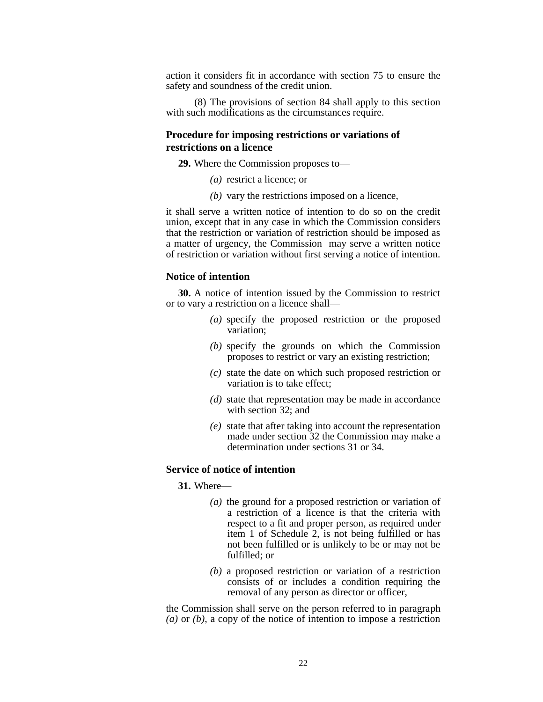action it considers fit in accordance with section 75 to ensure the safety and soundness of the credit union.

(8) The provisions of section 84 shall apply to this section with such modifications as the circumstances require.

# **Procedure for imposing restrictions or variations of restrictions on a licence**

**29.** Where the Commission proposes to—

- *(a)* restrict a licence; or
- *(b)* vary the restrictions imposed on a licence,

it shall serve a written notice of intention to do so on the credit union, except that in any case in which the Commission considers that the restriction or variation of restriction should be imposed as a matter of urgency, the Commission may serve a written notice of restriction or variation without first serving a notice of intention.

### **Notice of intention**

**30.** A notice of intention issued by the Commission to restrict or to vary a restriction on a licence shall—

- *(a)* specify the proposed restriction or the proposed variation;
- *(b)* specify the grounds on which the Commission proposes to restrict or vary an existing restriction;
- *(c)* state the date on which such proposed restriction or variation is to take effect;
- *(d)* state that representation may be made in accordance with section 32; and
- *(e)* state that after taking into account the representation made under section 32 the Commission may make a determination under sections 31 or 34.

# **Service of notice of intention**

**31.** Where—

- *(a)* the ground for a proposed restriction or variation of a restriction of a licence is that the criteria with respect to a fit and proper person, as required under item 1 of Schedule 2, is not being fulfilled or has not been fulfilled or is unlikely to be or may not be fulfilled; or
- *(b)* a proposed restriction or variation of a restriction consists of or includes a condition requiring the removal of any person as director or officer,

the Commission shall serve on the person referred to in paragraph *(a)* or *(b)*, a copy of the notice of intention to impose a restriction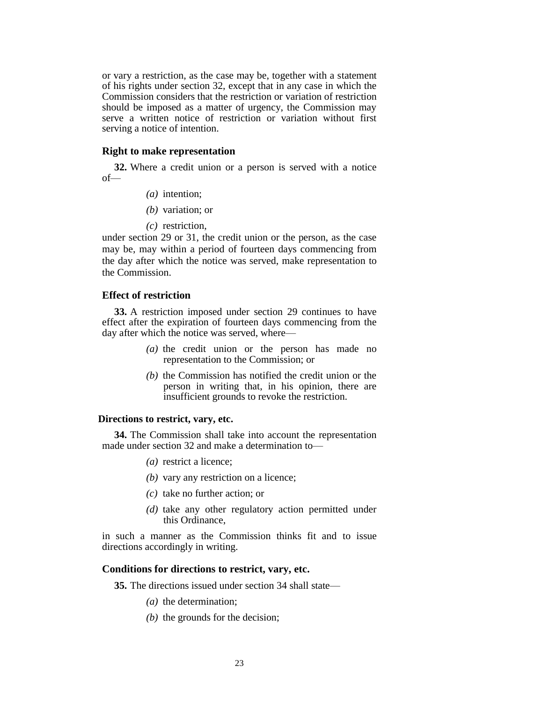or vary a restriction, as the case may be, together with a statement of his rights under section 32, except that in any case in which the Commission considers that the restriction or variation of restriction should be imposed as a matter of urgency, the Commission may serve a written notice of restriction or variation without first serving a notice of intention.

# **Right to make representation**

**32.** Where a credit union or a person is served with a notice of—

- *(a)* intention;
- *(b)* variation; or
- *(c)* restriction,

under section 29 or 31, the credit union or the person, as the case may be, may within a period of fourteen days commencing from the day after which the notice was served, make representation to the Commission.

# **Effect of restriction**

**33.** A restriction imposed under section 29 continues to have effect after the expiration of fourteen days commencing from the day after which the notice was served, where—

- *(a)* the credit union or the person has made no representation to the Commission; or
- *(b)* the Commission has notified the credit union or the person in writing that, in his opinion, there are insufficient grounds to revoke the restriction.

### **Directions to restrict, vary, etc.**

**34.** The Commission shall take into account the representation made under section 32 and make a determination to—

- *(a)* restrict a licence;
- *(b)* vary any restriction on a licence;
- *(c)* take no further action; or
- *(d)* take any other regulatory action permitted under this Ordinance,

in such a manner as the Commission thinks fit and to issue directions accordingly in writing.

#### **Conditions for directions to restrict, vary, etc.**

**35.** The directions issued under section 34 shall state—

- *(a)* the determination;
- *(b)* the grounds for the decision;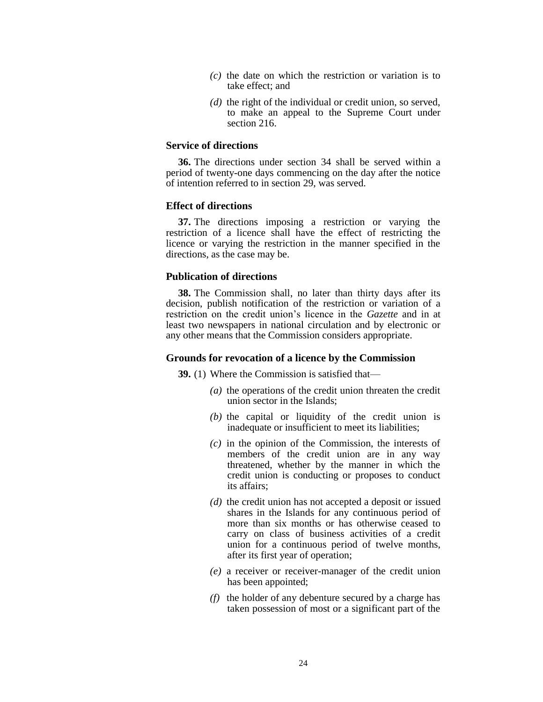- *(c)* the date on which the restriction or variation is to take effect; and
- *(d)* the right of the individual or credit union, so served, to make an appeal to the Supreme Court under section 216.

# **Service of directions**

**36.** The directions under section 34 shall be served within a period of twenty-one days commencing on the day after the notice of intention referred to in section 29, was served.

#### **Effect of directions**

**37.** The directions imposing a restriction or varying the restriction of a licence shall have the effect of restricting the licence or varying the restriction in the manner specified in the directions, as the case may be.

# **Publication of directions**

**38.** The Commission shall, no later than thirty days after its decision, publish notification of the restriction or variation of a restriction on the credit union's licence in the *Gazette* and in at least two newspapers in national circulation and by electronic or any other means that the Commission considers appropriate.

### **Grounds for revocation of a licence by the Commission**

**39.** (1) Where the Commission is satisfied that—

- *(a)* the operations of the credit union threaten the credit union sector in the Islands;
- *(b)* the capital or liquidity of the credit union is inadequate or insufficient to meet its liabilities;
- *(c)* in the opinion of the Commission, the interests of members of the credit union are in any way threatened, whether by the manner in which the credit union is conducting or proposes to conduct its affairs;
- *(d)* the credit union has not accepted a deposit or issued shares in the Islands for any continuous period of more than six months or has otherwise ceased to carry on class of business activities of a credit union for a continuous period of twelve months, after its first year of operation;
- *(e)* a receiver or receiver-manager of the credit union has been appointed;
- *(f)* the holder of any debenture secured by a charge has taken possession of most or a significant part of the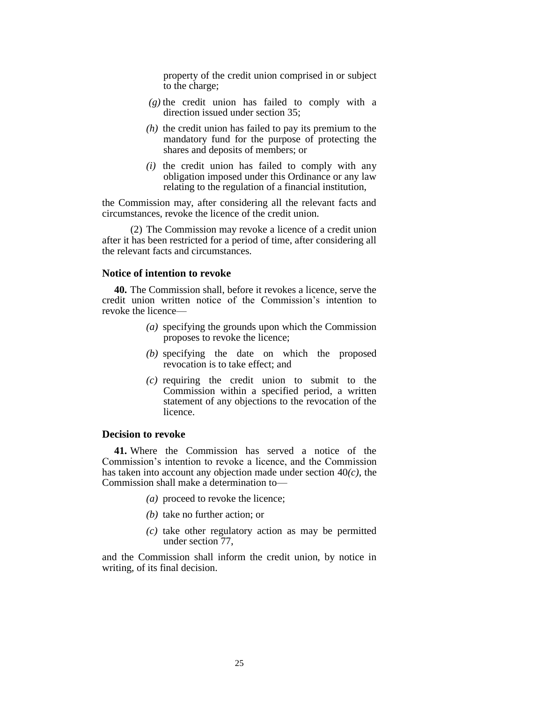property of the credit union comprised in or subject to the charge;

- *(g)* the credit union has failed to comply with a direction issued under section 35;
- *(h)* the credit union has failed to pay its premium to the mandatory fund for the purpose of protecting the shares and deposits of members; or
- *(i)* the credit union has failed to comply with any obligation imposed under this Ordinance or any law relating to the regulation of a financial institution,

the Commission may, after considering all the relevant facts and circumstances, revoke the licence of the credit union.

(2) The Commission may revoke a licence of a credit union after it has been restricted for a period of time, after considering all the relevant facts and circumstances.

# **Notice of intention to revoke**

**40.** The Commission shall, before it revokes a licence, serve the credit union written notice of the Commission's intention to revoke the licence—

- *(a)* specifying the grounds upon which the Commission proposes to revoke the licence;
- *(b)* specifying the date on which the proposed revocation is to take effect; and
- *(c)* requiring the credit union to submit to the Commission within a specified period, a written statement of any objections to the revocation of the licence.

# **Decision to revoke**

**41.** Where the Commission has served a notice of the Commission's intention to revoke a licence, and the Commission has taken into account any objection made under section 40*(c)*, the Commission shall make a determination to—

- *(a)* proceed to revoke the licence;
- *(b)* take no further action; or
- *(c)* take other regulatory action as may be permitted under section 77,

and the Commission shall inform the credit union, by notice in writing, of its final decision.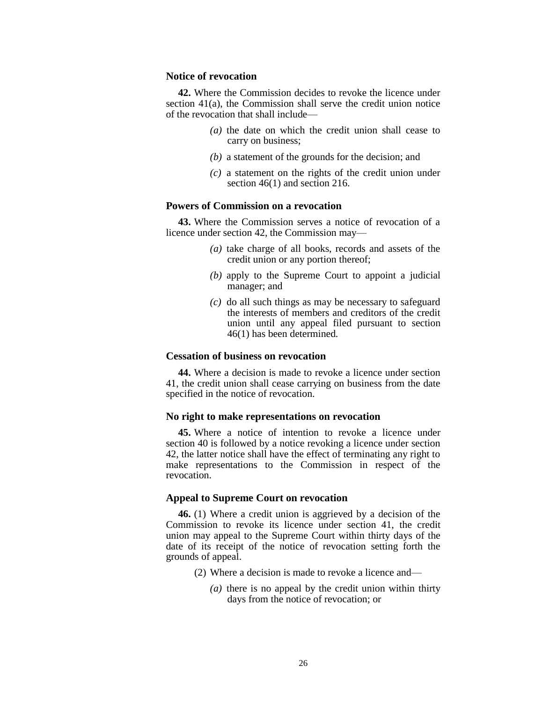# **Notice of revocation**

**42.** Where the Commission decides to revoke the licence under section 41(a), the Commission shall serve the credit union notice of the revocation that shall include—

- *(a)* the date on which the credit union shall cease to carry on business;
- *(b)* a statement of the grounds for the decision; and
- *(c)* a statement on the rights of the credit union under section  $46(1)$  and section 216.

# **Powers of Commission on a revocation**

**43.** Where the Commission serves a notice of revocation of a licence under section 42, the Commission may—

- *(a)* take charge of all books, records and assets of the credit union or any portion thereof;
- *(b)* apply to the Supreme Court to appoint a judicial manager; and
- *(c)* do all such things as may be necessary to safeguard the interests of members and creditors of the credit union until any appeal filed pursuant to section 46(1) has been determined.

# **Cessation of business on revocation**

**44.** Where a decision is made to revoke a licence under section 41, the credit union shall cease carrying on business from the date specified in the notice of revocation.

#### **No right to make representations on revocation**

**45.** Where a notice of intention to revoke a licence under section 40 is followed by a notice revoking a licence under section 42, the latter notice shall have the effect of terminating any right to make representations to the Commission in respect of the revocation.

#### **Appeal to Supreme Court on revocation**

**46.** (1) Where a credit union is aggrieved by a decision of the Commission to revoke its licence under section 41, the credit union may appeal to the Supreme Court within thirty days of the date of its receipt of the notice of revocation setting forth the grounds of appeal.

- (2) Where a decision is made to revoke a licence and—
	- *(a)* there is no appeal by the credit union within thirty days from the notice of revocation; or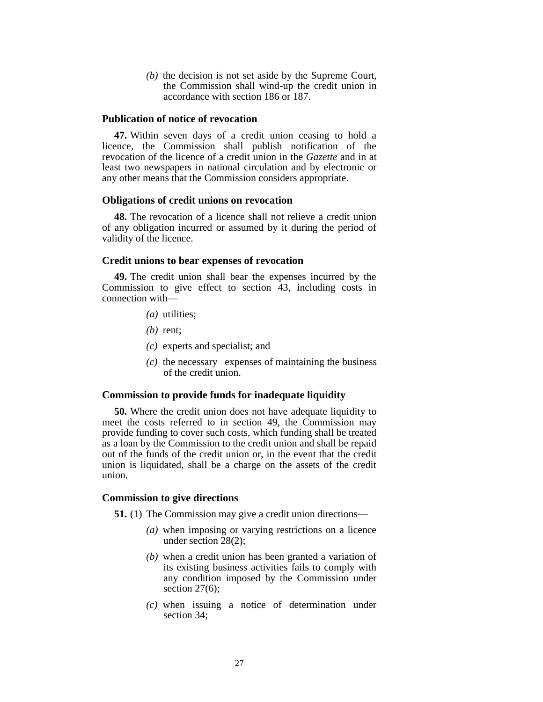*(b)* the decision is not set aside by the Supreme Court, the Commission shall wind-up the credit union in accordance with section 186 or 187.

# **Publication of notice of revocation**

**47.** Within seven days of a credit union ceasing to hold a licence, the Commission shall publish notification of the revocation of the licence of a credit union in the *Gazette* and in at least two newspapers in national circulation and by electronic or any other means that the Commission considers appropriate.

#### **Obligations of credit unions on revocation**

**48.** The revocation of a licence shall not relieve a credit union of any obligation incurred or assumed by it during the period of validity of the licence.

# **Credit unions to bear expenses of revocation**

**49.** The credit union shall bear the expenses incurred by the Commission to give effect to section 43, including costs in connection with—

- *(a)* utilities;
- *(b)* rent;
- *(c)* experts and specialist; and
- *(c)* the necessary expenses of maintaining the business of the credit union.

#### **Commission to provide funds for inadequate liquidity**

**50.** Where the credit union does not have adequate liquidity to meet the costs referred to in section 49, the Commission may provide funding to cover such costs, which funding shall be treated as a loan by the Commission to the credit union and shall be repaid out of the funds of the credit union or, in the event that the credit union is liquidated, shall be a charge on the assets of the credit union.

### **Commission to give directions**

**51.** (1) The Commission may give a credit union directions—

- *(a)* when imposing or varying restrictions on a licence under section 28(2);
- *(b)* when a credit union has been granted a variation of its existing business activities fails to comply with any condition imposed by the Commission under section 27(6);
- *(c)* when issuing a notice of determination under section 34;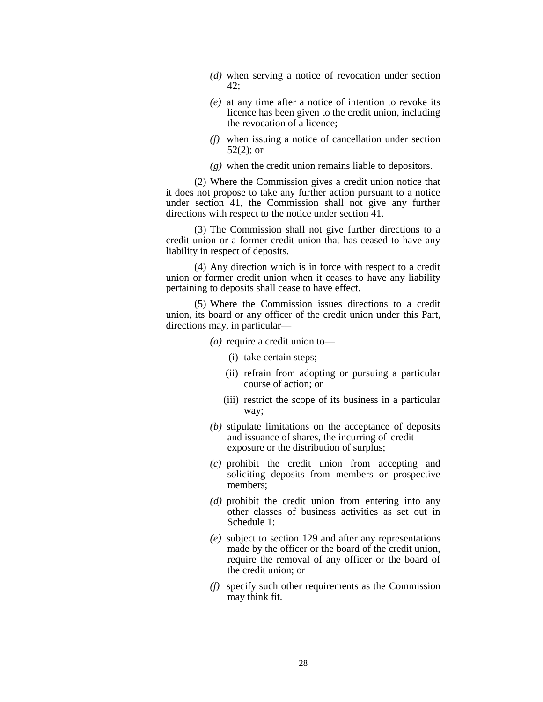- *(d)* when serving a notice of revocation under section 42;
- *(e)* at any time after a notice of intention to revoke its licence has been given to the credit union, including the revocation of a licence;
- *(f)* when issuing a notice of cancellation under section 52(2); or
- *(g)* when the credit union remains liable to depositors.

(2) Where the Commission gives a credit union notice that it does not propose to take any further action pursuant to a notice under section 41, the Commission shall not give any further directions with respect to the notice under section 41.

(3) The Commission shall not give further directions to a credit union or a former credit union that has ceased to have any liability in respect of deposits.

(4) Any direction which is in force with respect to a credit union or former credit union when it ceases to have any liability pertaining to deposits shall cease to have effect.

(5) Where the Commission issues directions to a credit union, its board or any officer of the credit union under this Part, directions may, in particular—

*(a)* require a credit union to—

- (i) take certain steps;
- (ii) refrain from adopting or pursuing a particular course of action; or
- (iii) restrict the scope of its business in a particular way;
- *(b)* stipulate limitations on the acceptance of deposits and issuance of shares, the incurring of credit exposure or the distribution of surplus;
- *(c)* prohibit the credit union from accepting and soliciting deposits from members or prospective members;
- *(d)* prohibit the credit union from entering into any other classes of business activities as set out in Schedule 1;
- *(e)* subject to section 129 and after any representations made by the officer or the board of the credit union, require the removal of any officer or the board of the credit union; or
- *(f)* specify such other requirements as the Commission may think fit.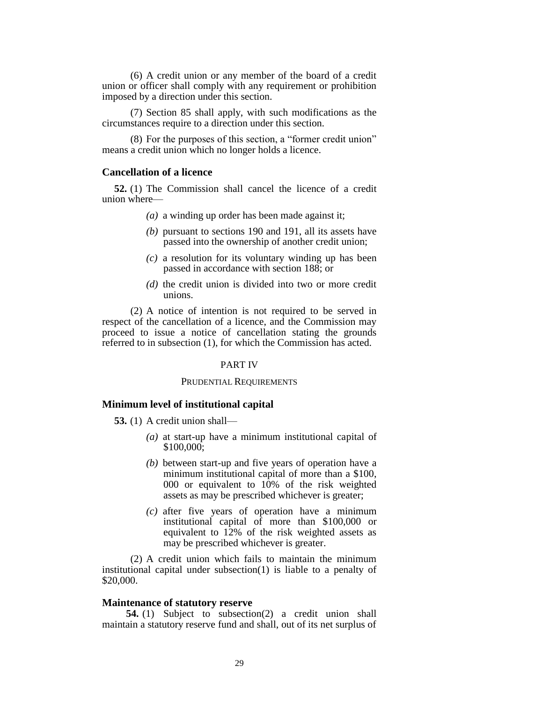(6) A credit union or any member of the board of a credit union or officer shall comply with any requirement or prohibition imposed by a direction under this section.

(7) Section 85 shall apply, with such modifications as the circumstances require to a direction under this section.

(8) For the purposes of this section, a "former credit union" means a credit union which no longer holds a licence.

### **Cancellation of a licence**

**52.** (1) The Commission shall cancel the licence of a credit union where—

- *(a)* a winding up order has been made against it;
- *(b)* pursuant to sections 190 and 191, all its assets have passed into the ownership of another credit union;
- *(c)* a resolution for its voluntary winding up has been passed in accordance with section 188; or
- *(d)* the credit union is divided into two or more credit unions.

(2) A notice of intention is not required to be served in respect of the cancellation of a licence, and the Commission may proceed to issue a notice of cancellation stating the grounds referred to in subsection (1), for which the Commission has acted.

#### PART IV

#### PRUDENTIAL REQUIREMENTS

# **Minimum level of institutional capital**

**53.** (1) A credit union shall—

- *(a)* at start-up have a minimum institutional capital of \$100,000;
- *(b)* between start-up and five years of operation have a minimum institutional capital of more than a \$100, 000 or equivalent to 10% of the risk weighted assets as may be prescribed whichever is greater;
- *(c)* after five years of operation have a minimum institutional capital of more than \$100,000 or equivalent to 12% of the risk weighted assets as may be prescribed whichever is greater.

(2) A credit union which fails to maintain the minimum institutional capital under subsection(1) is liable to a penalty of \$20,000.

#### **Maintenance of statutory reserve**

**54.** (1) Subject to subsection(2) a credit union shall maintain a statutory reserve fund and shall, out of its net surplus of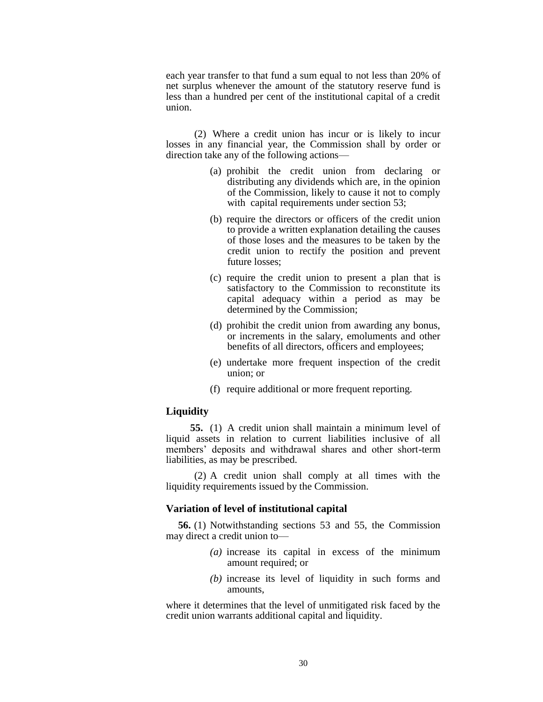each year transfer to that fund a sum equal to not less than 20% of net surplus whenever the amount of the statutory reserve fund is less than a hundred per cent of the institutional capital of a credit union.

(2) Where a credit union has incur or is likely to incur losses in any financial year, the Commission shall by order or direction take any of the following actions—

- (a) prohibit the credit union from declaring or distributing any dividends which are, in the opinion of the Commission, likely to cause it not to comply with capital requirements under section 53;
- (b) require the directors or officers of the credit union to provide a written explanation detailing the causes of those loses and the measures to be taken by the credit union to rectify the position and prevent future losses;
- (c) require the credit union to present a plan that is satisfactory to the Commission to reconstitute its capital adequacy within a period as may be determined by the Commission;
- (d) prohibit the credit union from awarding any bonus, or increments in the salary, emoluments and other benefits of all directors, officers and employees;
- (e) undertake more frequent inspection of the credit union; or
- (f) require additional or more frequent reporting.

# **Liquidity**

**55.** (1) A credit union shall maintain a minimum level of liquid assets in relation to current liabilities inclusive of all members' deposits and withdrawal shares and other short-term liabilities, as may be prescribed.

(2) A credit union shall comply at all times with the liquidity requirements issued by the Commission.

### **Variation of level of institutional capital**

**56.** (1) Notwithstanding sections 53 and 55, the Commission may direct a credit union to—

- *(a)* increase its capital in excess of the minimum amount required; or
- *(b)* increase its level of liquidity in such forms and amounts,

where it determines that the level of unmitigated risk faced by the credit union warrants additional capital and liquidity.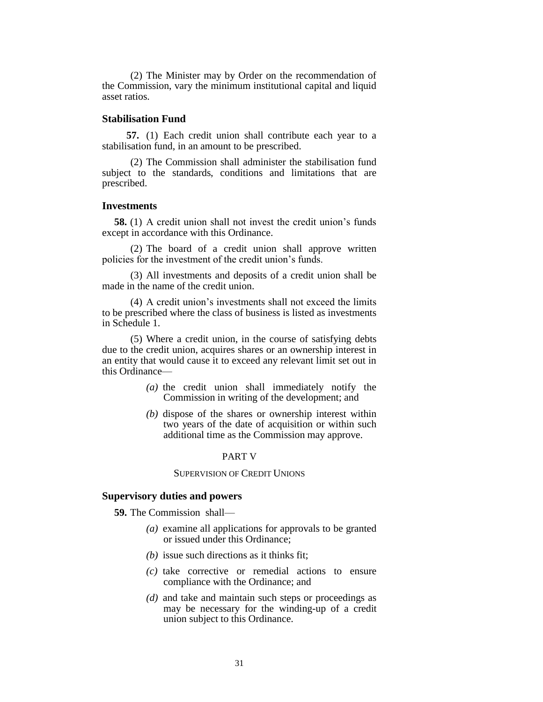(2) The Minister may by Order on the recommendation of the Commission, vary the minimum institutional capital and liquid asset ratios.

# **Stabilisation Fund**

**57.** (1) Each credit union shall contribute each year to a stabilisation fund, in an amount to be prescribed.

(2) The Commission shall administer the stabilisation fund subject to the standards, conditions and limitations that are prescribed.

#### **Investments**

**58.** (1) A credit union shall not invest the credit union's funds except in accordance with this Ordinance.

(2) The board of a credit union shall approve written policies for the investment of the credit union's funds.

(3) All investments and deposits of a credit union shall be made in the name of the credit union.

(4) A credit union's investments shall not exceed the limits to be prescribed where the class of business is listed as investments in Schedule 1.

(5) Where a credit union, in the course of satisfying debts due to the credit union, acquires shares or an ownership interest in an entity that would cause it to exceed any relevant limit set out in this Ordinance—

- *(a)* the credit union shall immediately notify the Commission in writing of the development; and
- *(b)* dispose of the shares or ownership interest within two years of the date of acquisition or within such additional time as the Commission may approve.

#### PART V

# SUPERVISION OF CREDIT UNIONS

### **Supervisory duties and powers**

**59.** The Commission shall—

- *(a)* examine all applications for approvals to be granted or issued under this Ordinance;
- *(b)* issue such directions as it thinks fit;
- *(c)* take corrective or remedial actions to ensure compliance with the Ordinance; and
- *(d)* and take and maintain such steps or proceedings as may be necessary for the winding-up of a credit union subject to this Ordinance.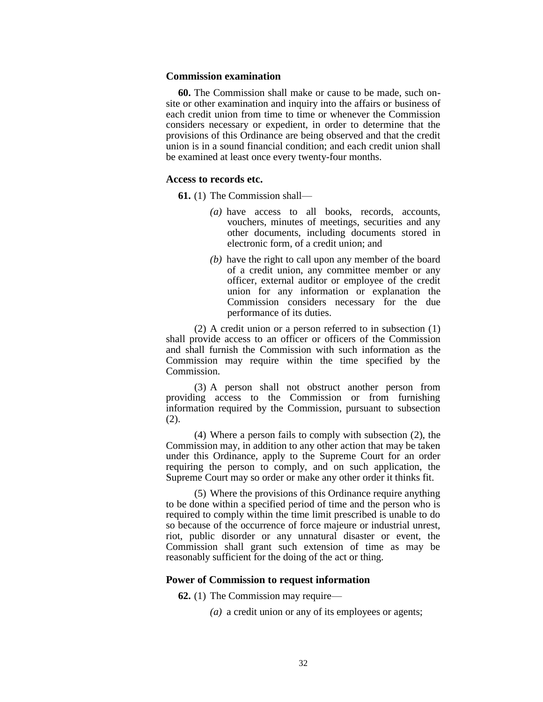### **Commission examination**

**60.** The Commission shall make or cause to be made, such onsite or other examination and inquiry into the affairs or business of each credit union from time to time or whenever the Commission considers necessary or expedient, in order to determine that the provisions of this Ordinance are being observed and that the credit union is in a sound financial condition; and each credit union shall be examined at least once every twenty-four months.

# **Access to records etc.**

**61.** (1) The Commission shall—

- *(a)* have access to all books, records, accounts, vouchers, minutes of meetings, securities and any other documents, including documents stored in electronic form, of a credit union; and
- *(b)* have the right to call upon any member of the board of a credit union, any committee member or any officer, external auditor or employee of the credit union for any information or explanation the Commission considers necessary for the due performance of its duties.

(2) A credit union or a person referred to in subsection (1) shall provide access to an officer or officers of the Commission and shall furnish the Commission with such information as the Commission may require within the time specified by the Commission.

(3) A person shall not obstruct another person from providing access to the Commission or from furnishing information required by the Commission, pursuant to subsection (2).

(4) Where a person fails to comply with subsection (2), the Commission may, in addition to any other action that may be taken under this Ordinance, apply to the Supreme Court for an order requiring the person to comply, and on such application, the Supreme Court may so order or make any other order it thinks fit.

(5) Where the provisions of this Ordinance require anything to be done within a specified period of time and the person who is required to comply within the time limit prescribed is unable to do so because of the occurrence of force majeure or industrial unrest, riot, public disorder or any unnatural disaster or event, the Commission shall grant such extension of time as may be reasonably sufficient for the doing of the act or thing.

# **Power of Commission to request information**

**62.** (1) The Commission may require—

*(a)* a credit union or any of its employees or agents;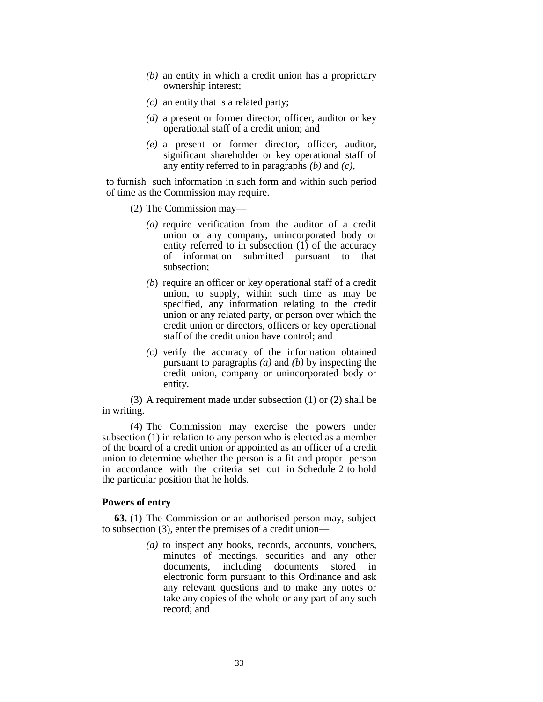- *(b)* an entity in which a credit union has a proprietary ownership interest;
- *(c)* an entity that is a related party;
- *(d)* a present or former director, officer, auditor or key operational staff of a credit union; and
- *(e)* a present or former director, officer, auditor, significant shareholder or key operational staff of any entity referred to in paragraphs *(b)* and *(c)*,

to furnish such information in such form and within such period of time as the Commission may require.

- (2) The Commission may—
	- *(a)* require verification from the auditor of a credit union or any company, unincorporated body or entity referred to in subsection (1) of the accuracy of information submitted pursuant to that subsection;
	- *(b*) require an officer or key operational staff of a credit union, to supply, within such time as may be specified, any information relating to the credit union or any related party, or person over which the credit union or directors, officers or key operational staff of the credit union have control; and
	- *(c)* verify the accuracy of the information obtained pursuant to paragraphs *(a)* and *(b)* by inspecting the credit union, company or unincorporated body or entity.

(3) A requirement made under subsection (1) or (2) shall be in writing.

(4) The Commission may exercise the powers under subsection (1) in relation to any person who is elected as a member of the board of a credit union or appointed as an officer of a credit union to determine whether the person is a fit and proper person in accordance with the criteria set out in Schedule 2 to hold the particular position that he holds.

# **Powers of entry**

**63.** (1) The Commission or an authorised person may, subject to subsection (3), enter the premises of a credit union—

> *(a)* to inspect any books, records, accounts, vouchers, minutes of meetings, securities and any other documents, including documents stored in electronic form pursuant to this Ordinance and ask any relevant questions and to make any notes or take any copies of the whole or any part of any such record; and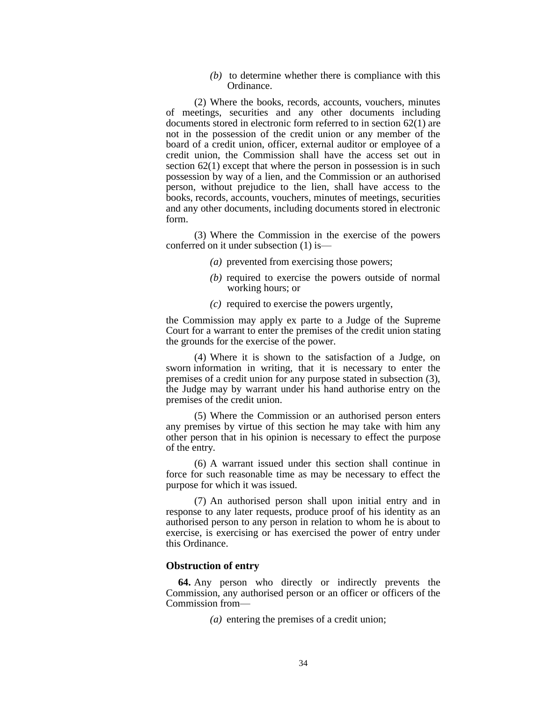*(b)* to determine whether there is compliance with this Ordinance.

(2) Where the books, records, accounts, vouchers, minutes of meetings, securities and any other documents including documents stored in electronic form referred to in section 62(1) are not in the possession of the credit union or any member of the board of a credit union, officer, external auditor or employee of a credit union, the Commission shall have the access set out in section  $62(1)$  except that where the person in possession is in such possession by way of a lien, and the Commission or an authorised person, without prejudice to the lien, shall have access to the books, records, accounts, vouchers, minutes of meetings, securities and any other documents, including documents stored in electronic form.

(3) Where the Commission in the exercise of the powers conferred on it under subsection (1) is—

- *(a)* prevented from exercising those powers;
- *(b)* required to exercise the powers outside of normal working hours; or
- *(c)* required to exercise the powers urgently,

the Commission may apply ex parte to a Judge of the Supreme Court for a warrant to enter the premises of the credit union stating the grounds for the exercise of the power.

(4) Where it is shown to the satisfaction of a Judge, on sworn information in writing, that it is necessary to enter the premises of a credit union for any purpose stated in subsection (3), the Judge may by warrant under his hand authorise entry on the premises of the credit union.

(5) Where the Commission or an authorised person enters any premises by virtue of this section he may take with him any other person that in his opinion is necessary to effect the purpose of the entry.

(6) A warrant issued under this section shall continue in force for such reasonable time as may be necessary to effect the purpose for which it was issued.

(7) An authorised person shall upon initial entry and in response to any later requests, produce proof of his identity as an authorised person to any person in relation to whom he is about to exercise, is exercising or has exercised the power of entry under this Ordinance.

### **Obstruction of entry**

**64.** Any person who directly or indirectly prevents the Commission, any authorised person or an officer or officers of the Commission from—

*(a)* entering the premises of a credit union;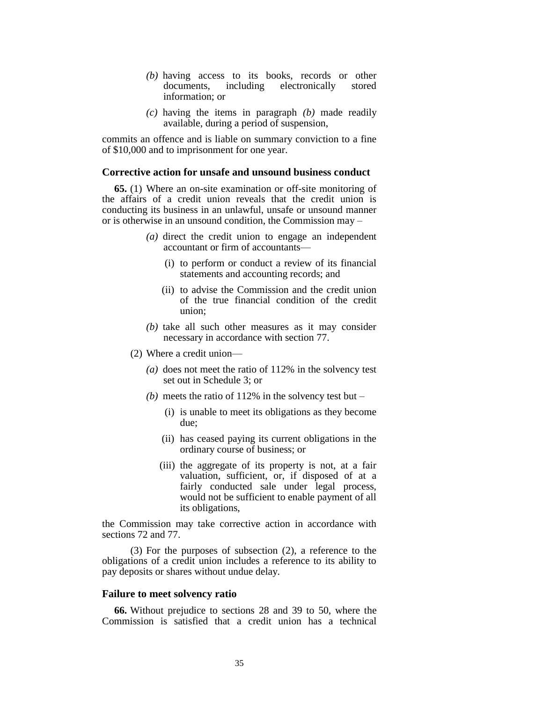- *(b)* having access to its books, records or other documents, including electronically stored information; or
- *(c)* having the items in paragraph *(b)* made readily available, during a period of suspension,

commits an offence and is liable on summary conviction to a fine of \$10,000 and to imprisonment for one year.

### **Corrective action for unsafe and unsound business conduct**

**65.** (1) Where an on-site examination or off-site monitoring of the affairs of a credit union reveals that the credit union is conducting its business in an unlawful, unsafe or unsound manner or is otherwise in an unsound condition, the Commission may –

- *(a)* direct the credit union to engage an independent accountant or firm of accountants—
	- (i) to perform or conduct a review of its financial statements and accounting records; and
	- (ii) to advise the Commission and the credit union of the true financial condition of the credit union;
- *(b)* take all such other measures as it may consider necessary in accordance with section 77.
- (2) Where a credit union—
	- *(a)* does not meet the ratio of 112% in the solvency test set out in Schedule 3; or
	- *(b)* meets the ratio of 112% in the solvency test but
		- (i) is unable to meet its obligations as they become due;
		- (ii) has ceased paying its current obligations in the ordinary course of business; or
		- (iii) the aggregate of its property is not, at a fair valuation, sufficient, or, if disposed of at a fairly conducted sale under legal process, would not be sufficient to enable payment of all its obligations,

the Commission may take corrective action in accordance with sections 72 and 77.

(3) For the purposes of subsection (2), a reference to the obligations of a credit union includes a reference to its ability to pay deposits or shares without undue delay.

### **Failure to meet solvency ratio**

**66.** Without prejudice to sections 28 and 39 to 50, where the Commission is satisfied that a credit union has a technical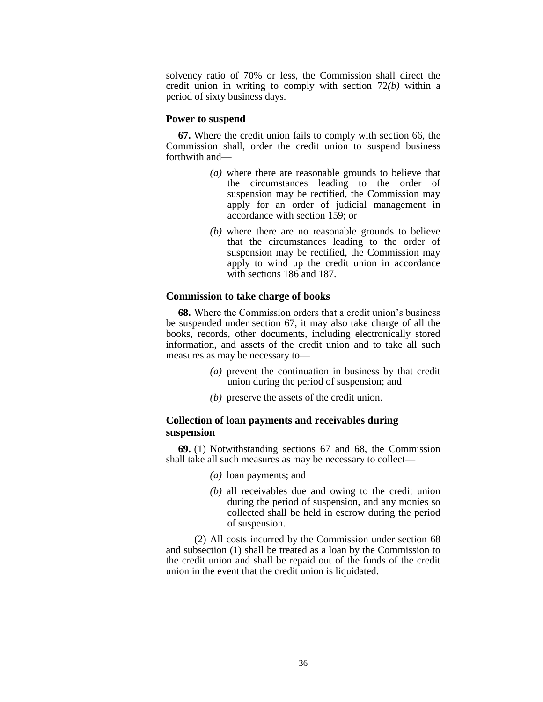solvency ratio of 70% or less, the Commission shall direct the credit union in writing to comply with section 72*(b)* within a period of sixty business days.

#### **Power to suspend**

**67.** Where the credit union fails to comply with section 66, the Commission shall, order the credit union to suspend business forthwith and—

- *(a)* where there are reasonable grounds to believe that the circumstances leading to the order of suspension may be rectified, the Commission may apply for an order of judicial management in accordance with section 159; or
- *(b)* where there are no reasonable grounds to believe that the circumstances leading to the order of suspension may be rectified, the Commission may apply to wind up the credit union in accordance with sections 186 and 187.

### **Commission to take charge of books**

**68.** Where the Commission orders that a credit union's business be suspended under section 67, it may also take charge of all the books, records, other documents, including electronically stored information, and assets of the credit union and to take all such measures as may be necessary to—

- *(a)* prevent the continuation in business by that credit union during the period of suspension; and
- *(b)* preserve the assets of the credit union.

# **Collection of loan payments and receivables during suspension**

**69.** (1) Notwithstanding sections 67 and 68, the Commission shall take all such measures as may be necessary to collect—

- *(a)* loan payments; and
- *(b)* all receivables due and owing to the credit union during the period of suspension, and any monies so collected shall be held in escrow during the period of suspension.

(2) All costs incurred by the Commission under section 68 and subsection (1) shall be treated as a loan by the Commission to the credit union and shall be repaid out of the funds of the credit union in the event that the credit union is liquidated.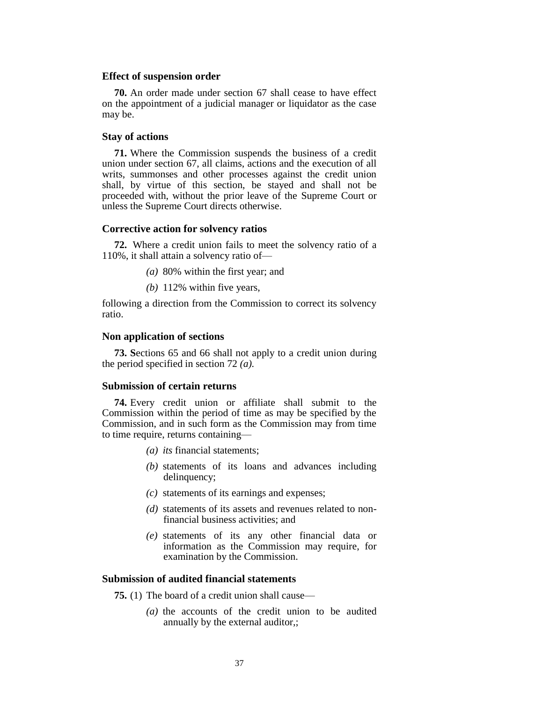### **Effect of suspension order**

**70.** An order made under section 67 shall cease to have effect on the appointment of a judicial manager or liquidator as the case may be.

# **Stay of actions**

**71.** Where the Commission suspends the business of a credit union under section 67, all claims, actions and the execution of all writs, summonses and other processes against the credit union shall, by virtue of this section, be stayed and shall not be proceeded with, without the prior leave of the Supreme Court or unless the Supreme Court directs otherwise.

# **Corrective action for solvency ratios**

**72.** Where a credit union fails to meet the solvency ratio of a 110%, it shall attain a solvency ratio of—

*(a)* 80% within the first year; and

*(b)* 112% within five years,

following a direction from the Commission to correct its solvency ratio.

#### **Non application of sections**

**73. S**ections 65 and 66 shall not apply to a credit union during the period specified in section 72 *(a).*

### **Submission of certain returns**

**74.** Every credit union or affiliate shall submit to the Commission within the period of time as may be specified by the Commission, and in such form as the Commission may from time to time require, returns containing—

- *(a) its* financial statements;
- *(b)* statements of its loans and advances including delinquency;
- *(c)* statements of its earnings and expenses;
- *(d)* statements of its assets and revenues related to nonfinancial business activities; and
- *(e)* statements of its any other financial data or information as the Commission may require, for examination by the Commission.

# **Submission of audited financial statements**

**75.** (1) The board of a credit union shall cause—

*(a)* the accounts of the credit union to be audited annually by the external auditor,;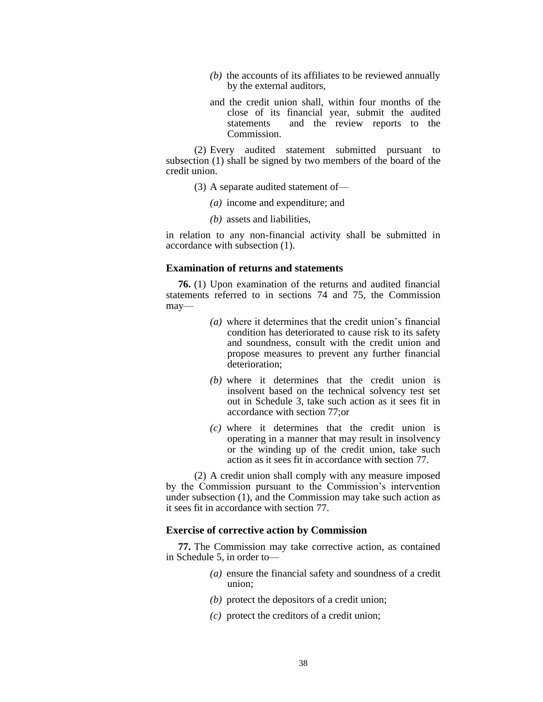- *(b)* the accounts of its affiliates to be reviewed annually by the external auditors,
- and the credit union shall, within four months of the close of its financial year, submit the audited statements and the review reports to the **Commission**

(2) Every audited statement submitted pursuant to subsection (1) shall be signed by two members of the board of the credit union.

- (3) A separate audited statement of—
	- *(a)* income and expenditure; and
	- *(b)* assets and liabilities,

in relation to any non-financial activity shall be submitted in accordance with subsection (1).

### **Examination of returns and statements**

**76.** (1) Upon examination of the returns and audited financial statements referred to in sections 74 and 75, the Commission may—

- *(a)* where it determines that the credit union's financial condition has deteriorated to cause risk to its safety and soundness, consult with the credit union and propose measures to prevent any further financial deterioration;
- *(b)* where it determines that the credit union is insolvent based on the technical solvency test set out in Schedule 3, take such action as it sees fit in accordance with section 77;or
- *(c)* where it determines that the credit union is operating in a manner that may result in insolvency or the winding up of the credit union, take such action as it sees fit in accordance with section 77.

(2) A credit union shall comply with any measure imposed by the Commission pursuant to the Commission's intervention under subsection (1), and the Commission may take such action as it sees fit in accordance with section 77.

### **Exercise of corrective action by Commission**

**77.** The Commission may take corrective action, as contained in Schedule 5, in order to—

- *(a)* ensure the financial safety and soundness of a credit union;
- *(b)* protect the depositors of a credit union;
- *(c)* protect the creditors of a credit union;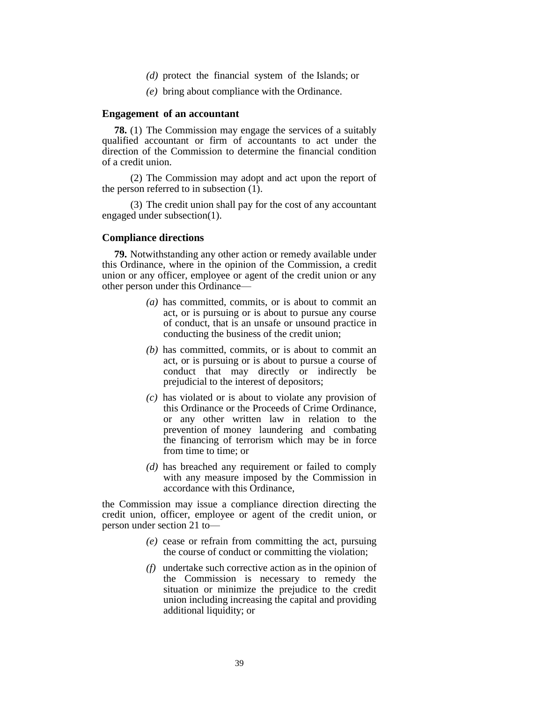- *(d)* protect the financial system of the Islands; or
- *(e)* bring about compliance with the Ordinance.

### **Engagement of an accountant**

**78.** (1) The Commission may engage the services of a suitably qualified accountant or firm of accountants to act under the direction of the Commission to determine the financial condition of a credit union.

(2) The Commission may adopt and act upon the report of the person referred to in subsection (1).

(3) The credit union shall pay for the cost of any accountant engaged under subsection(1).

### **Compliance directions**

**79.** Notwithstanding any other action or remedy available under this Ordinance, where in the opinion of the Commission, a credit union or any officer, employee or agent of the credit union or any other person under this Ordinance—

- *(a)* has committed, commits, or is about to commit an act, or is pursuing or is about to pursue any course of conduct, that is an unsafe or unsound practice in conducting the business of the credit union;
- *(b)* has committed, commits, or is about to commit an act, or is pursuing or is about to pursue a course of conduct that may directly or indirectly be prejudicial to the interest of depositors;
- *(c)* has violated or is about to violate any provision of this Ordinance or the Proceeds of Crime Ordinance, or any other written law in relation to the prevention of money laundering and combating the financing of terrorism which may be in force from time to time; or
- *(d)* has breached any requirement or failed to comply with any measure imposed by the Commission in accordance with this Ordinance,

the Commission may issue a compliance direction directing the credit union, officer, employee or agent of the credit union, or person under section 21 to—

- *(e)* cease or refrain from committing the act, pursuing the course of conduct or committing the violation;
- *(f)* undertake such corrective action as in the opinion of the Commission is necessary to remedy the situation or minimize the prejudice to the credit union including increasing the capital and providing additional liquidity; or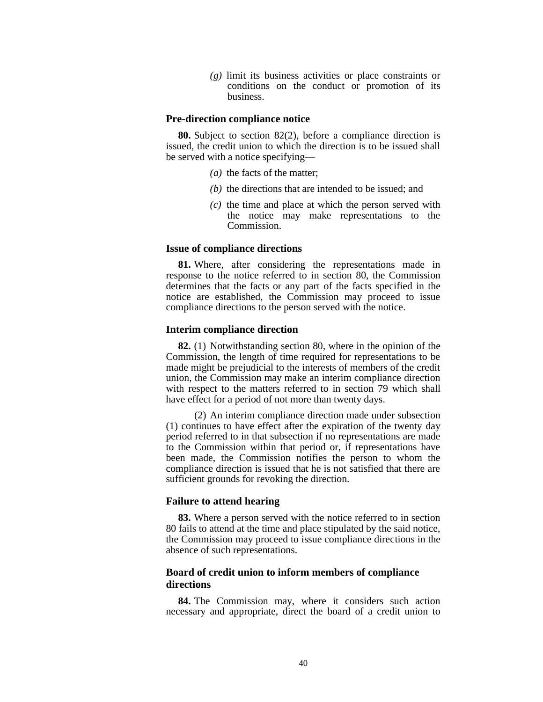*(g)* limit its business activities or place constraints or conditions on the conduct or promotion of its business.

#### **Pre-direction compliance notice**

**80.** Subject to section 82(2), before a compliance direction is issued, the credit union to which the direction is to be issued shall be served with a notice specifying—

- *(a)* the facts of the matter;
- *(b)* the directions that are intended to be issued; and
- *(c)* the time and place at which the person served with the notice may make representations to the Commission.

## **Issue of compliance directions**

**81.** Where, after considering the representations made in response to the notice referred to in section 80, the Commission determines that the facts or any part of the facts specified in the notice are established, the Commission may proceed to issue compliance directions to the person served with the notice.

#### **Interim compliance direction**

**82.** (1) Notwithstanding section 80, where in the opinion of the Commission, the length of time required for representations to be made might be prejudicial to the interests of members of the credit union, the Commission may make an interim compliance direction with respect to the matters referred to in section 79 which shall have effect for a period of not more than twenty days.

(2) An interim compliance direction made under subsection (1) continues to have effect after the expiration of the twenty day period referred to in that subsection if no representations are made to the Commission within that period or, if representations have been made, the Commission notifies the person to whom the compliance direction is issued that he is not satisfied that there are sufficient grounds for revoking the direction.

# **Failure to attend hearing**

**83.** Where a person served with the notice referred to in section 80 fails to attend at the time and place stipulated by the said notice, the Commission may proceed to issue compliance directions in the absence of such representations.

# **Board of credit union to inform members of compliance directions**

**84.** The Commission may, where it considers such action necessary and appropriate, direct the board of a credit union to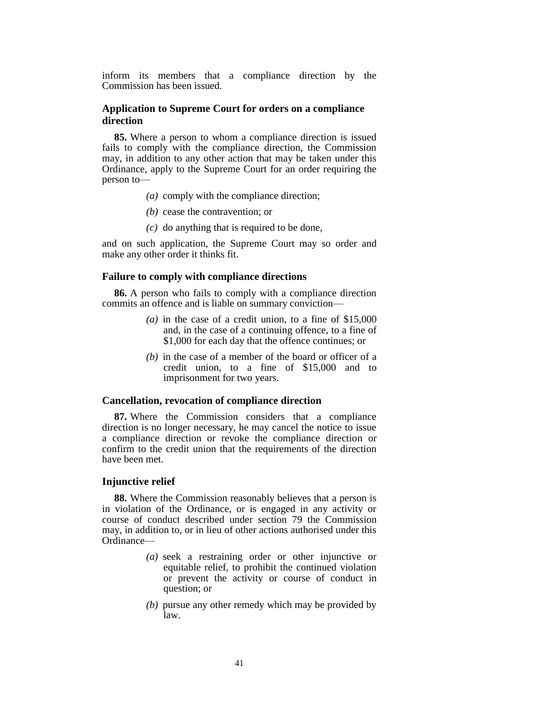inform its members that a compliance direction by the Commission has been issued.

# **Application to Supreme Court for orders on a compliance direction**

**85.** Where a person to whom a compliance direction is issued fails to comply with the compliance direction, the Commission may, in addition to any other action that may be taken under this Ordinance, apply to the Supreme Court for an order requiring the person to—

- *(a)* comply with the compliance direction;
- *(b)* cease the contravention; or
- *(c)* do anything that is required to be done,

and on such application, the Supreme Court may so order and make any other order it thinks fit.

#### **Failure to comply with compliance directions**

**86.** A person who fails to comply with a compliance direction commits an offence and is liable on summary conviction—

- *(a)* in the case of a credit union, to a fine of \$15,000 and, in the case of a continuing offence, to a fine of \$1,000 for each day that the offence continues; or
- *(b)* in the case of a member of the board or officer of a credit union, to a fine of \$15,000 and to imprisonment for two years.

# **Cancellation, revocation of compliance direction**

**87.** Where the Commission considers that a compliance direction is no longer necessary, he may cancel the notice to issue a compliance direction or revoke the compliance direction or confirm to the credit union that the requirements of the direction have been met.

### **Injunctive relief**

**88.** Where the Commission reasonably believes that a person is in violation of the Ordinance, or is engaged in any activity or course of conduct described under section 79 the Commission may, in addition to, or in lieu of other actions authorised under this Ordinance—

- *(a)* seek a restraining order or other injunctive or equitable relief, to prohibit the continued violation or prevent the activity or course of conduct in question; or
- *(b)* pursue any other remedy which may be provided by law.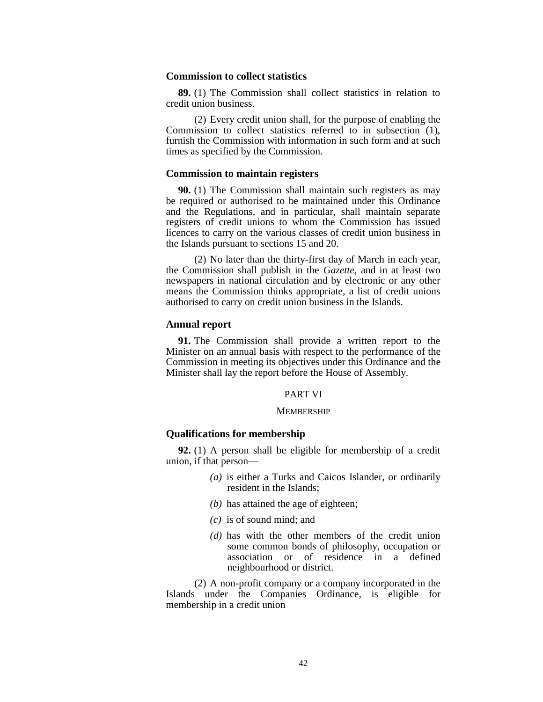## **Commission to collect statistics**

**89.** (1) The Commission shall collect statistics in relation to credit union business.

(2) Every credit union shall, for the purpose of enabling the Commission to collect statistics referred to in subsection (1), furnish the Commission with information in such form and at such times as specified by the Commission.

#### **Commission to maintain registers**

**90.** (1) The Commission shall maintain such registers as may be required or authorised to be maintained under this Ordinance and the Regulations, and in particular, shall maintain separate registers of credit unions to whom the Commission has issued licences to carry on the various classes of credit union business in the Islands pursuant to sections 15 and 20.

(2) No later than the thirty-first day of March in each year, the Commission shall publish in the *Gazette*, and in at least two newspapers in national circulation and by electronic or any other means the Commission thinks appropriate, a list of credit unions authorised to carry on credit union business in the Islands.

### **Annual report**

**91.** The Commission shall provide a written report to the Minister on an annual basis with respect to the performance of the Commission in meeting its objectives under this Ordinance and the Minister shall lay the report before the House of Assembly.

# PART VI

#### **MEMBERSHIP**

# **Qualifications for membership**

**92.** (1) A person shall be eligible for membership of a credit union, if that person—

- *(a)* is either a Turks and Caicos Islander, or ordinarily resident in the Islands;
- *(b)* has attained the age of eighteen;
- *(c)* is of sound mind; and
- *(d)* has with the other members of the credit union some common bonds of philosophy, occupation or association or of residence in a defined neighbourhood or district.

(2) A non-profit company or a company incorporated in the Islands under the Companies Ordinance, is eligible for membership in a credit union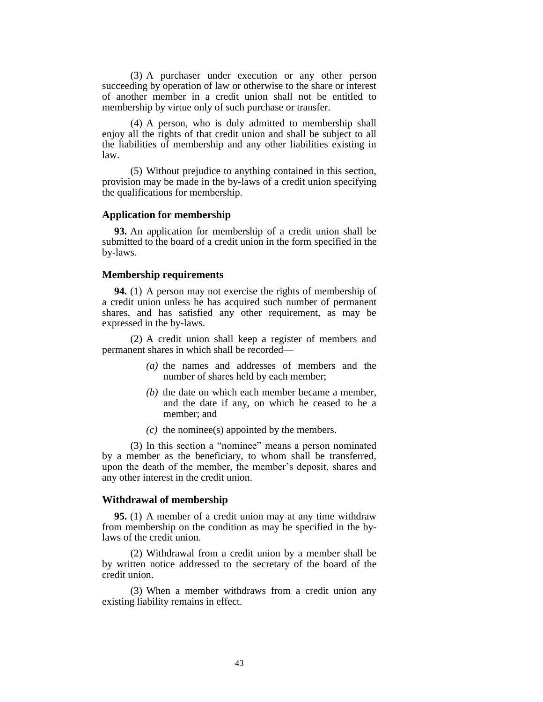(3) A purchaser under execution or any other person succeeding by operation of law or otherwise to the share or interest of another member in a credit union shall not be entitled to membership by virtue only of such purchase or transfer.

(4) A person, who is duly admitted to membership shall enjoy all the rights of that credit union and shall be subject to all the liabilities of membership and any other liabilities existing in law.

(5) Without prejudice to anything contained in this section, provision may be made in the by-laws of a credit union specifying the qualifications for membership.

# **Application for membership**

**93.** An application for membership of a credit union shall be submitted to the board of a credit union in the form specified in the by-laws.

### **Membership requirements**

**94.** (1) A person may not exercise the rights of membership of a credit union unless he has acquired such number of permanent shares, and has satisfied any other requirement, as may be expressed in the by-laws.

(2) A credit union shall keep a register of members and permanent shares in which shall be recorded—

- *(a)* the names and addresses of members and the number of shares held by each member;
- *(b)* the date on which each member became a member, and the date if any, on which he ceased to be a member; and
- *(c)* the nominee(s) appointed by the members.

(3) In this section a "nominee" means a person nominated by a member as the beneficiary, to whom shall be transferred, upon the death of the member, the member's deposit, shares and any other interest in the credit union.

### **Withdrawal of membership**

**95.** (1) A member of a credit union may at any time withdraw from membership on the condition as may be specified in the bylaws of the credit union.

(2) Withdrawal from a credit union by a member shall be by written notice addressed to the secretary of the board of the credit union.

(3) When a member withdraws from a credit union any existing liability remains in effect.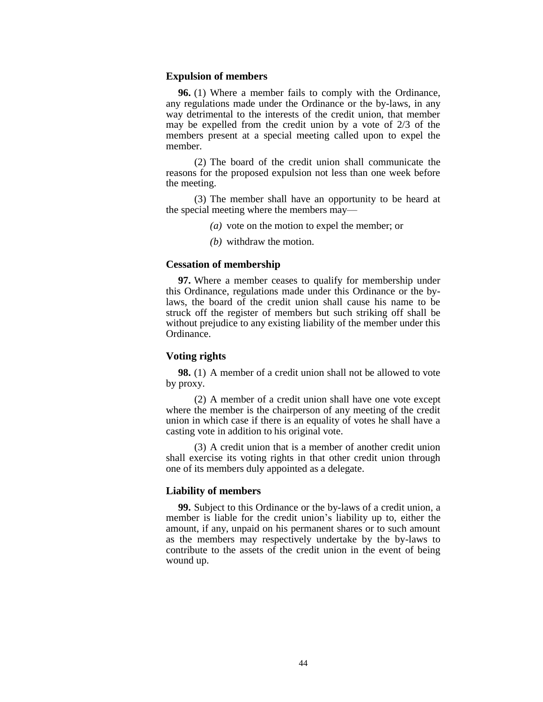### **Expulsion of members**

**96.** (1) Where a member fails to comply with the Ordinance, any regulations made under the Ordinance or the by-laws, in any way detrimental to the interests of the credit union, that member may be expelled from the credit union by a vote of 2/3 of the members present at a special meeting called upon to expel the member.

(2) The board of the credit union shall communicate the reasons for the proposed expulsion not less than one week before the meeting.

(3) The member shall have an opportunity to be heard at the special meeting where the members may—

- *(a)* vote on the motion to expel the member; or
- *(b)* withdraw the motion.

### **Cessation of membership**

**97.** Where a member ceases to qualify for membership under this Ordinance, regulations made under this Ordinance or the bylaws, the board of the credit union shall cause his name to be struck off the register of members but such striking off shall be without prejudice to any existing liability of the member under this Ordinance.

# **Voting rights**

**98.** (1) A member of a credit union shall not be allowed to vote by proxy.

(2) A member of a credit union shall have one vote except where the member is the chairperson of any meeting of the credit union in which case if there is an equality of votes he shall have a casting vote in addition to his original vote.

(3) A credit union that is a member of another credit union shall exercise its voting rights in that other credit union through one of its members duly appointed as a delegate.

### **Liability of members**

**99.** Subject to this Ordinance or the by-laws of a credit union, a member is liable for the credit union's liability up to, either the amount, if any, unpaid on his permanent shares or to such amount as the members may respectively undertake by the by-laws to contribute to the assets of the credit union in the event of being wound up.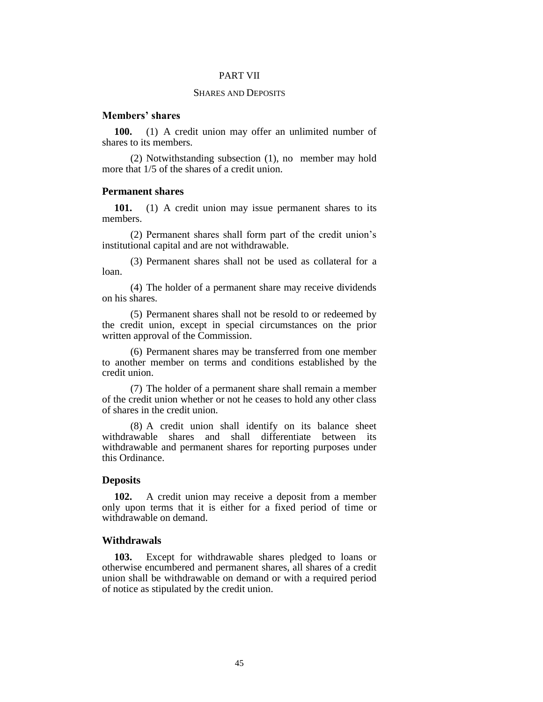### PART VII

# SHARES AND DEPOSITS

# **Members' shares**

**100.** (1) A credit union may offer an unlimited number of shares to its members.

(2) Notwithstanding subsection (1), no member may hold more that 1/5 of the shares of a credit union.

### **Permanent shares**

**101.** (1) A credit union may issue permanent shares to its members.

(2) Permanent shares shall form part of the credit union's institutional capital and are not withdrawable.

(3) Permanent shares shall not be used as collateral for a loan.

(4) The holder of a permanent share may receive dividends on his shares.

(5) Permanent shares shall not be resold to or redeemed by the credit union, except in special circumstances on the prior written approval of the Commission.

(6) Permanent shares may be transferred from one member to another member on terms and conditions established by the credit union.

(7) The holder of a permanent share shall remain a member of the credit union whether or not he ceases to hold any other class of shares in the credit union.

(8) A credit union shall identify on its balance sheet withdrawable shares and shall differentiate between its withdrawable and permanent shares for reporting purposes under this Ordinance.

### **Deposits**

**102.** A credit union may receive a deposit from a member only upon terms that it is either for a fixed period of time or withdrawable on demand.

### **Withdrawals**

**103.** Except for withdrawable shares pledged to loans or otherwise encumbered and permanent shares, all shares of a credit union shall be withdrawable on demand or with a required period of notice as stipulated by the credit union.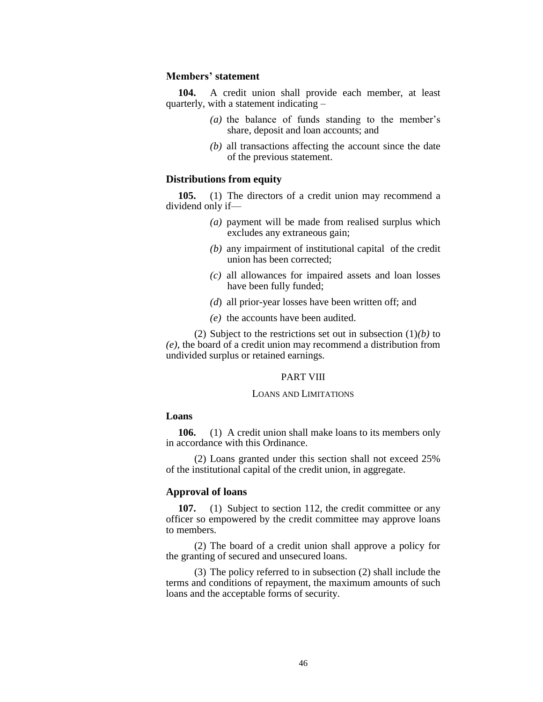## **Members' statement**

**104.** A credit union shall provide each member, at least quarterly, with a statement indicating –

- *(a)* the balance of funds standing to the member's share, deposit and loan accounts; and
- *(b)* all transactions affecting the account since the date of the previous statement.

# **Distributions from equity**

**105.** (1) The directors of a credit union may recommend a dividend only if—

- *(a)* payment will be made from realised surplus which excludes any extraneous gain;
- *(b)* any impairment of institutional capital of the credit union has been corrected;
- *(c)* all allowances for impaired assets and loan losses have been fully funded;
- *(d*) all prior-year losses have been written off; and
- *(e)* the accounts have been audited.

(2) Subject to the restrictions set out in subsection (1)*(b)* to *(e)*, the board of a credit union may recommend a distribution from undivided surplus or retained earnings.

#### PART VIII

#### LOANS AND LIMITATIONS

# **Loans**

**106.** (1) A credit union shall make loans to its members only in accordance with this Ordinance.

(2) Loans granted under this section shall not exceed 25% of the institutional capital of the credit union, in aggregate.

# **Approval of loans**

107. (1) Subject to section 112, the credit committee or any officer so empowered by the credit committee may approve loans to members.

(2) The board of a credit union shall approve a policy for the granting of secured and unsecured loans.

(3) The policy referred to in subsection (2) shall include the terms and conditions of repayment, the maximum amounts of such loans and the acceptable forms of security.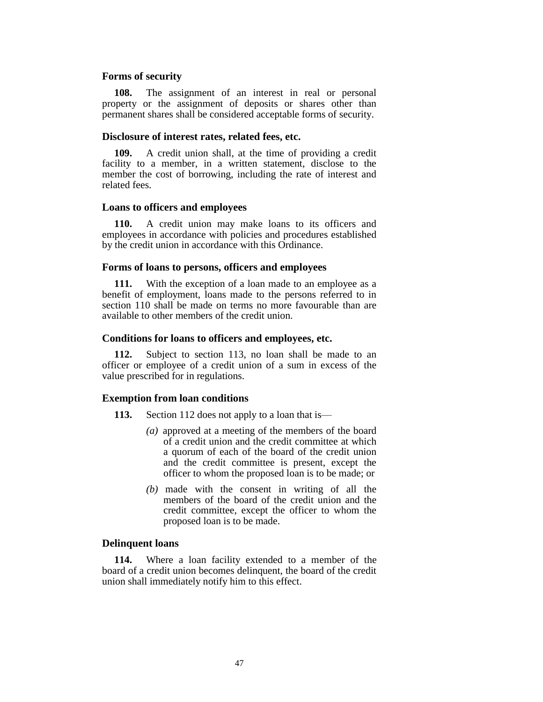### **Forms of security**

**108.** The assignment of an interest in real or personal property or the assignment of deposits or shares other than permanent shares shall be considered acceptable forms of security.

## **Disclosure of interest rates, related fees, etc.**

**109.** A credit union shall, at the time of providing a credit facility to a member, in a written statement, disclose to the member the cost of borrowing, including the rate of interest and related fees.

#### **Loans to officers and employees**

**110.** A credit union may make loans to its officers and employees in accordance with policies and procedures established by the credit union in accordance with this Ordinance.

# **Forms of loans to persons, officers and employees**

**111.** With the exception of a loan made to an employee as a benefit of employment, loans made to the persons referred to in section 110 shall be made on terms no more favourable than are available to other members of the credit union.

# **Conditions for loans to officers and employees, etc.**

**112.** Subject to section 113, no loan shall be made to an officer or employee of a credit union of a sum in excess of the value prescribed for in regulations.

#### **Exemption from loan conditions**

- **113.** Section 112 does not apply to a loan that is—
	- *(a)* approved at a meeting of the members of the board of a credit union and the credit committee at which a quorum of each of the board of the credit union and the credit committee is present, except the officer to whom the proposed loan is to be made; or
	- *(b)* made with the consent in writing of all the members of the board of the credit union and the credit committee, except the officer to whom the proposed loan is to be made.

# **Delinquent loans**

**114.** Where a loan facility extended to a member of the board of a credit union becomes delinquent, the board of the credit union shall immediately notify him to this effect.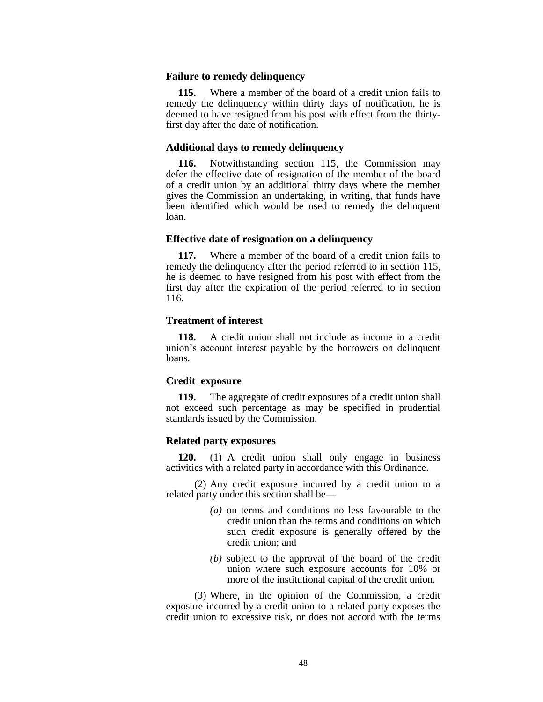### **Failure to remedy delinquency**

**115.** Where a member of the board of a credit union fails to remedy the delinquency within thirty days of notification, he is deemed to have resigned from his post with effect from the thirtyfirst day after the date of notification.

### **Additional days to remedy delinquency**

**116.** Notwithstanding section 115, the Commission may defer the effective date of resignation of the member of the board of a credit union by an additional thirty days where the member gives the Commission an undertaking, in writing, that funds have been identified which would be used to remedy the delinquent loan.

### **Effective date of resignation on a delinquency**

**117.** Where a member of the board of a credit union fails to remedy the delinquency after the period referred to in section 115, he is deemed to have resigned from his post with effect from the first day after the expiration of the period referred to in section 116.

# **Treatment of interest**

**118.** A credit union shall not include as income in a credit union's account interest payable by the borrowers on delinquent loans.

### **Credit exposure**

**119.** The aggregate of credit exposures of a credit union shall not exceed such percentage as may be specified in prudential standards issued by the Commission.

### **Related party exposures**

**120.** (1) A credit union shall only engage in business activities with a related party in accordance with this Ordinance.

(2) Any credit exposure incurred by a credit union to a related party under this section shall be—

- *(a)* on terms and conditions no less favourable to the credit union than the terms and conditions on which such credit exposure is generally offered by the credit union; and
- *(b)* subject to the approval of the board of the credit union where such exposure accounts for 10% or more of the institutional capital of the credit union.

(3) Where, in the opinion of the Commission, a credit exposure incurred by a credit union to a related party exposes the credit union to excessive risk, or does not accord with the terms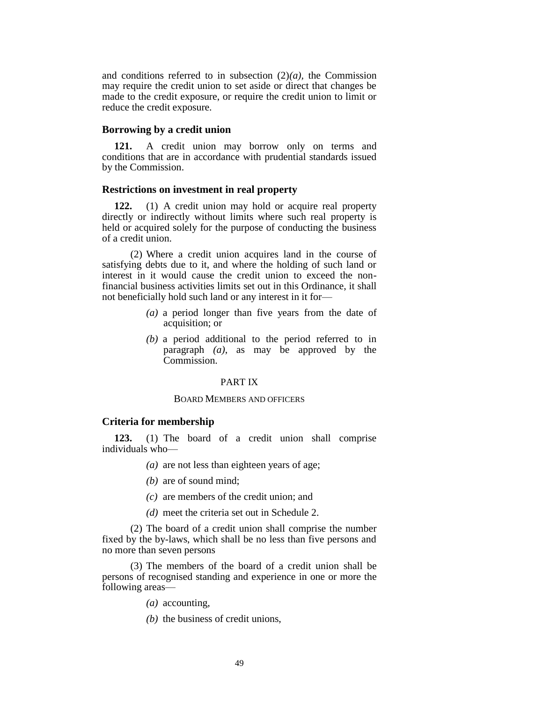and conditions referred to in subsection (2)*(a),* the Commission may require the credit union to set aside or direct that changes be made to the credit exposure, or require the credit union to limit or reduce the credit exposure.

# **Borrowing by a credit union**

**121.** A credit union may borrow only on terms and conditions that are in accordance with prudential standards issued by the Commission.

# **Restrictions on investment in real property**

**122.** (1) A credit union may hold or acquire real property directly or indirectly without limits where such real property is held or acquired solely for the purpose of conducting the business of a credit union.

(2) Where a credit union acquires land in the course of satisfying debts due to it, and where the holding of such land or interest in it would cause the credit union to exceed the nonfinancial business activities limits set out in this Ordinance, it shall not beneficially hold such land or any interest in it for—

- *(a)* a period longer than five years from the date of acquisition; or
- *(b)* a period additional to the period referred to in paragraph *(a)*, as may be approved by the Commission.

#### PART IX

#### BOARD MEMBERS AND OFFICERS

### **Criteria for membership**

**123.** (1) The board of a credit union shall comprise individuals who—

- *(a)* are not less than eighteen years of age;
- *(b)* are of sound mind;
- *(c)* are members of the credit union; and
- *(d)* meet the criteria set out in Schedule 2.

(2) The board of a credit union shall comprise the number fixed by the by-laws, which shall be no less than five persons and no more than seven persons

(3) The members of the board of a credit union shall be persons of recognised standing and experience in one or more the following areas—

- *(a)* accounting,
- *(b)* the business of credit unions,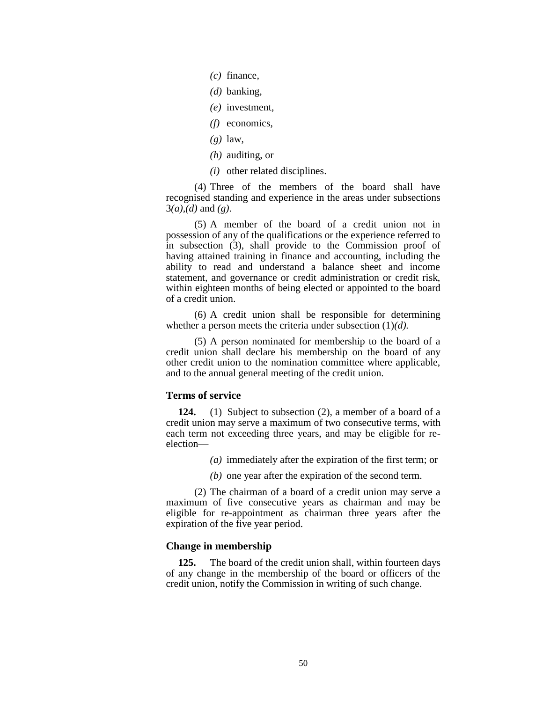- *(c)* finance,
- *(d)* banking,
- *(e)* investment,
- *(f)* economics,
- *(g)* law,
- *(h)* auditing, or
- *(i)* other related disciplines.

(4) Three of the members of the board shall have recognised standing and experience in the areas under subsections 3*(a),(d)* and *(g)*.

(5) A member of the board of a credit union not in possession of any of the qualifications or the experience referred to in subsection (3), shall provide to the Commission proof of having attained training in finance and accounting, including the ability to read and understand a balance sheet and income statement, and governance or credit administration or credit risk, within eighteen months of being elected or appointed to the board of a credit union.

(6) A credit union shall be responsible for determining whether a person meets the criteria under subsection (1)*(d).*

(5) A person nominated for membership to the board of a credit union shall declare his membership on the board of any other credit union to the nomination committee where applicable, and to the annual general meeting of the credit union.

### **Terms of service**

**124.** (1) Subject to subsection (2), a member of a board of a credit union may serve a maximum of two consecutive terms, with each term not exceeding three years, and may be eligible for reelection—

*(a)* immediately after the expiration of the first term; or

*(b)* one year after the expiration of the second term.

(2) The chairman of a board of a credit union may serve a maximum of five consecutive years as chairman and may be eligible for re-appointment as chairman three years after the expiration of the five year period.

# **Change in membership**

**125.** The board of the credit union shall, within fourteen days of any change in the membership of the board or officers of the credit union, notify the Commission in writing of such change.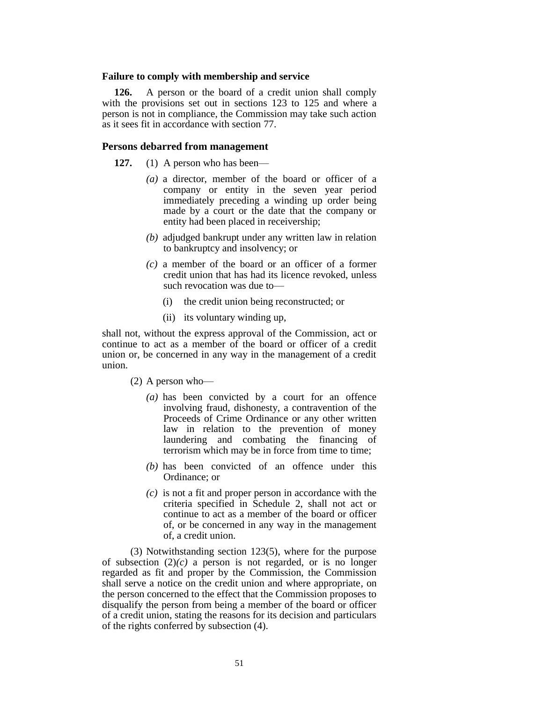### **Failure to comply with membership and service**

**126.** A person or the board of a credit union shall comply with the provisions set out in sections 123 to 125 and where a person is not in compliance, the Commission may take such action as it sees fit in accordance with section 77.

# **Persons debarred from management**

**127.** (1) A person who has been—

- *(a)* a director, member of the board or officer of a company or entity in the seven year period immediately preceding a winding up order being made by a court or the date that the company or entity had been placed in receivership;
- *(b)* adjudged bankrupt under any written law in relation to bankruptcy and insolvency; or
- *(c)* a member of the board or an officer of a former credit union that has had its licence revoked, unless such revocation was due to—
	- (i) the credit union being reconstructed; or
	- (ii) its voluntary winding up,

shall not, without the express approval of the Commission, act or continue to act as a member of the board or officer of a credit union or, be concerned in any way in the management of a credit union.

(2) A person who—

- *(a)* has been convicted by a court for an offence involving fraud, dishonesty, a contravention of the Proceeds of Crime Ordinance or any other written law in relation to the prevention of money laundering and combating the financing of terrorism which may be in force from time to time;
- *(b)* has been convicted of an offence under this Ordinance; or
- *(c)* is not a fit and proper person in accordance with the criteria specified in Schedule 2, shall not act or continue to act as a member of the board or officer of, or be concerned in any way in the management of, a credit union.

(3) Notwithstanding section 123(5), where for the purpose of subsection  $(2)(c)$  a person is not regarded, or is no longer regarded as fit and proper by the Commission, the Commission shall serve a notice on the credit union and where appropriate, on the person concerned to the effect that the Commission proposes to disqualify the person from being a member of the board or officer of a credit union, stating the reasons for its decision and particulars of the rights conferred by subsection (4).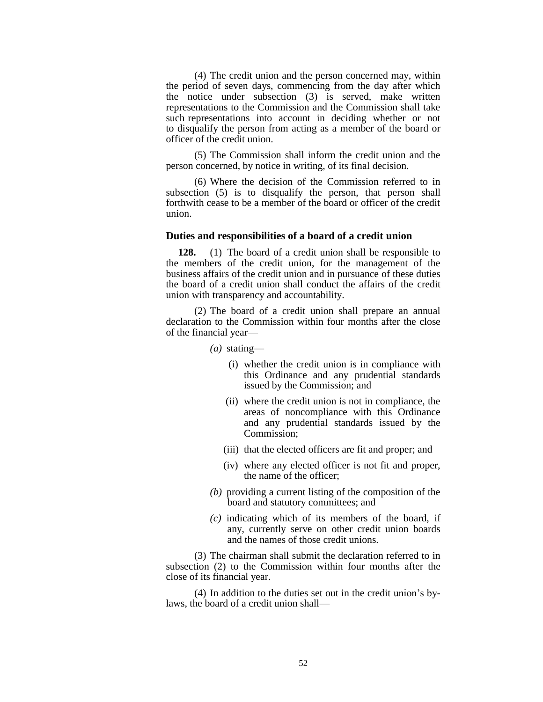(4) The credit union and the person concerned may, within the period of seven days, commencing from the day after which the notice under subsection (3) is served, make written representations to the Commission and the Commission shall take such representations into account in deciding whether or not to disqualify the person from acting as a member of the board or officer of the credit union.

(5) The Commission shall inform the credit union and the person concerned, by notice in writing, of its final decision.

(6) Where the decision of the Commission referred to in subsection (5) is to disqualify the person, that person shall forthwith cease to be a member of the board or officer of the credit union.

#### **Duties and responsibilities of a board of a credit union**

**128.** (1) The board of a credit union shall be responsible to the members of the credit union, for the management of the business affairs of the credit union and in pursuance of these duties the board of a credit union shall conduct the affairs of the credit union with transparency and accountability.

(2) The board of a credit union shall prepare an annual declaration to the Commission within four months after the close of the financial year—

- *(a)* stating—
	- (i) whether the credit union is in compliance with this Ordinance and any prudential standards issued by the Commission; and
	- (ii) where the credit union is not in compliance, the areas of noncompliance with this Ordinance and any prudential standards issued by the Commission;
	- (iii) that the elected officers are fit and proper; and
	- (iv) where any elected officer is not fit and proper, the name of the officer;
- *(b)* providing a current listing of the composition of the board and statutory committees; and
- *(c)* indicating which of its members of the board, if any, currently serve on other credit union boards and the names of those credit unions.

(3) The chairman shall submit the declaration referred to in subsection (2) to the Commission within four months after the close of its financial year.

(4) In addition to the duties set out in the credit union's bylaws, the board of a credit union shall—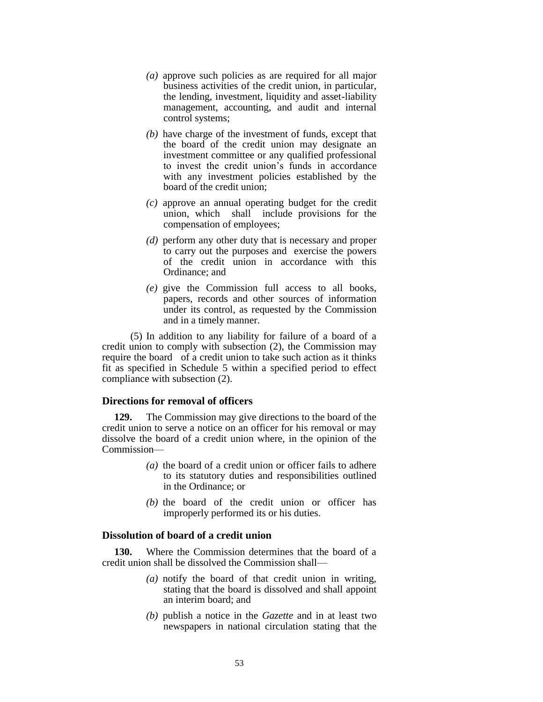- *(a)* approve such policies as are required for all major business activities of the credit union, in particular, the lending, investment, liquidity and asset-liability management, accounting, and audit and internal control systems;
- *(b)* have charge of the investment of funds, except that the board of the credit union may designate an investment committee or any qualified professional to invest the credit union's funds in accordance with any investment policies established by the board of the credit union;
- *(c)* approve an annual operating budget for the credit union, which shall include provisions for the compensation of employees;
- *(d)* perform any other duty that is necessary and proper to carry out the purposes and exercise the powers of the credit union in accordance with this Ordinance; and
- *(e)* give the Commission full access to all books, papers, records and other sources of information under its control, as requested by the Commission and in a timely manner.

(5) In addition to any liability for failure of a board of a credit union to comply with subsection (2), the Commission may require the board of a credit union to take such action as it thinks fit as specified in Schedule 5 within a specified period to effect compliance with subsection (2).

# **Directions for removal of officers**

**129.** The Commission may give directions to the board of the credit union to serve a notice on an officer for his removal or may dissolve the board of a credit union where, in the opinion of the Commission—

- *(a)* the board of a credit union or officer fails to adhere to its statutory duties and responsibilities outlined in the Ordinance; or
- *(b)* the board of the credit union or officer has improperly performed its or his duties.

# **Dissolution of board of a credit union**

**130.** Where the Commission determines that the board of a credit union shall be dissolved the Commission shall—

- *(a)* notify the board of that credit union in writing, stating that the board is dissolved and shall appoint an interim board; and
- *(b)* publish a notice in the *Gazette* and in at least two newspapers in national circulation stating that the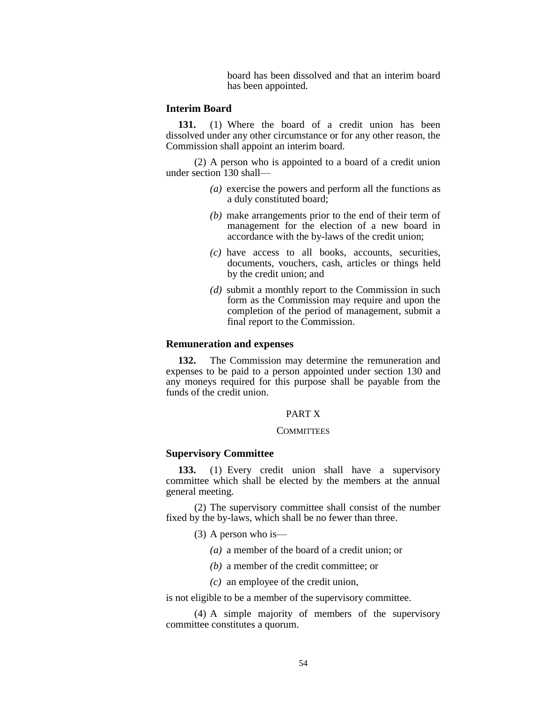board has been dissolved and that an interim board has been appointed.

# **Interim Board**

**131.** (1) Where the board of a credit union has been dissolved under any other circumstance or for any other reason, the Commission shall appoint an interim board.

(2) A person who is appointed to a board of a credit union under section 130 shall—

- *(a)* exercise the powers and perform all the functions as a duly constituted board;
- *(b)* make arrangements prior to the end of their term of management for the election of a new board in accordance with the by-laws of the credit union;
- *(c)* have access to all books, accounts, securities, documents, vouchers, cash, articles or things held by the credit union; and
- *(d)* submit a monthly report to the Commission in such form as the Commission may require and upon the completion of the period of management, submit a final report to the Commission.

### **Remuneration and expenses**

**132.** The Commission may determine the remuneration and expenses to be paid to a person appointed under section 130 and any moneys required for this purpose shall be payable from the funds of the credit union.

# PART X

#### **COMMITTEES**

### **Supervisory Committee**

**133.** (1) Every credit union shall have a supervisory committee which shall be elected by the members at the annual general meeting.

(2) The supervisory committee shall consist of the number fixed by the by-laws, which shall be no fewer than three.

- (3) A person who is—
	- *(a)* a member of the board of a credit union; or
	- *(b)* a member of the credit committee; or
	- *(c)* an employee of the credit union,

is not eligible to be a member of the supervisory committee.

(4) A simple majority of members of the supervisory committee constitutes a quorum.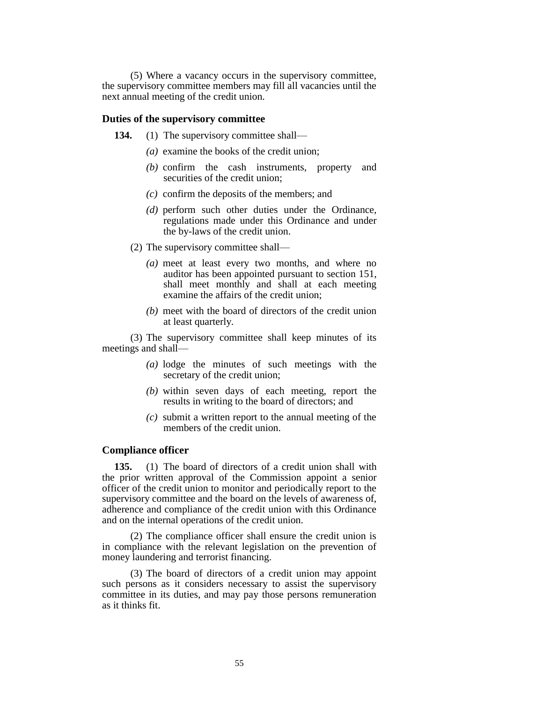(5) Where a vacancy occurs in the supervisory committee, the supervisory committee members may fill all vacancies until the next annual meeting of the credit union.

#### **Duties of the supervisory committee**

- 134. (1) The supervisory committee shall—
	- *(a)* examine the books of the credit union;
	- *(b)* confirm the cash instruments, property and securities of the credit union;
	- *(c)* confirm the deposits of the members; and
	- *(d)* perform such other duties under the Ordinance, regulations made under this Ordinance and under the by-laws of the credit union.
	- (2) The supervisory committee shall—
		- *(a)* meet at least every two months, and where no auditor has been appointed pursuant to section 151, shall meet monthly and shall at each meeting examine the affairs of the credit union;
		- *(b)* meet with the board of directors of the credit union at least quarterly.

(3) The supervisory committee shall keep minutes of its meetings and shall—

- *(a)* lodge the minutes of such meetings with the secretary of the credit union;
- *(b)* within seven days of each meeting, report the results in writing to the board of directors; and
- *(c)* submit a written report to the annual meeting of the members of the credit union.

### **Compliance officer**

**135.** (1) The board of directors of a credit union shall with the prior written approval of the Commission appoint a senior officer of the credit union to monitor and periodically report to the supervisory committee and the board on the levels of awareness of, adherence and compliance of the credit union with this Ordinance and on the internal operations of the credit union.

(2) The compliance officer shall ensure the credit union is in compliance with the relevant legislation on the prevention of money laundering and terrorist financing.

(3) The board of directors of a credit union may appoint such persons as it considers necessary to assist the supervisory committee in its duties, and may pay those persons remuneration as it thinks fit.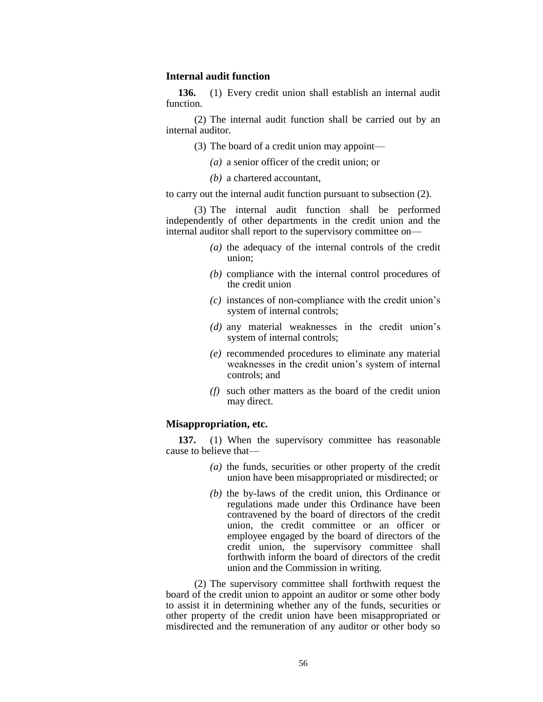# **Internal audit function**

**136.** (1) Every credit union shall establish an internal audit function.

(2) The internal audit function shall be carried out by an internal auditor.

- (3) The board of a credit union may appoint—
	- *(a)* a senior officer of the credit union; or
	- *(b)* a chartered accountant,

to carry out the internal audit function pursuant to subsection (2).

(3) The internal audit function shall be performed independently of other departments in the credit union and the internal auditor shall report to the supervisory committee on—

- *(a)* the adequacy of the internal controls of the credit union;
- *(b)* compliance with the internal control procedures of the credit union
- *(c)* instances of non-compliance with the credit union's system of internal controls;
- *(d)* any material weaknesses in the credit union's system of internal controls;
- *(e)* recommended procedures to eliminate any material weaknesses in the credit union's system of internal controls; and
- *(f)* such other matters as the board of the credit union may direct.

# **Misappropriation, etc.**

**137.** (1) When the supervisory committee has reasonable cause to believe that—

- *(a)* the funds, securities or other property of the credit union have been misappropriated or misdirected; or
- *(b)* the by-laws of the credit union, this Ordinance or regulations made under this Ordinance have been contravened by the board of directors of the credit union, the credit committee or an officer or employee engaged by the board of directors of the credit union, the supervisory committee shall forthwith inform the board of directors of the credit union and the Commission in writing.

(2) The supervisory committee shall forthwith request the board of the credit union to appoint an auditor or some other body to assist it in determining whether any of the funds, securities or other property of the credit union have been misappropriated or misdirected and the remuneration of any auditor or other body so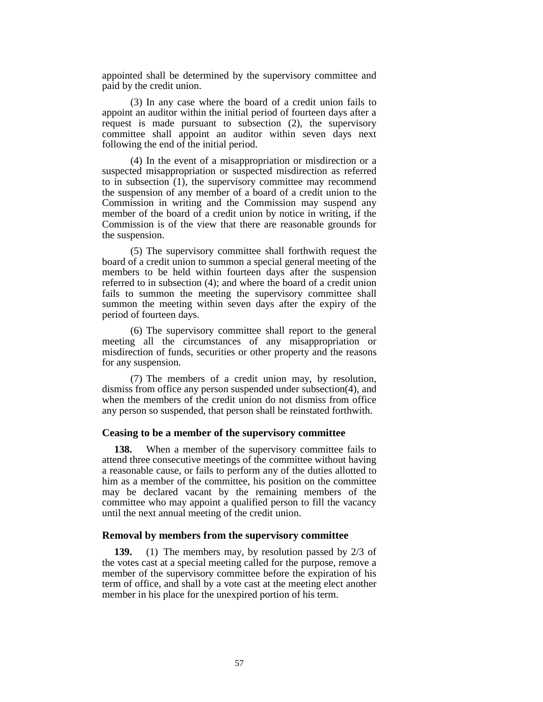appointed shall be determined by the supervisory committee and paid by the credit union.

(3) In any case where the board of a credit union fails to appoint an auditor within the initial period of fourteen days after a request is made pursuant to subsection (2), the supervisory committee shall appoint an auditor within seven days next following the end of the initial period.

(4) In the event of a misappropriation or misdirection or a suspected misappropriation or suspected misdirection as referred to in subsection (1), the supervisory committee may recommend the suspension of any member of a board of a credit union to the Commission in writing and the Commission may suspend any member of the board of a credit union by notice in writing, if the Commission is of the view that there are reasonable grounds for the suspension.

(5) The supervisory committee shall forthwith request the board of a credit union to summon a special general meeting of the members to be held within fourteen days after the suspension referred to in subsection (4); and where the board of a credit union fails to summon the meeting the supervisory committee shall summon the meeting within seven days after the expiry of the period of fourteen days.

(6) The supervisory committee shall report to the general meeting all the circumstances of any misappropriation or misdirection of funds, securities or other property and the reasons for any suspension.

(7) The members of a credit union may, by resolution, dismiss from office any person suspended under subsection(4), and when the members of the credit union do not dismiss from office any person so suspended, that person shall be reinstated forthwith.

#### **Ceasing to be a member of the supervisory committee**

**138.** When a member of the supervisory committee fails to attend three consecutive meetings of the committee without having a reasonable cause, or fails to perform any of the duties allotted to him as a member of the committee, his position on the committee may be declared vacant by the remaining members of the committee who may appoint a qualified person to fill the vacancy until the next annual meeting of the credit union.

# **Removal by members from the supervisory committee**

**139.** (1) The members may, by resolution passed by 2/3 of the votes cast at a special meeting called for the purpose, remove a member of the supervisory committee before the expiration of his term of office, and shall by a vote cast at the meeting elect another member in his place for the unexpired portion of his term.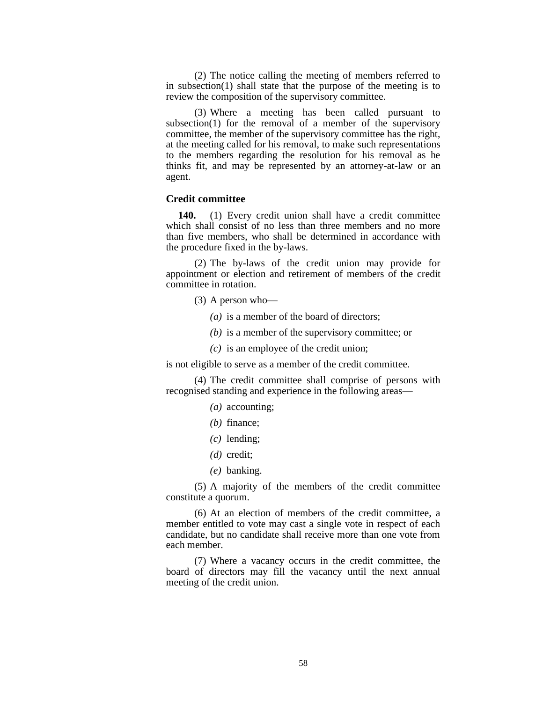(2) The notice calling the meeting of members referred to in subsection(1) shall state that the purpose of the meeting is to review the composition of the supervisory committee.

(3) Where a meeting has been called pursuant to subsection(1) for the removal of a member of the supervisory committee, the member of the supervisory committee has the right, at the meeting called for his removal, to make such representations to the members regarding the resolution for his removal as he thinks fit, and may be represented by an attorney-at-law or an agent.

#### **Credit committee**

**140.** (1) Every credit union shall have a credit committee which shall consist of no less than three members and no more than five members, who shall be determined in accordance with the procedure fixed in the by-laws.

(2) The by-laws of the credit union may provide for appointment or election and retirement of members of the credit committee in rotation.

- (3) A person who—
	- *(a)* is a member of the board of directors;
	- *(b)* is a member of the supervisory committee; or
	- *(c)* is an employee of the credit union;

is not eligible to serve as a member of the credit committee.

(4) The credit committee shall comprise of persons with recognised standing and experience in the following areas—

- *(a)* accounting;
- *(b)* finance;
- *(c)* lending;
- *(d)* credit;
- *(e)* banking.

(5) A majority of the members of the credit committee constitute a quorum.

(6) At an election of members of the credit committee, a member entitled to vote may cast a single vote in respect of each candidate, but no candidate shall receive more than one vote from each member.

(7) Where a vacancy occurs in the credit committee, the board of directors may fill the vacancy until the next annual meeting of the credit union.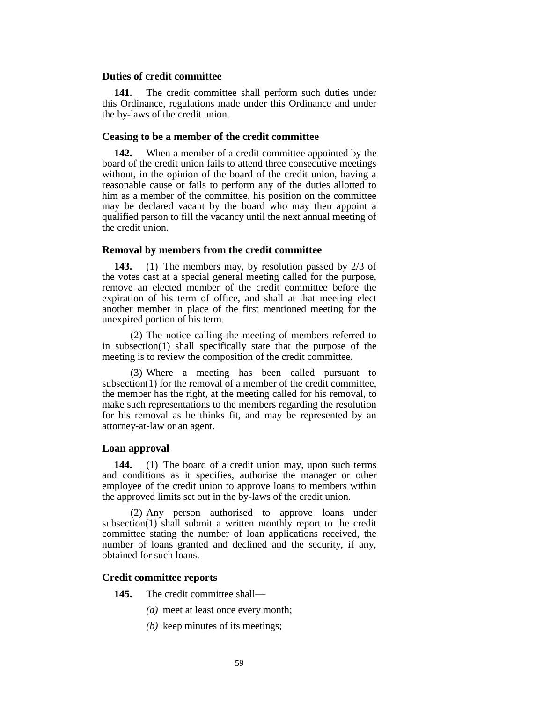#### **Duties of credit committee**

**141.** The credit committee shall perform such duties under this Ordinance, regulations made under this Ordinance and under the by-laws of the credit union.

# **Ceasing to be a member of the credit committee**

**142.** When a member of a credit committee appointed by the board of the credit union fails to attend three consecutive meetings without, in the opinion of the board of the credit union, having a reasonable cause or fails to perform any of the duties allotted to him as a member of the committee, his position on the committee may be declared vacant by the board who may then appoint a qualified person to fill the vacancy until the next annual meeting of the credit union.

### **Removal by members from the credit committee**

**143.** (1) The members may, by resolution passed by 2/3 of the votes cast at a special general meeting called for the purpose, remove an elected member of the credit committee before the expiration of his term of office, and shall at that meeting elect another member in place of the first mentioned meeting for the unexpired portion of his term.

(2) The notice calling the meeting of members referred to in subsection(1) shall specifically state that the purpose of the meeting is to review the composition of the credit committee.

(3) Where a meeting has been called pursuant to subsection(1) for the removal of a member of the credit committee, the member has the right, at the meeting called for his removal, to make such representations to the members regarding the resolution for his removal as he thinks fit, and may be represented by an attorney-at-law or an agent.

### **Loan approval**

**144.** (1) The board of a credit union may, upon such terms and conditions as it specifies, authorise the manager or other employee of the credit union to approve loans to members within the approved limits set out in the by-laws of the credit union.

(2) Any person authorised to approve loans under subsection(1) shall submit a written monthly report to the credit committee stating the number of loan applications received, the number of loans granted and declined and the security, if any, obtained for such loans.

### **Credit committee reports**

- **145.** The credit committee shall—
	- *(a)* meet at least once every month;
	- *(b)* keep minutes of its meetings;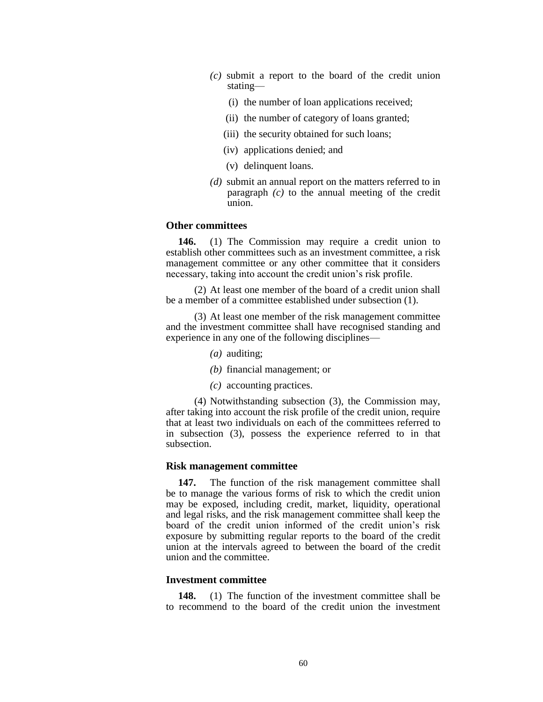- *(c)* submit a report to the board of the credit union stating—
	- (i) the number of loan applications received;
	- (ii) the number of category of loans granted;
	- (iii) the security obtained for such loans;
	- (iv) applications denied; and
	- (v) delinquent loans.
- *(d)* submit an annual report on the matters referred to in paragraph *(c)* to the annual meeting of the credit union.

# **Other committees**

**146.** (1) The Commission may require a credit union to establish other committees such as an investment committee, a risk management committee or any other committee that it considers necessary, taking into account the credit union's risk profile.

(2) At least one member of the board of a credit union shall be a member of a committee established under subsection (1).

(3) At least one member of the risk management committee and the investment committee shall have recognised standing and experience in any one of the following disciplines—

- *(a)* auditing;
- *(b)* financial management; or
- *(c)* accounting practices.

(4) Notwithstanding subsection (3), the Commission may, after taking into account the risk profile of the credit union, require that at least two individuals on each of the committees referred to in subsection (3), possess the experience referred to in that subsection.

### **Risk management committee**

**147.** The function of the risk management committee shall be to manage the various forms of risk to which the credit union may be exposed, including credit, market, liquidity, operational and legal risks, and the risk management committee shall keep the board of the credit union informed of the credit union's risk exposure by submitting regular reports to the board of the credit union at the intervals agreed to between the board of the credit union and the committee.

# **Investment committee**

**148.** (1) The function of the investment committee shall be to recommend to the board of the credit union the investment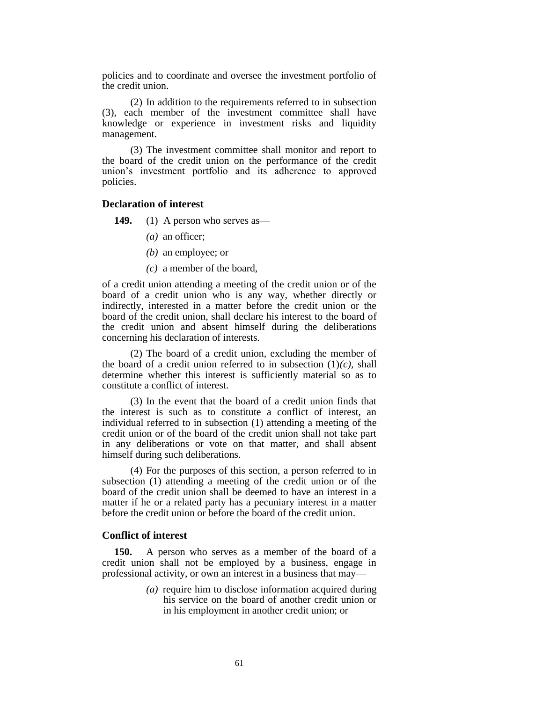policies and to coordinate and oversee the investment portfolio of the credit union.

(2) In addition to the requirements referred to in subsection (3), each member of the investment committee shall have knowledge or experience in investment risks and liquidity management.

(3) The investment committee shall monitor and report to the board of the credit union on the performance of the credit union's investment portfolio and its adherence to approved policies.

# **Declaration of interest**

**149.** (1) A person who serves as—

- *(a)* an officer;
- *(b)* an employee; or
- *(c)* a member of the board,

of a credit union attending a meeting of the credit union or of the board of a credit union who is any way, whether directly or indirectly, interested in a matter before the credit union or the board of the credit union, shall declare his interest to the board of the credit union and absent himself during the deliberations concerning his declaration of interests.

(2) The board of a credit union, excluding the member of the board of a credit union referred to in subsection  $(1)(c)$ , shall determine whether this interest is sufficiently material so as to constitute a conflict of interest.

(3) In the event that the board of a credit union finds that the interest is such as to constitute a conflict of interest, an individual referred to in subsection (1) attending a meeting of the credit union or of the board of the credit union shall not take part in any deliberations or vote on that matter, and shall absent himself during such deliberations.

(4) For the purposes of this section, a person referred to in subsection (1) attending a meeting of the credit union or of the board of the credit union shall be deemed to have an interest in a matter if he or a related party has a pecuniary interest in a matter before the credit union or before the board of the credit union.

# **Conflict of interest**

**150.** A person who serves as a member of the board of a credit union shall not be employed by a business, engage in professional activity, or own an interest in a business that may—

> *(a)* require him to disclose information acquired during his service on the board of another credit union or in his employment in another credit union; or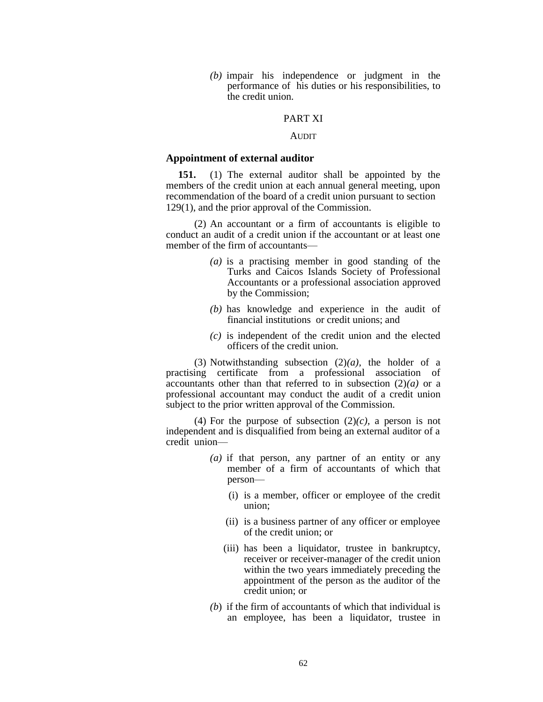*(b)* impair his independence or judgment in the performance of his duties or his responsibilities, to the credit union.

### PART XI

### AUDIT

#### **Appointment of external auditor**

**151.** (1) The external auditor shall be appointed by the members of the credit union at each annual general meeting, upon recommendation of the board of a credit union pursuant to section 129(1), and the prior approval of the Commission.

(2) An accountant or a firm of accountants is eligible to conduct an audit of a credit union if the accountant or at least one member of the firm of accountants—

- *(a)* is a practising member in good standing of the Turks and Caicos Islands Society of Professional Accountants or a professional association approved by the Commission;
- *(b)* has knowledge and experience in the audit of financial institutions or credit unions; and
- *(c)* is independent of the credit union and the elected officers of the credit union.

(3) Notwithstanding subsection (2)*(a),* the holder of a practising certificate from a professional association of accountants other than that referred to in subsection  $(2)(a)$  or a professional accountant may conduct the audit of a credit union subject to the prior written approval of the Commission.

(4) For the purpose of subsection  $(2)(c)$ , a person is not independent and is disqualified from being an external auditor of a credit union—

- *(a)* if that person, any partner of an entity or any member of a firm of accountants of which that person—
	- (i) is a member, officer or employee of the credit union;
	- (ii) is a business partner of any officer or employee of the credit union; or
	- (iii) has been a liquidator, trustee in bankruptcy, receiver or receiver-manager of the credit union within the two years immediately preceding the appointment of the person as the auditor of the credit union; or
- *(b*) if the firm of accountants of which that individual is an employee, has been a liquidator, trustee in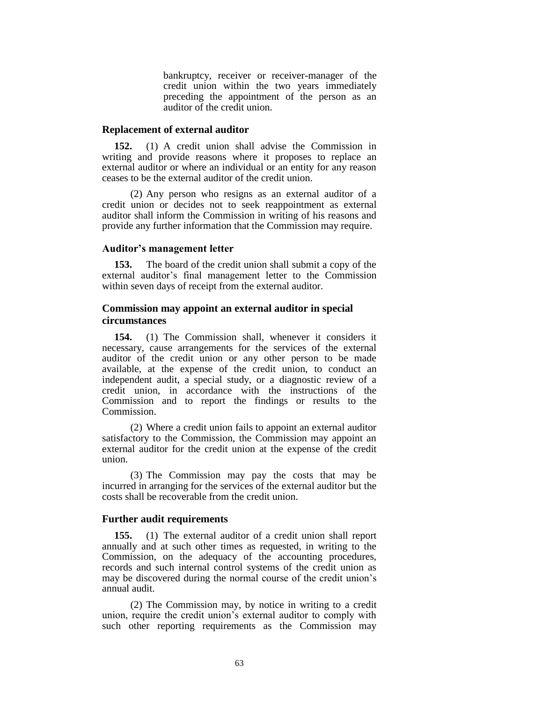bankruptcy, receiver or receiver-manager of the credit union within the two years immediately preceding the appointment of the person as an auditor of the credit union.

### **Replacement of external auditor**

**152.** (1) A credit union shall advise the Commission in writing and provide reasons where it proposes to replace an external auditor or where an individual or an entity for any reason ceases to be the external auditor of the credit union.

(2) Any person who resigns as an external auditor of a credit union or decides not to seek reappointment as external auditor shall inform the Commission in writing of his reasons and provide any further information that the Commission may require.

# **Auditor's management letter**

**153.** The board of the credit union shall submit a copy of the external auditor's final management letter to the Commission within seven days of receipt from the external auditor.

# **Commission may appoint an external auditor in special circumstances**

**154.** (1) The Commission shall, whenever it considers it necessary, cause arrangements for the services of the external auditor of the credit union or any other person to be made available, at the expense of the credit union, to conduct an independent audit, a special study, or a diagnostic review of a credit union, in accordance with the instructions of the Commission and to report the findings or results to the Commission.

(2) Where a credit union fails to appoint an external auditor satisfactory to the Commission, the Commission may appoint an external auditor for the credit union at the expense of the credit union.

(3) The Commission may pay the costs that may be incurred in arranging for the services of the external auditor but the costs shall be recoverable from the credit union.

### **Further audit requirements**

**155.** (1) The external auditor of a credit union shall report annually and at such other times as requested, in writing to the Commission, on the adequacy of the accounting procedures, records and such internal control systems of the credit union as may be discovered during the normal course of the credit union's annual audit.

(2) The Commission may, by notice in writing to a credit union, require the credit union's external auditor to comply with such other reporting requirements as the Commission may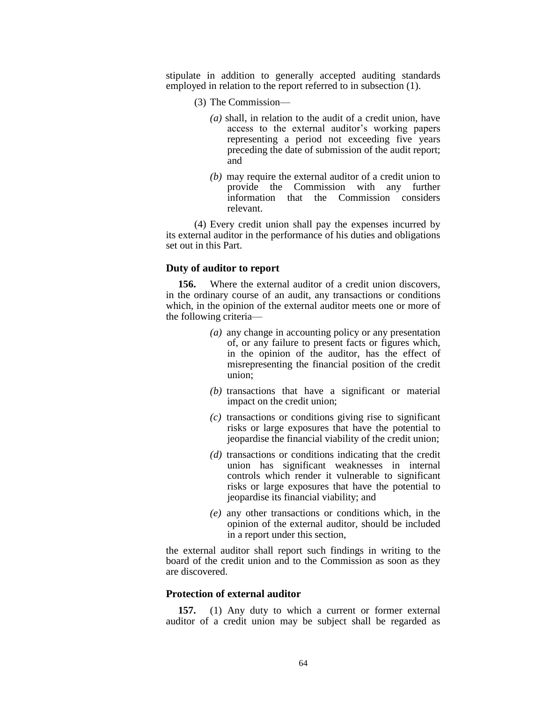stipulate in addition to generally accepted auditing standards employed in relation to the report referred to in subsection (1).

- (3) The Commission—
	- *(a)* shall, in relation to the audit of a credit union, have access to the external auditor's working papers representing a period not exceeding five years preceding the date of submission of the audit report; and
	- *(b)* may require the external auditor of a credit union to provide the Commission with any further information that the Commission considers relevant.

(4) Every credit union shall pay the expenses incurred by its external auditor in the performance of his duties and obligations set out in this Part.

# **Duty of auditor to report**

**156.** Where the external auditor of a credit union discovers, in the ordinary course of an audit, any transactions or conditions which, in the opinion of the external auditor meets one or more of the following criteria—

- *(a)* any change in accounting policy or any presentation of, or any failure to present facts or figures which, in the opinion of the auditor, has the effect of misrepresenting the financial position of the credit union;
- *(b)* transactions that have a significant or material impact on the credit union;
- *(c)* transactions or conditions giving rise to significant risks or large exposures that have the potential to jeopardise the financial viability of the credit union;
- *(d)* transactions or conditions indicating that the credit union has significant weaknesses in internal controls which render it vulnerable to significant risks or large exposures that have the potential to jeopardise its financial viability; and
- *(e)* any other transactions or conditions which, in the opinion of the external auditor, should be included in a report under this section,

the external auditor shall report such findings in writing to the board of the credit union and to the Commission as soon as they are discovered.

# **Protection of external auditor**

**157.** (1) Any duty to which a current or former external auditor of a credit union may be subject shall be regarded as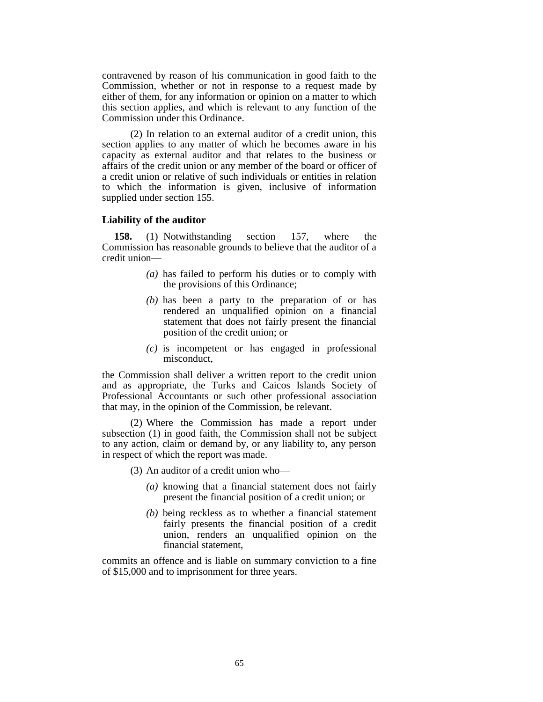contravened by reason of his communication in good faith to the Commission, whether or not in response to a request made by either of them, for any information or opinion on a matter to which this section applies, and which is relevant to any function of the Commission under this Ordinance.

(2) In relation to an external auditor of a credit union, this section applies to any matter of which he becomes aware in his capacity as external auditor and that relates to the business or affairs of the credit union or any member of the board or officer of a credit union or relative of such individuals or entities in relation to which the information is given, inclusive of information supplied under section 155.

# **Liability of the auditor**

**158.** (1) Notwithstanding section 157, where the Commission has reasonable grounds to believe that the auditor of a credit union—

- *(a)* has failed to perform his duties or to comply with the provisions of this Ordinance;
- *(b)* has been a party to the preparation of or has rendered an unqualified opinion on a financial statement that does not fairly present the financial position of the credit union; or
- *(c)* is incompetent or has engaged in professional misconduct,

the Commission shall deliver a written report to the credit union and as appropriate, the Turks and Caicos Islands Society of Professional Accountants or such other professional association that may, in the opinion of the Commission, be relevant.

(2) Where the Commission has made a report under subsection (1) in good faith, the Commission shall not be subject to any action, claim or demand by, or any liability to, any person in respect of which the report was made.

(3) An auditor of a credit union who—

- *(a)* knowing that a financial statement does not fairly present the financial position of a credit union; or
- *(b)* being reckless as to whether a financial statement fairly presents the financial position of a credit union, renders an unqualified opinion on the financial statement,

commits an offence and is liable on summary conviction to a fine of \$15,000 and to imprisonment for three years.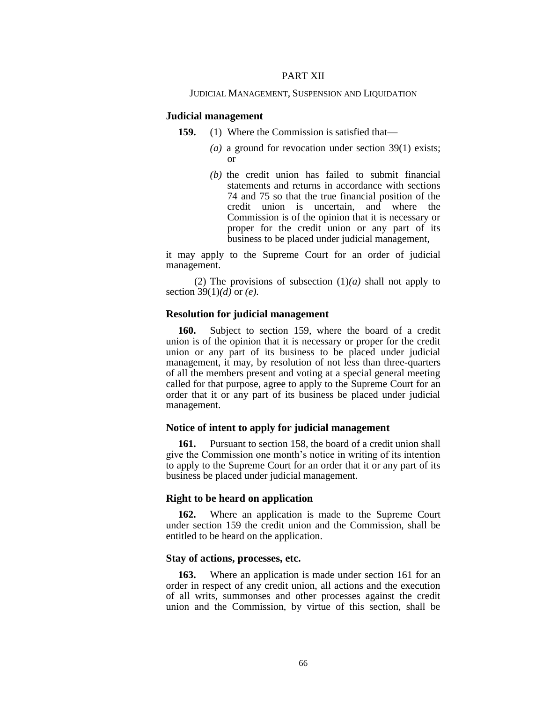### PART XII

### JUDICIAL MANAGEMENT, SUSPENSION AND LIQUIDATION

### **Judicial management**

- **159.** (1) Where the Commission is satisfied that—
	- *(a)* a ground for revocation under section 39(1) exists; or
	- *(b)* the credit union has failed to submit financial statements and returns in accordance with sections 74 and 75 so that the true financial position of the credit union is uncertain, and where the Commission is of the opinion that it is necessary or proper for the credit union or any part of its business to be placed under judicial management,

it may apply to the Supreme Court for an order of judicial management.

(2) The provisions of subsection  $(1)(a)$  shall not apply to section 39(1)*(d)* or *(e).*

# **Resolution for judicial management**

**160.** Subject to section 159, where the board of a credit union is of the opinion that it is necessary or proper for the credit union or any part of its business to be placed under judicial management, it may, by resolution of not less than three-quarters of all the members present and voting at a special general meeting called for that purpose, agree to apply to the Supreme Court for an order that it or any part of its business be placed under judicial management.

#### **Notice of intent to apply for judicial management**

**161.** Pursuant to section 158, the board of a credit union shall give the Commission one month's notice in writing of its intention to apply to the Supreme Court for an order that it or any part of its business be placed under judicial management.

### **Right to be heard on application**

**162.** Where an application is made to the Supreme Court under section 159 the credit union and the Commission, shall be entitled to be heard on the application.

### **Stay of actions, processes, etc.**

**163.** Where an application is made under section 161 for an order in respect of any credit union, all actions and the execution of all writs, summonses and other processes against the credit union and the Commission, by virtue of this section, shall be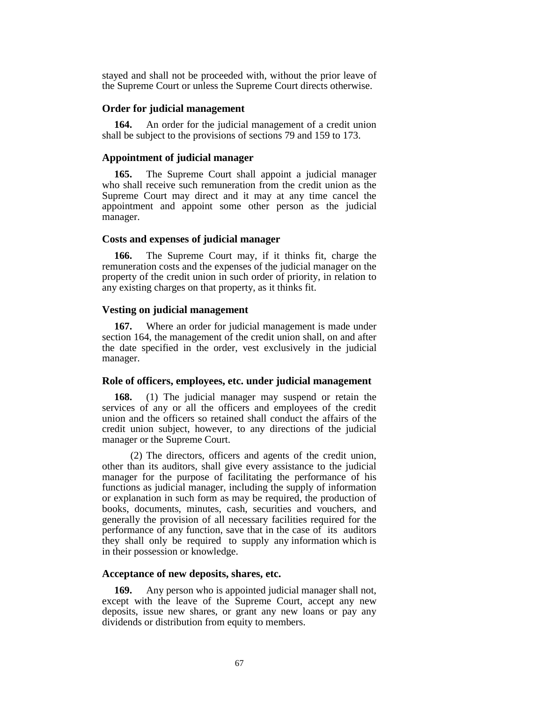stayed and shall not be proceeded with, without the prior leave of the Supreme Court or unless the Supreme Court directs otherwise.

### **Order for judicial management**

**164.** An order for the judicial management of a credit union shall be subject to the provisions of sections 79 and 159 to 173.

### **Appointment of judicial manager**

**165.** The Supreme Court shall appoint a judicial manager who shall receive such remuneration from the credit union as the Supreme Court may direct and it may at any time cancel the appointment and appoint some other person as the judicial manager.

# **Costs and expenses of judicial manager**

**166.** The Supreme Court may, if it thinks fit, charge the remuneration costs and the expenses of the judicial manager on the property of the credit union in such order of priority, in relation to any existing charges on that property, as it thinks fit.

### **Vesting on judicial management**

**167.** Where an order for judicial management is made under section 164, the management of the credit union shall, on and after the date specified in the order, vest exclusively in the judicial manager.

## **Role of officers, employees, etc. under judicial management**

**168.** (1) The judicial manager may suspend or retain the services of any or all the officers and employees of the credit union and the officers so retained shall conduct the affairs of the credit union subject, however, to any directions of the judicial manager or the Supreme Court.

(2) The directors, officers and agents of the credit union, other than its auditors, shall give every assistance to the judicial manager for the purpose of facilitating the performance of his functions as judicial manager, including the supply of information or explanation in such form as may be required, the production of books, documents, minutes, cash, securities and vouchers, and generally the provision of all necessary facilities required for the performance of any function, save that in the case of its auditors they shall only be required to supply any information which is in their possession or knowledge.

### **Acceptance of new deposits, shares, etc.**

**169.** Any person who is appointed judicial manager shall not, except with the leave of the Supreme Court, accept any new deposits, issue new shares, or grant any new loans or pay any dividends or distribution from equity to members.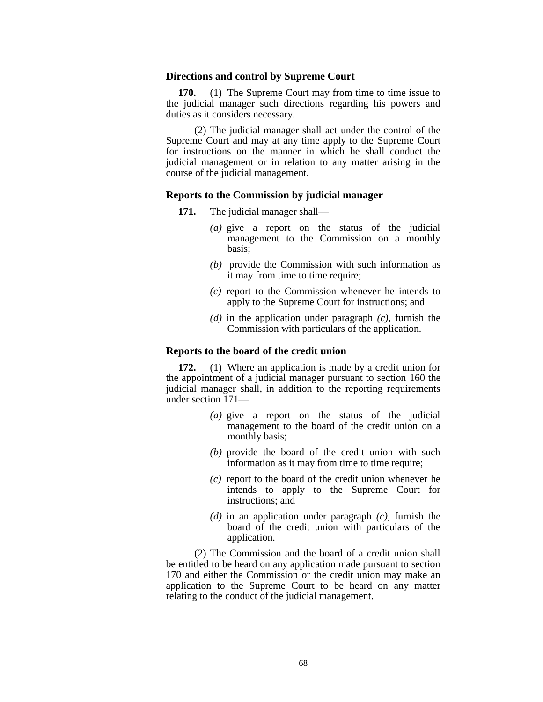#### **Directions and control by Supreme Court**

**170.** (1) The Supreme Court may from time to time issue to the judicial manager such directions regarding his powers and duties as it considers necessary.

(2) The judicial manager shall act under the control of the Supreme Court and may at any time apply to the Supreme Court for instructions on the manner in which he shall conduct the judicial management or in relation to any matter arising in the course of the judicial management.

# **Reports to the Commission by judicial manager**

- **171.** The judicial manager shall—
	- *(a)* give a report on the status of the judicial management to the Commission on a monthly basis;
	- *(b)* provide the Commission with such information as it may from time to time require;
	- *(c)* report to the Commission whenever he intends to apply to the Supreme Court for instructions; and
	- *(d)* in the application under paragraph *(c)*, furnish the Commission with particulars of the application.

### **Reports to the board of the credit union**

**172.** (1) Where an application is made by a credit union for the appointment of a judicial manager pursuant to section 160 the judicial manager shall, in addition to the reporting requirements under section 171—

- *(a)* give a report on the status of the judicial management to the board of the credit union on a monthly basis;
- *(b)* provide the board of the credit union with such information as it may from time to time require;
- *(c)* report to the board of the credit union whenever he intends to apply to the Supreme Court for instructions; and
- *(d)* in an application under paragraph *(c)*, furnish the board of the credit union with particulars of the application.

(2) The Commission and the board of a credit union shall be entitled to be heard on any application made pursuant to section 170 and either the Commission or the credit union may make an application to the Supreme Court to be heard on any matter relating to the conduct of the judicial management.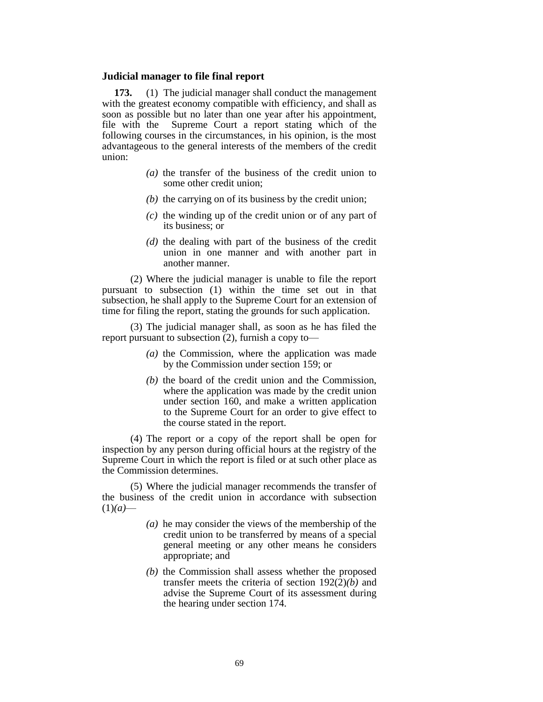### **Judicial manager to file final report**

**173.** (1) The judicial manager shall conduct the management with the greatest economy compatible with efficiency, and shall as soon as possible but no later than one year after his appointment, file with the Supreme Court a report stating which of the following courses in the circumstances, in his opinion, is the most advantageous to the general interests of the members of the credit union:

- *(a)* the transfer of the business of the credit union to some other credit union;
- *(b)* the carrying on of its business by the credit union;
- *(c)* the winding up of the credit union or of any part of its business; or
- *(d)* the dealing with part of the business of the credit union in one manner and with another part in another manner.

(2) Where the judicial manager is unable to file the report pursuant to subsection (1) within the time set out in that subsection, he shall apply to the Supreme Court for an extension of time for filing the report, stating the grounds for such application.

(3) The judicial manager shall, as soon as he has filed the report pursuant to subsection (2), furnish a copy to—

- *(a)* the Commission, where the application was made by the Commission under section 159; or
- *(b)* the board of the credit union and the Commission, where the application was made by the credit union under section 160, and make a written application to the Supreme Court for an order to give effect to the course stated in the report.

(4) The report or a copy of the report shall be open for inspection by any person during official hours at the registry of the Supreme Court in which the report is filed or at such other place as the Commission determines.

(5) Where the judicial manager recommends the transfer of the business of the credit union in accordance with subsection  $(1)(a)$ —

- *(a)* he may consider the views of the membership of the credit union to be transferred by means of a special general meeting or any other means he considers appropriate; and
- *(b)* the Commission shall assess whether the proposed transfer meets the criteria of section 192(2)*(b)* and advise the Supreme Court of its assessment during the hearing under section 174.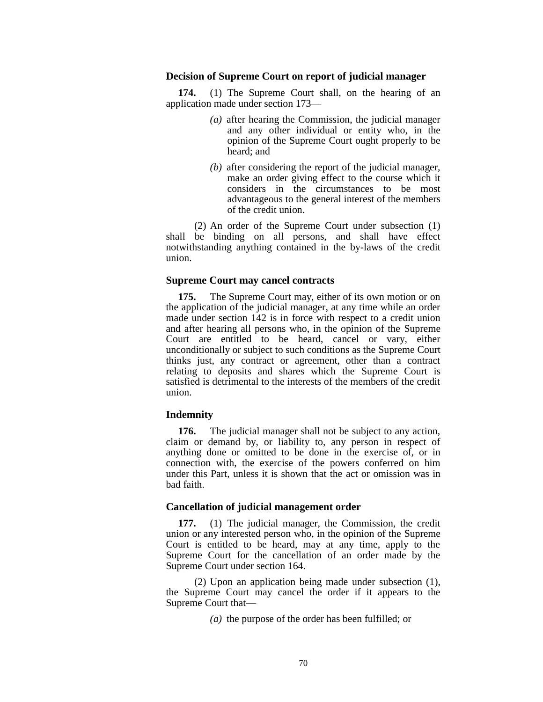### **Decision of Supreme Court on report of judicial manager**

**174.** (1) The Supreme Court shall, on the hearing of an application made under section 173—

- *(a)* after hearing the Commission, the judicial manager and any other individual or entity who, in the opinion of the Supreme Court ought properly to be heard; and
- *(b)* after considering the report of the judicial manager, make an order giving effect to the course which it considers in the circumstances to be most advantageous to the general interest of the members of the credit union.

(2) An order of the Supreme Court under subsection (1) shall be binding on all persons, and shall have effect notwithstanding anything contained in the by-laws of the credit union.

### **Supreme Court may cancel contracts**

**175.** The Supreme Court may, either of its own motion or on the application of the judicial manager, at any time while an order made under section 142 is in force with respect to a credit union and after hearing all persons who, in the opinion of the Supreme Court are entitled to be heard, cancel or vary, either unconditionally or subject to such conditions as the Supreme Court thinks just, any contract or agreement, other than a contract relating to deposits and shares which the Supreme Court is satisfied is detrimental to the interests of the members of the credit union.

# **Indemnity**

**176.** The judicial manager shall not be subject to any action, claim or demand by, or liability to, any person in respect of anything done or omitted to be done in the exercise of, or in connection with, the exercise of the powers conferred on him under this Part, unless it is shown that the act or omission was in bad faith.

### **Cancellation of judicial management order**

**177.** (1) The judicial manager, the Commission, the credit union or any interested person who, in the opinion of the Supreme Court is entitled to be heard, may at any time, apply to the Supreme Court for the cancellation of an order made by the Supreme Court under section 164.

(2) Upon an application being made under subsection (1), the Supreme Court may cancel the order if it appears to the Supreme Court that—

*(a)* the purpose of the order has been fulfilled; or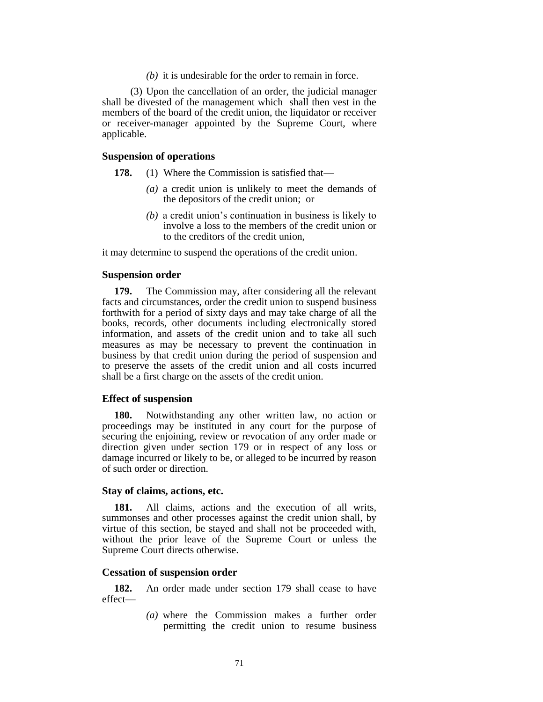*(b)* it is undesirable for the order to remain in force.

(3) Upon the cancellation of an order, the judicial manager shall be divested of the management which shall then vest in the members of the board of the credit union, the liquidator or receiver or receiver-manager appointed by the Supreme Court, where applicable.

# **Suspension of operations**

- **178.** (1) Where the Commission is satisfied that—
	- *(a)* a credit union is unlikely to meet the demands of the depositors of the credit union; or
	- *(b)* a credit union's continuation in business is likely to involve a loss to the members of the credit union or to the creditors of the credit union,

it may determine to suspend the operations of the credit union.

### **Suspension order**

**179.** The Commission may, after considering all the relevant facts and circumstances, order the credit union to suspend business forthwith for a period of sixty days and may take charge of all the books, records, other documents including electronically stored information, and assets of the credit union and to take all such measures as may be necessary to prevent the continuation in business by that credit union during the period of suspension and to preserve the assets of the credit union and all costs incurred shall be a first charge on the assets of the credit union.

### **Effect of suspension**

**180.** Notwithstanding any other written law, no action or proceedings may be instituted in any court for the purpose of securing the enjoining, review or revocation of any order made or direction given under section 179 or in respect of any loss or damage incurred or likely to be, or alleged to be incurred by reason of such order or direction.

### **Stay of claims, actions, etc.**

**181.** All claims, actions and the execution of all writs, summonses and other processes against the credit union shall, by virtue of this section, be stayed and shall not be proceeded with, without the prior leave of the Supreme Court or unless the Supreme Court directs otherwise.

### **Cessation of suspension order**

**182.** An order made under section 179 shall cease to have effect—

> *(a)* where the Commission makes a further order permitting the credit union to resume business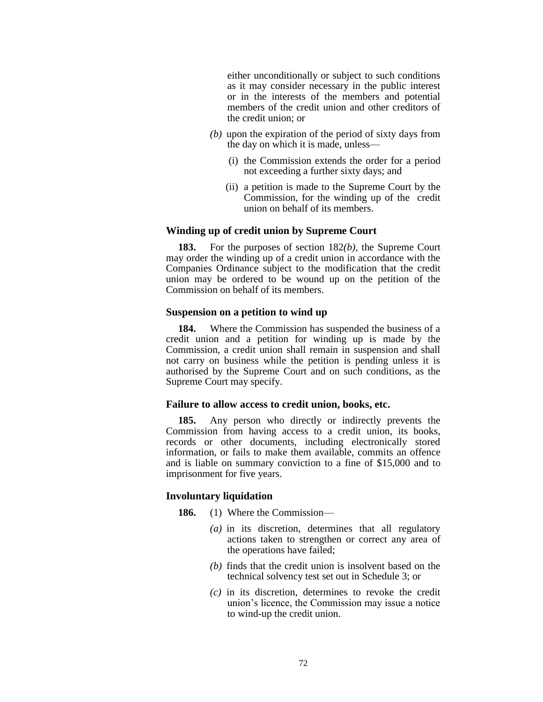either unconditionally or subject to such conditions as it may consider necessary in the public interest or in the interests of the members and potential members of the credit union and other creditors of the credit union; or

- *(b)* upon the expiration of the period of sixty days from the day on which it is made, unless—
	- (i) the Commission extends the order for a period not exceeding a further sixty days; and
	- (ii) a petition is made to the Supreme Court by the Commission, for the winding up of the credit union on behalf of its members.

# **Winding up of credit union by Supreme Court**

**183.** For the purposes of section 182*(b),* the Supreme Court may order the winding up of a credit union in accordance with the Companies Ordinance subject to the modification that the credit union may be ordered to be wound up on the petition of the Commission on behalf of its members.

# **Suspension on a petition to wind up**

**184.** Where the Commission has suspended the business of a credit union and a petition for winding up is made by the Commission, a credit union shall remain in suspension and shall not carry on business while the petition is pending unless it is authorised by the Supreme Court and on such conditions, as the Supreme Court may specify.

### **Failure to allow access to credit union, books, etc.**

**185.** Any person who directly or indirectly prevents the Commission from having access to a credit union, its books, records or other documents, including electronically stored information, or fails to make them available, commits an offence and is liable on summary conviction to a fine of \$15,000 and to imprisonment for five years.

# **Involuntary liquidation**

- **186.** (1) Where the Commission—
	- *(a)* in its discretion, determines that all regulatory actions taken to strengthen or correct any area of the operations have failed;
	- *(b)* finds that the credit union is insolvent based on the technical solvency test set out in Schedule 3; or
	- *(c)* in its discretion, determines to revoke the credit union's licence, the Commission may issue a notice to wind-up the credit union.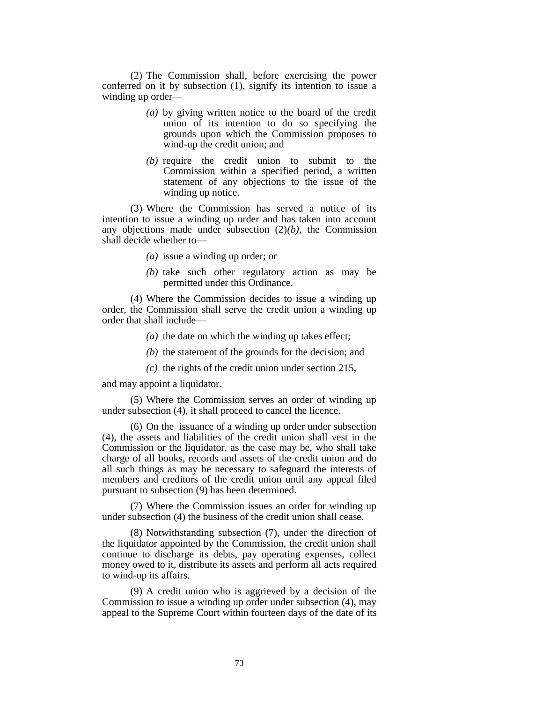(2) The Commission shall, before exercising the power conferred on it by subsection (1), signify its intention to issue a winding up order—

- *(a)* by giving written notice to the board of the credit union of its intention to do so specifying the grounds upon which the Commission proposes to wind-up the credit union; and
- *(b)* require the credit union to submit to the Commission within a specified period, a written statement of any objections to the issue of the winding up notice.

(3) Where the Commission has served a notice of its intention to issue a winding up order and has taken into account any objections made under subsection (2)*(b)*, the Commission shall decide whether to—

- *(a)* issue a winding up order; or
- *(b)* take such other regulatory action as may be permitted under this Ordinance.

(4) Where the Commission decides to issue a winding up order, the Commission shall serve the credit union a winding up order that shall include—

- *(a)* the date on which the winding up takes effect;
- *(b)* the statement of the grounds for the decision; and
- *(c)* the rights of the credit union under section 215,

and may appoint a liquidator.

(5) Where the Commission serves an order of winding up under subsection (4), it shall proceed to cancel the licence.

(6) On the issuance of a winding up order under subsection (4), the assets and liabilities of the credit union shall vest in the Commission or the liquidator, as the case may be, who shall take charge of all books, records and assets of the credit union and do all such things as may be necessary to safeguard the interests of members and creditors of the credit union until any appeal filed pursuant to subsection (9) has been determined.

(7) Where the Commission issues an order for winding up under subsection (4) the business of the credit union shall cease.

(8) Notwithstanding subsection (7), under the direction of the liquidator appointed by the Commission, the credit union shall continue to discharge its debts, pay operating expenses, collect money owed to it, distribute its assets and perform all acts required to wind-up its affairs.

(9) A credit union who is aggrieved by a decision of the Commission to issue a winding up order under subsection (4), may appeal to the Supreme Court within fourteen days of the date of its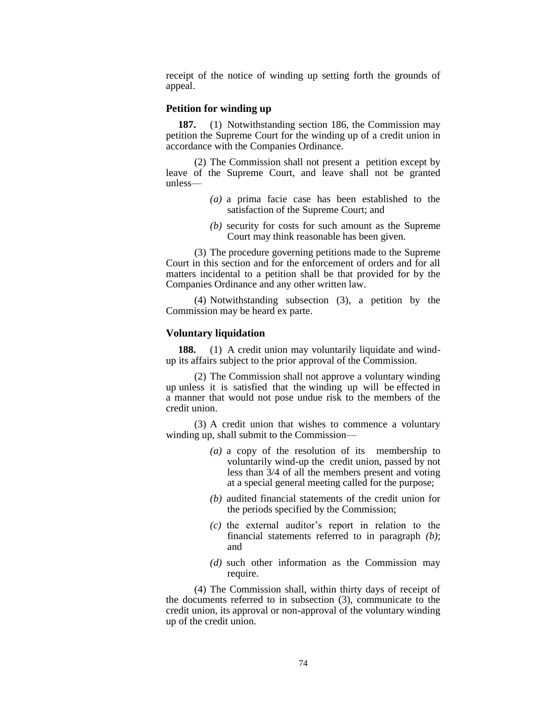receipt of the notice of winding up setting forth the grounds of appeal.

## **Petition for winding up**

**187.** (1) Notwithstanding section 186, the Commission may petition the Supreme Court for the winding up of a credit union in accordance with the Companies Ordinance.

(2) The Commission shall not present a petition except by leave of the Supreme Court, and leave shall not be granted unless—

- *(a)* a prima facie case has been established to the satisfaction of the Supreme Court; and
- *(b)* security for costs for such amount as the Supreme Court may think reasonable has been given.

(3) The procedure governing petitions made to the Supreme Court in this section and for the enforcement of orders and for all matters incidental to a petition shall be that provided for by the Companies Ordinance and any other written law.

(4) Notwithstanding subsection (3), a petition by the Commission may be heard ex parte.

## **Voluntary liquidation**

**188.** (1) A credit union may voluntarily liquidate and windup its affairs subject to the prior approval of the Commission.

(2) The Commission shall not approve a voluntary winding up unless it is satisfied that the winding up will be effected in a manner that would not pose undue risk to the members of the credit union.

(3) A credit union that wishes to commence a voluntary winding up, shall submit to the Commission—

- *(a)* a copy of the resolution of its membership to voluntarily wind-up the credit union, passed by not less than 3/4 of all the members present and voting at a special general meeting called for the purpose;
- *(b)* audited financial statements of the credit union for the periods specified by the Commission;
- *(c)* the external auditor's report in relation to the financial statements referred to in paragraph *(b)*; and
- *(d)* such other information as the Commission may require.

(4) The Commission shall, within thirty days of receipt of the documents referred to in subsection (3), communicate to the credit union, its approval or non-approval of the voluntary winding up of the credit union.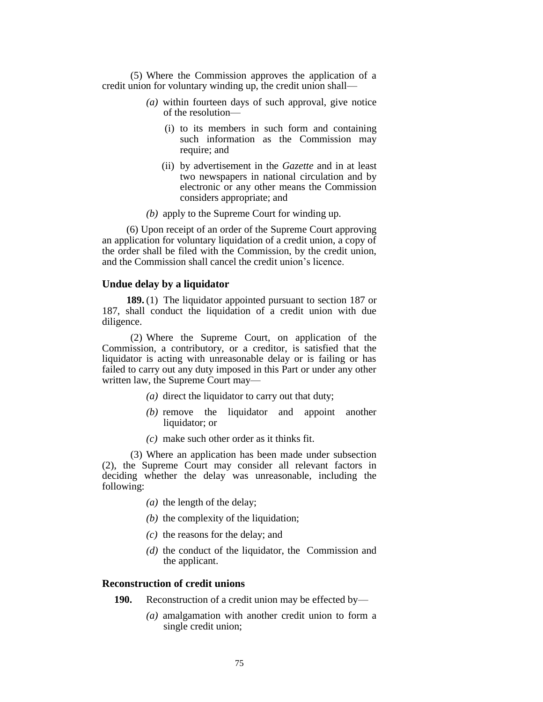(5) Where the Commission approves the application of a credit union for voluntary winding up, the credit union shall—

- *(a)* within fourteen days of such approval, give notice of the resolution—
	- (i) to its members in such form and containing such information as the Commission may require; and
	- (ii) by advertisement in the *Gazette* and in at least two newspapers in national circulation and by electronic or any other means the Commission considers appropriate; and
- *(b)* apply to the Supreme Court for winding up.

(6) Upon receipt of an order of the Supreme Court approving an application for voluntary liquidation of a credit union, a copy of the order shall be filed with the Commission, by the credit union, and the Commission shall cancel the credit union's licence.

## **Undue delay by a liquidator**

**189.** (1) The liquidator appointed pursuant to section 187 or 187, shall conduct the liquidation of a credit union with due diligence.

(2) Where the Supreme Court, on application of the Commission, a contributory, or a creditor, is satisfied that the liquidator is acting with unreasonable delay or is failing or has failed to carry out any duty imposed in this Part or under any other written law, the Supreme Court may—

- *(a)* direct the liquidator to carry out that duty;
- *(b)* remove the liquidator and appoint another liquidator; or
- *(c)* make such other order as it thinks fit.

(3) Where an application has been made under subsection (2), the Supreme Court may consider all relevant factors in deciding whether the delay was unreasonable, including the following:

- *(a)* the length of the delay;
- *(b)* the complexity of the liquidation;
- *(c)* the reasons for the delay; and
- *(d)* the conduct of the liquidator, the Commission and the applicant.

### **Reconstruction of credit unions**

- **190.** Reconstruction of a credit union may be effected by—
	- *(a)* amalgamation with another credit union to form a single credit union;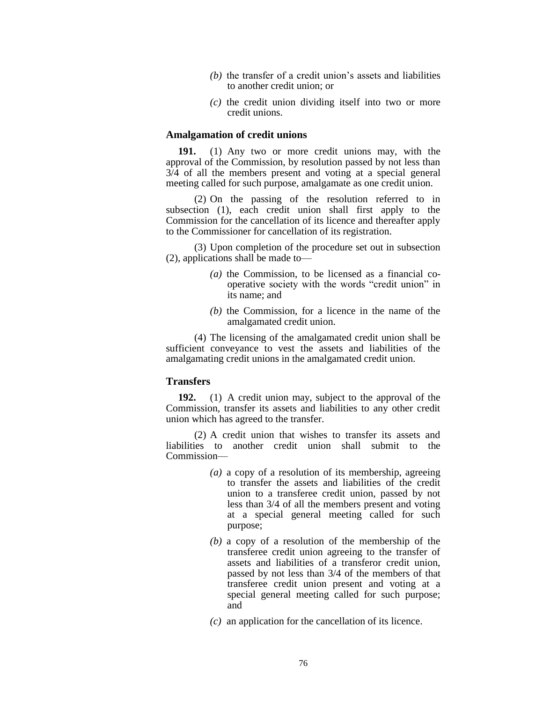- *(b)* the transfer of a credit union's assets and liabilities to another credit union; or
- *(c)* the credit union dividing itself into two or more credit unions.

#### **Amalgamation of credit unions**

**191.** (1) Any two or more credit unions may, with the approval of the Commission, by resolution passed by not less than 3/4 of all the members present and voting at a special general meeting called for such purpose, amalgamate as one credit union.

(2) On the passing of the resolution referred to in subsection (1), each credit union shall first apply to the Commission for the cancellation of its licence and thereafter apply to the Commissioner for cancellation of its registration.

(3) Upon completion of the procedure set out in subsection (2), applications shall be made to—

- *(a)* the Commission, to be licensed as a financial cooperative society with the words "credit union" in its name; and
- *(b)* the Commission, for a licence in the name of the amalgamated credit union.

(4) The licensing of the amalgamated credit union shall be sufficient conveyance to vest the assets and liabilities of the amalgamating credit unions in the amalgamated credit union.

## **Transfers**

**192.** (1) A credit union may, subject to the approval of the Commission, transfer its assets and liabilities to any other credit union which has agreed to the transfer.

(2) A credit union that wishes to transfer its assets and liabilities to another credit union shall submit to the Commission—

- *(a)* a copy of a resolution of its membership, agreeing to transfer the assets and liabilities of the credit union to a transferee credit union, passed by not less than 3/4 of all the members present and voting at a special general meeting called for such purpose;
- *(b)* a copy of a resolution of the membership of the transferee credit union agreeing to the transfer of assets and liabilities of a transferor credit union, passed by not less than 3/4 of the members of that transferee credit union present and voting at a special general meeting called for such purpose; and
- *(c)* an application for the cancellation of its licence.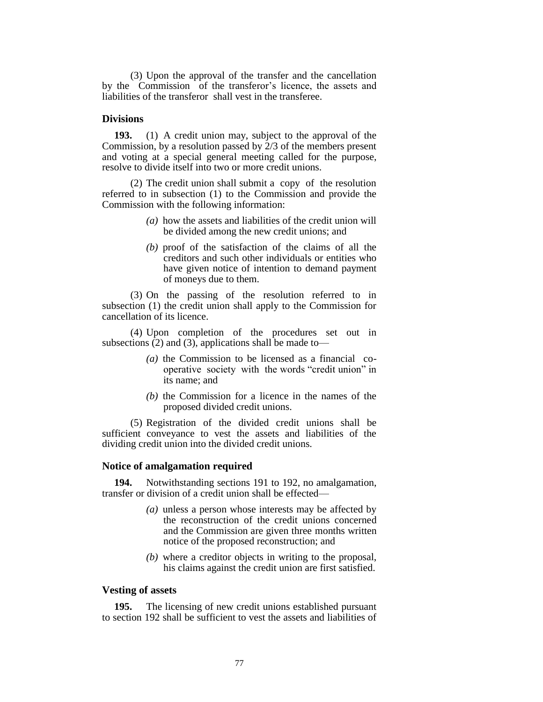(3) Upon the approval of the transfer and the cancellation by the Commission of the transferor's licence, the assets and liabilities of the transferor shall vest in the transferee.

## **Divisions**

**193.** (1) A credit union may, subject to the approval of the Commission, by a resolution passed by 2/3 of the members present and voting at a special general meeting called for the purpose, resolve to divide itself into two or more credit unions.

(2) The credit union shall submit a copy of the resolution referred to in subsection (1) to the Commission and provide the Commission with the following information:

- *(a)* how the assets and liabilities of the credit union will be divided among the new credit unions; and
- *(b)* proof of the satisfaction of the claims of all the creditors and such other individuals or entities who have given notice of intention to demand payment of moneys due to them.

(3) On the passing of the resolution referred to in subsection (1) the credit union shall apply to the Commission for cancellation of its licence.

(4) Upon completion of the procedures set out in subsections  $(2)$  and  $(3)$ , applications shall be made to—

- *(a)* the Commission to be licensed as a financial cooperative society with the words "credit union" in its name; and
- *(b)* the Commission for a licence in the names of the proposed divided credit unions.

(5) Registration of the divided credit unions shall be sufficient conveyance to vest the assets and liabilities of the dividing credit union into the divided credit unions.

#### **Notice of amalgamation required**

**194.** Notwithstanding sections 191 to 192, no amalgamation, transfer or division of a credit union shall be effected—

- *(a)* unless a person whose interests may be affected by the reconstruction of the credit unions concerned and the Commission are given three months written notice of the proposed reconstruction; and
- *(b)* where a creditor objects in writing to the proposal, his claims against the credit union are first satisfied.

## **Vesting of assets**

**195.** The licensing of new credit unions established pursuant to section 192 shall be sufficient to vest the assets and liabilities of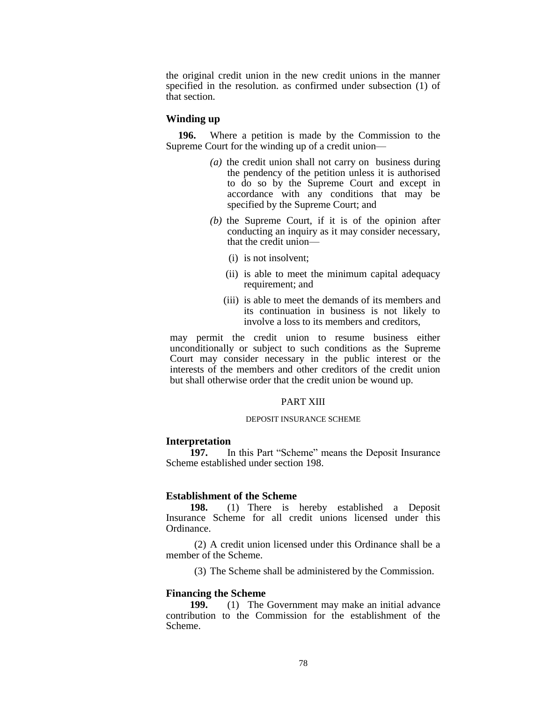the original credit union in the new credit unions in the manner specified in the resolution. as confirmed under subsection (1) of that section.

## **Winding up**

**196.** Where a petition is made by the Commission to the Supreme Court for the winding up of a credit union—

- *(a)* the credit union shall not carry on business during the pendency of the petition unless it is authorised to do so by the Supreme Court and except in accordance with any conditions that may be specified by the Supreme Court; and
- *(b)* the Supreme Court, if it is of the opinion after conducting an inquiry as it may consider necessary, that the credit union—
	- (i) is not insolvent;
	- (ii) is able to meet the minimum capital adequacy requirement; and
	- (iii) is able to meet the demands of its members and its continuation in business is not likely to involve a loss to its members and creditors,

may permit the credit union to resume business either unconditionally or subject to such conditions as the Supreme Court may consider necessary in the public interest or the interests of the members and other creditors of the credit union but shall otherwise order that the credit union be wound up.

## PART XIII

#### DEPOSIT INSURANCE SCHEME

#### **Interpretation**

**197.** In this Part "Scheme" means the Deposit Insurance Scheme established under section 198.

### **Establishment of the Scheme**

**198.** (1) There is hereby established a Deposit Insurance Scheme for all credit unions licensed under this Ordinance.

(2) A credit union licensed under this Ordinance shall be a member of the Scheme.

(3) The Scheme shall be administered by the Commission.

#### **Financing the Scheme**

**199.** (1) The Government may make an initial advance contribution to the Commission for the establishment of the Scheme.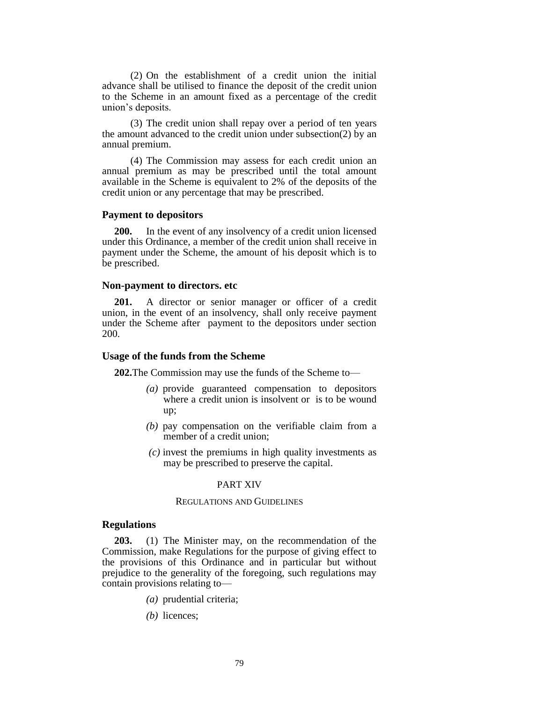(2) On the establishment of a credit union the initial advance shall be utilised to finance the deposit of the credit union to the Scheme in an amount fixed as a percentage of the credit union's deposits.

(3) The credit union shall repay over a period of ten years the amount advanced to the credit union under subsection(2) by an annual premium.

(4) The Commission may assess for each credit union an annual premium as may be prescribed until the total amount available in the Scheme is equivalent to 2% of the deposits of the credit union or any percentage that may be prescribed.

## **Payment to depositors**

**200.** In the event of any insolvency of a credit union licensed under this Ordinance, a member of the credit union shall receive in payment under the Scheme, the amount of his deposit which is to be prescribed.

#### **Non-payment to directors. etc**

**201.** A director or senior manager or officer of a credit union, in the event of an insolvency, shall only receive payment under the Scheme after payment to the depositors under section 200.

### **Usage of the funds from the Scheme**

**202.**The Commission may use the funds of the Scheme to—

- *(a)* provide guaranteed compensation to depositors where a credit union is insolvent or is to be wound up;
- *(b)* pay compensation on the verifiable claim from a member of a credit union;
- *(c)* invest the premiums in high quality investments as may be prescribed to preserve the capital.

#### PART XIV

## REGULATIONS AND GUIDELINES

#### **Regulations**

**203.** (1) The Minister may, on the recommendation of the Commission, make Regulations for the purpose of giving effect to the provisions of this Ordinance and in particular but without prejudice to the generality of the foregoing, such regulations may contain provisions relating to—

- *(a)* prudential criteria;
- *(b)* licences;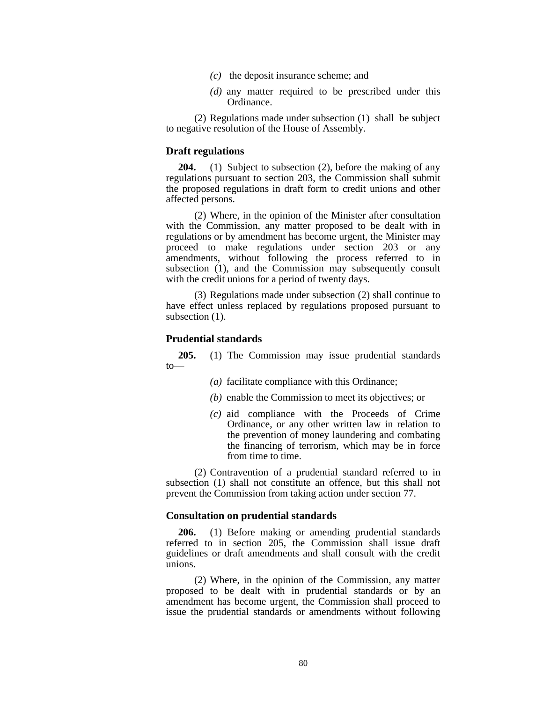- *(c)* the deposit insurance scheme; and
- *(d)* any matter required to be prescribed under this Ordinance.

(2) Regulations made under subsection (1) shall be subject to negative resolution of the House of Assembly.

## **Draft regulations**

**204.** (1) Subject to subsection (2), before the making of any regulations pursuant to section 203, the Commission shall submit the proposed regulations in draft form to credit unions and other affected persons.

(2) Where, in the opinion of the Minister after consultation with the Commission, any matter proposed to be dealt with in regulations or by amendment has become urgent, the Minister may proceed to make regulations under section 203 or any amendments, without following the process referred to in subsection (1), and the Commission may subsequently consult with the credit unions for a period of twenty days.

(3) Regulations made under subsection (2) shall continue to have effect unless replaced by regulations proposed pursuant to subsection  $(1)$ .

#### **Prudential standards**

**205.** (1) The Commission may issue prudential standards to—

- *(a)* facilitate compliance with this Ordinance;
- *(b)* enable the Commission to meet its objectives; or
- *(c)* aid compliance with the Proceeds of Crime Ordinance, or any other written law in relation to the prevention of money laundering and combating the financing of terrorism, which may be in force from time to time.

(2) Contravention of a prudential standard referred to in subsection (1) shall not constitute an offence, but this shall not prevent the Commission from taking action under section 77.

#### **Consultation on prudential standards**

**206.** (1) Before making or amending prudential standards referred to in section 205, the Commission shall issue draft guidelines or draft amendments and shall consult with the credit unions.

(2) Where, in the opinion of the Commission, any matter proposed to be dealt with in prudential standards or by an amendment has become urgent, the Commission shall proceed to issue the prudential standards or amendments without following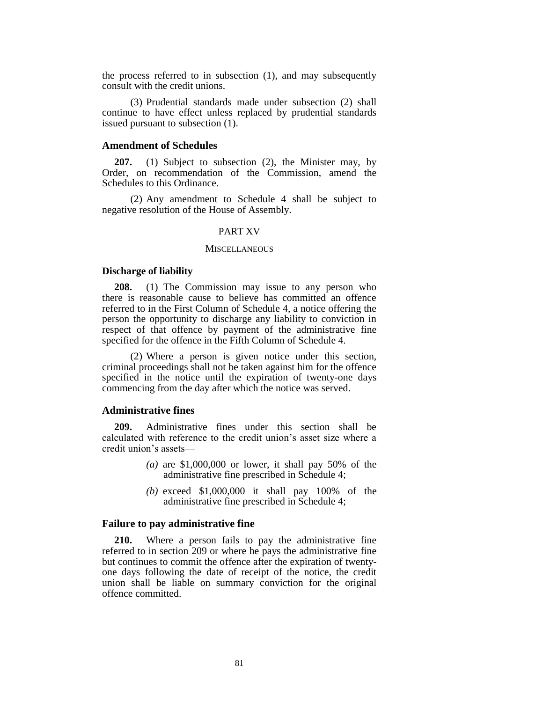the process referred to in subsection (1), and may subsequently consult with the credit unions.

(3) Prudential standards made under subsection (2) shall continue to have effect unless replaced by prudential standards issued pursuant to subsection (1).

## **Amendment of Schedules**

**207.** (1) Subject to subsection (2), the Minister may, by Order, on recommendation of the Commission, amend the Schedules to this Ordinance.

(2) Any amendment to Schedule 4 shall be subject to negative resolution of the House of Assembly.

#### PART XV

#### **MISCELLANEOUS**

#### **Discharge of liability**

**208.** (1) The Commission may issue to any person who there is reasonable cause to believe has committed an offence referred to in the First Column of Schedule 4, a notice offering the person the opportunity to discharge any liability to conviction in respect of that offence by payment of the administrative fine specified for the offence in the Fifth Column of Schedule 4.

(2) Where a person is given notice under this section, criminal proceedings shall not be taken against him for the offence specified in the notice until the expiration of twenty-one days commencing from the day after which the notice was served.

## **Administrative fines**

**209.** Administrative fines under this section shall be calculated with reference to the credit union's asset size where a credit union's assets—

- *(a)* are \$1,000,000 or lower, it shall pay 50% of the administrative fine prescribed in Schedule 4;
- *(b)* exceed \$1,000,000 it shall pay 100% of the administrative fine prescribed in Schedule 4;

#### **Failure to pay administrative fine**

**210.** Where a person fails to pay the administrative fine referred to in section 209 or where he pays the administrative fine but continues to commit the offence after the expiration of twentyone days following the date of receipt of the notice, the credit union shall be liable on summary conviction for the original offence committed.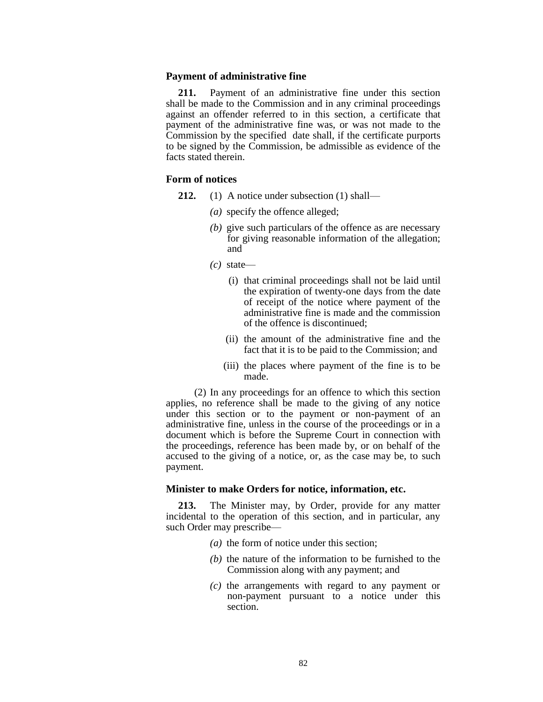#### **Payment of administrative fine**

**211.** Payment of an administrative fine under this section shall be made to the Commission and in any criminal proceedings against an offender referred to in this section, a certificate that payment of the administrative fine was, or was not made to the Commission by the specified date shall, if the certificate purports to be signed by the Commission, be admissible as evidence of the facts stated therein.

## **Form of notices**

- **212.** (1) A notice under subsection (1) shall—
	- *(a)* specify the offence alleged;
	- *(b)* give such particulars of the offence as are necessary for giving reasonable information of the allegation; and
	- *(c)* state—
		- (i) that criminal proceedings shall not be laid until the expiration of twenty-one days from the date of receipt of the notice where payment of the administrative fine is made and the commission of the offence is discontinued;
		- (ii) the amount of the administrative fine and the fact that it is to be paid to the Commission; and
		- (iii) the places where payment of the fine is to be made.

(2) In any proceedings for an offence to which this section applies, no reference shall be made to the giving of any notice under this section or to the payment or non-payment of an administrative fine, unless in the course of the proceedings or in a document which is before the Supreme Court in connection with the proceedings, reference has been made by, or on behalf of the accused to the giving of a notice, or, as the case may be, to such payment.

### **Minister to make Orders for notice, information, etc.**

**213.** The Minister may, by Order, provide for any matter incidental to the operation of this section, and in particular, any such Order may prescribe—

- *(a)* the form of notice under this section;
- *(b)* the nature of the information to be furnished to the Commission along with any payment; and
- *(c)* the arrangements with regard to any payment or non-payment pursuant to a notice under this section.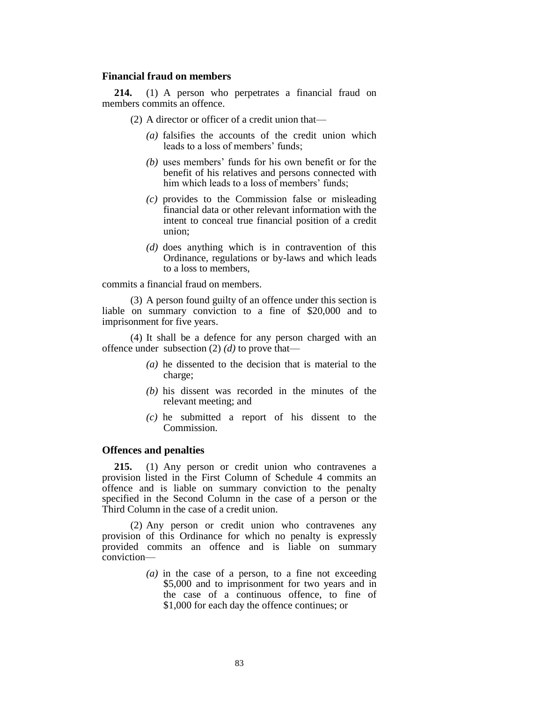## **Financial fraud on members**

**214.** (1) A person who perpetrates a financial fraud on members commits an offence.

(2) A director or officer of a credit union that—

- *(a)* falsifies the accounts of the credit union which leads to a loss of members' funds;
- *(b)* uses members' funds for his own benefit or for the benefit of his relatives and persons connected with him which leads to a loss of members' funds;
- *(c)* provides to the Commission false or misleading financial data or other relevant information with the intent to conceal true financial position of a credit union;
- *(d)* does anything which is in contravention of this Ordinance, regulations or by-laws and which leads to a loss to members,

commits a financial fraud on members.

(3) A person found guilty of an offence under this section is liable on summary conviction to a fine of \$20,000 and to imprisonment for five years.

(4) It shall be a defence for any person charged with an offence under subsection (2) *(d)* to prove that—

- *(a)* he dissented to the decision that is material to the charge;
- *(b)* his dissent was recorded in the minutes of the relevant meeting; and
- *(c)* he submitted a report of his dissent to the Commission.

## **Offences and penalties**

**215.** (1) Any person or credit union who contravenes a provision listed in the First Column of Schedule 4 commits an offence and is liable on summary conviction to the penalty specified in the Second Column in the case of a person or the Third Column in the case of a credit union.

(2) Any person or credit union who contravenes any provision of this Ordinance for which no penalty is expressly provided commits an offence and is liable on summary conviction—

> *(a)* in the case of a person, to a fine not exceeding \$5,000 and to imprisonment for two years and in the case of a continuous offence, to fine of \$1,000 for each day the offence continues; or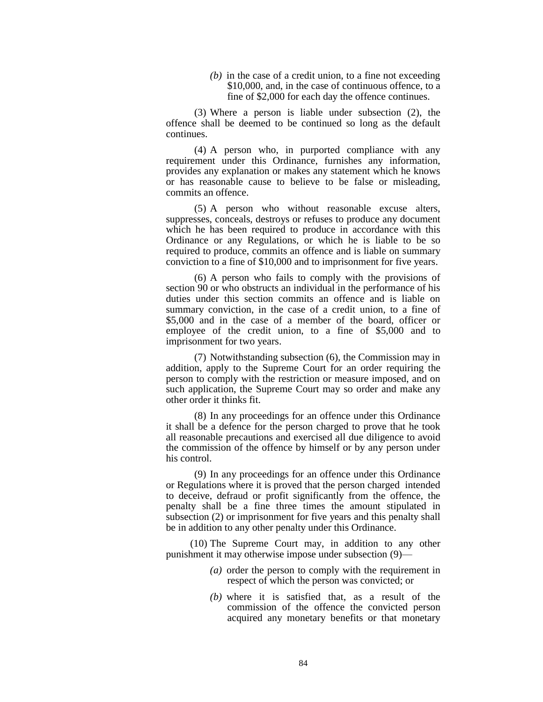*(b)* in the case of a credit union, to a fine not exceeding \$10,000, and, in the case of continuous offence, to a fine of \$2,000 for each day the offence continues.

(3) Where a person is liable under subsection (2), the offence shall be deemed to be continued so long as the default continues.

(4) A person who, in purported compliance with any requirement under this Ordinance, furnishes any information, provides any explanation or makes any statement which he knows or has reasonable cause to believe to be false or misleading, commits an offence.

(5) A person who without reasonable excuse alters, suppresses, conceals, destroys or refuses to produce any document which he has been required to produce in accordance with this Ordinance or any Regulations, or which he is liable to be so required to produce, commits an offence and is liable on summary conviction to a fine of \$10,000 and to imprisonment for five years.

(6) A person who fails to comply with the provisions of section 90 or who obstructs an individual in the performance of his duties under this section commits an offence and is liable on summary conviction, in the case of a credit union, to a fine of \$5,000 and in the case of a member of the board, officer or employee of the credit union, to a fine of \$5,000 and to imprisonment for two years.

(7) Notwithstanding subsection (6), the Commission may in addition, apply to the Supreme Court for an order requiring the person to comply with the restriction or measure imposed, and on such application, the Supreme Court may so order and make any other order it thinks fit.

(8) In any proceedings for an offence under this Ordinance it shall be a defence for the person charged to prove that he took all reasonable precautions and exercised all due diligence to avoid the commission of the offence by himself or by any person under his control.

(9) In any proceedings for an offence under this Ordinance or Regulations where it is proved that the person charged intended to deceive, defraud or profit significantly from the offence, the penalty shall be a fine three times the amount stipulated in subsection (2) or imprisonment for five years and this penalty shall be in addition to any other penalty under this Ordinance.

(10) The Supreme Court may, in addition to any other punishment it may otherwise impose under subsection (9)—

- *(a)* order the person to comply with the requirement in respect of which the person was convicted; or
- *(b)* where it is satisfied that, as a result of the commission of the offence the convicted person acquired any monetary benefits or that monetary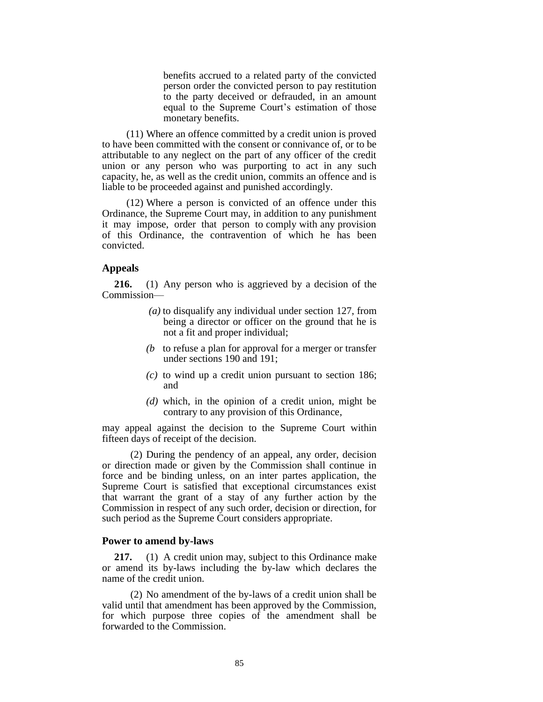benefits accrued to a related party of the convicted person order the convicted person to pay restitution to the party deceived or defrauded, in an amount equal to the Supreme Court's estimation of those monetary benefits.

(11) Where an offence committed by a credit union is proved to have been committed with the consent or connivance of, or to be attributable to any neglect on the part of any officer of the credit union or any person who was purporting to act in any such capacity, he, as well as the credit union, commits an offence and is liable to be proceeded against and punished accordingly.

(12) Where a person is convicted of an offence under this Ordinance, the Supreme Court may, in addition to any punishment it may impose, order that person to comply with any provision of this Ordinance, the contravention of which he has been convicted.

## **Appeals**

**216.** (1) Any person who is aggrieved by a decision of the Commission—

- *(a)* to disqualify any individual under section 127, from being a director or officer on the ground that he is not a fit and proper individual;
- *(b* to refuse a plan for approval for a merger or transfer under sections 190 and 191;
- *(c)* to wind up a credit union pursuant to section 186; and
- *(d)* which, in the opinion of a credit union, might be contrary to any provision of this Ordinance,

may appeal against the decision to the Supreme Court within fifteen days of receipt of the decision.

(2) During the pendency of an appeal, any order, decision or direction made or given by the Commission shall continue in force and be binding unless, on an inter partes application, the Supreme Court is satisfied that exceptional circumstances exist that warrant the grant of a stay of any further action by the Commission in respect of any such order, decision or direction, for such period as the Supreme Court considers appropriate.

### **Power to amend by-laws**

**217.** (1) A credit union may, subject to this Ordinance make or amend its by-laws including the by-law which declares the name of the credit union.

(2) No amendment of the by-laws of a credit union shall be valid until that amendment has been approved by the Commission, for which purpose three copies of the amendment shall be forwarded to the Commission.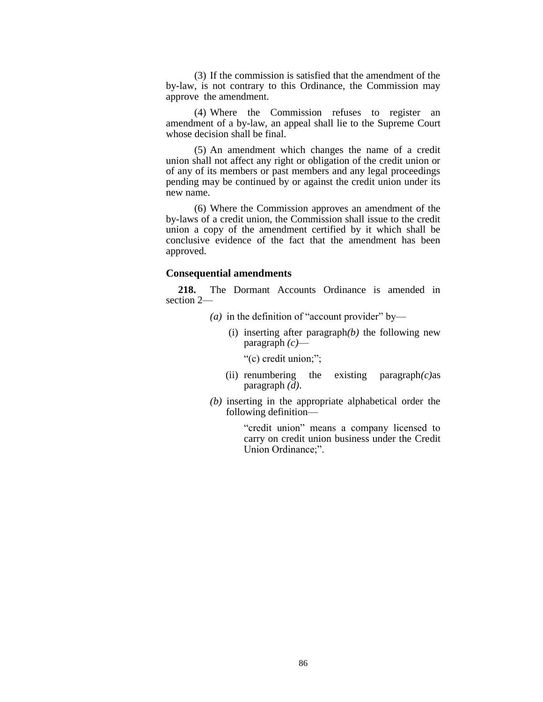(3) If the commission is satisfied that the amendment of the by-law, is not contrary to this Ordinance, the Commission may approve the amendment.

(4) Where the Commission refuses to register an amendment of a by-law, an appeal shall lie to the Supreme Court whose decision shall be final.

(5) An amendment which changes the name of a credit union shall not affect any right or obligation of the credit union or of any of its members or past members and any legal proceedings pending may be continued by or against the credit union under its new name.

(6) Where the Commission approves an amendment of the by-laws of a credit union, the Commission shall issue to the credit union a copy of the amendment certified by it which shall be conclusive evidence of the fact that the amendment has been approved.

## **Consequential amendments**

**218.** The Dormant Accounts Ordinance is amended in section 2—

- $(a)$  in the definition of "account provider" by—
	- (i) inserting after paragraph*(b)* the following new paragraph *(c)*—
		- "(c) credit union;";
	- (ii) renumbering the existing paragraph*(c)*as paragraph *(d)*.
- *(b)* inserting in the appropriate alphabetical order the following definition—

"credit union" means a company licensed to carry on credit union business under the Credit Union Ordinance;".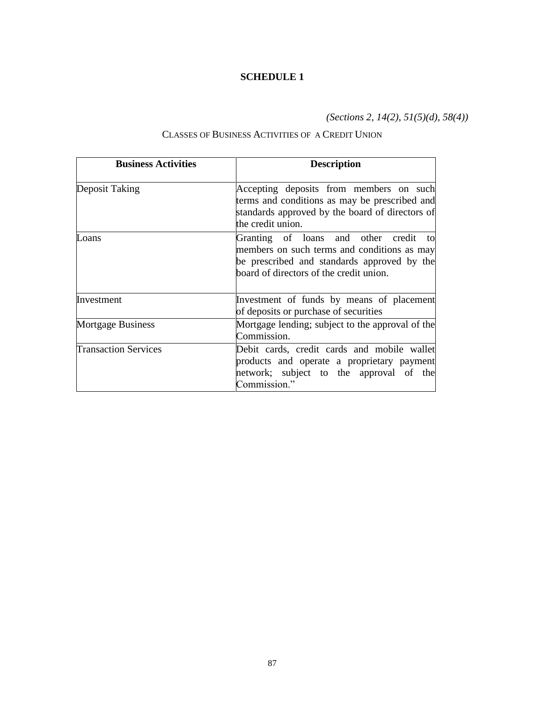*(Sections 2, 14(2), 51(5)(d), 58(4))*

# CLASSES OF BUSINESS ACTIVITIES OF A CREDIT UNION

| <b>Business Activities</b>  | <b>Description</b>                                                                                                                                                                |
|-----------------------------|-----------------------------------------------------------------------------------------------------------------------------------------------------------------------------------|
| Deposit Taking              | Accepting deposits from members on such<br>terms and conditions as may be prescribed and<br>standards approved by the board of directors of<br>the credit union.                  |
| Loans                       | Granting of loans and other credit<br>to<br>members on such terms and conditions as may<br>be prescribed and standards approved by the<br>board of directors of the credit union. |
| Investment                  | Investment of funds by means of placement<br>of deposits or purchase of securities                                                                                                |
| <b>Mortgage Business</b>    | Mortgage lending; subject to the approval of the<br>Commission.                                                                                                                   |
| <b>Transaction Services</b> | Debit cards, credit cards and mobile wallet<br>products and operate a proprietary payment<br>network; subject to the approval of the<br>Commission."                              |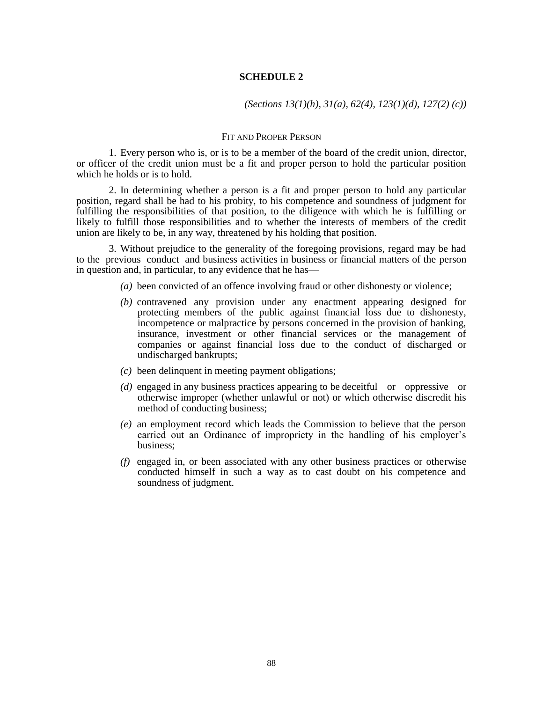*(Sections 13(1)(h), 31(a), 62(4), 123(1)(d), 127(2) (c))*

### FIT AND PROPER PERSON

1. Every person who is, or is to be a member of the board of the credit union, director, or officer of the credit union must be a fit and proper person to hold the particular position which he holds or is to hold.

2. In determining whether a person is a fit and proper person to hold any particular position, regard shall be had to his probity, to his competence and soundness of judgment for fulfilling the responsibilities of that position, to the diligence with which he is fulfilling or likely to fulfill those responsibilities and to whether the interests of members of the credit union are likely to be, in any way, threatened by his holding that position.

3. Without prejudice to the generality of the foregoing provisions, regard may be had to the previous conduct and business activities in business or financial matters of the person in question and, in particular, to any evidence that he has—

- *(a)* been convicted of an offence involving fraud or other dishonesty or violence;
- *(b)* contravened any provision under any enactment appearing designed for protecting members of the public against financial loss due to dishonesty, incompetence or malpractice by persons concerned in the provision of banking, insurance, investment or other financial services or the management of companies or against financial loss due to the conduct of discharged or undischarged bankrupts;
- *(c)* been delinquent in meeting payment obligations;
- *(d)* engaged in any business practices appearing to be deceitful or oppressive or otherwise improper (whether unlawful or not) or which otherwise discredit his method of conducting business;
- *(e)* an employment record which leads the Commission to believe that the person carried out an Ordinance of impropriety in the handling of his employer's business;
- *(f)* engaged in, or been associated with any other business practices or otherwise conducted himself in such a way as to cast doubt on his competence and soundness of judgment.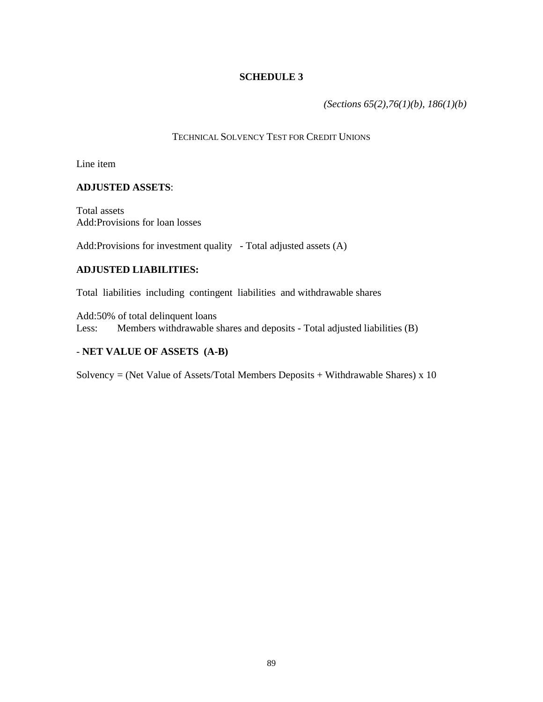*(Sections 65(2),76(1)(b), 186(1)(b)*

# TECHNICAL SOLVENCY TEST FOR CREDIT UNIONS

Line item

# **ADJUSTED ASSETS**:

Total assets Add:Provisions for loan losses

Add:Provisions for investment quality - Total adjusted assets (A)

# **ADJUSTED LIABILITIES:**

Total liabilities including contingent liabilities and withdrawable shares

Add:50% of total delinquent loans Less: Members withdrawable shares and deposits - Total adjusted liabilities (B)

# - **NET VALUE OF ASSETS (A-B)**

Solvency = (Net Value of Assets/Total Members Deposits + Withdrawable Shares)  $x$  10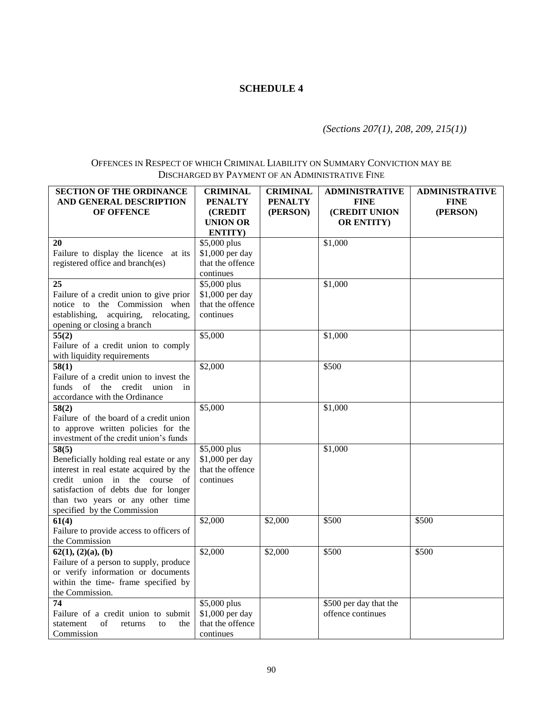# *(Sections 207(1), 208, 209, 215(1))*

# OFFENCES IN RESPECT OF WHICH CRIMINAL LIABILITY ON SUMMARY CONVICTION MAY BE DISCHARGED BY PAYMENT OF AN ADMINISTRATIVE FINE

| <b>SECTION OF THE ORDINANCE</b><br>AND GENERAL DESCRIPTION<br>OF OFFENCE  | <b>CRIMINAL</b><br><b>PENALTY</b><br>(CREDIT | <b>CRIMINAL</b><br><b>PENALTY</b><br>(PERSON) | <b>ADMINISTRATIVE</b><br><b>FINE</b><br>(CREDIT UNION | ADMINISTRATIVE<br><b>FINE</b><br>(PERSON) |
|---------------------------------------------------------------------------|----------------------------------------------|-----------------------------------------------|-------------------------------------------------------|-------------------------------------------|
|                                                                           | <b>UNION OR</b><br>ENTITY)                   |                                               | <b>OR ENTITY)</b>                                     |                                           |
| 20                                                                        | \$5,000 plus                                 |                                               | \$1,000                                               |                                           |
| Failure to display the licence at its                                     | \$1,000 per day                              |                                               |                                                       |                                           |
| registered office and branch(es)                                          | that the offence                             |                                               |                                                       |                                           |
|                                                                           | continues                                    |                                               |                                                       |                                           |
| 25                                                                        | \$5,000 plus                                 |                                               | \$1,000                                               |                                           |
| Failure of a credit union to give prior                                   | \$1,000 per day                              |                                               |                                                       |                                           |
| notice to the Commission when                                             | that the offence                             |                                               |                                                       |                                           |
| establishing,<br>acquiring, relocating,<br>opening or closing a branch    | continues                                    |                                               |                                                       |                                           |
| 55(2)                                                                     | \$5,000                                      |                                               | \$1,000                                               |                                           |
| Failure of a credit union to comply                                       |                                              |                                               |                                                       |                                           |
| with liquidity requirements                                               |                                              |                                               |                                                       |                                           |
| 58(1)                                                                     | \$2,000                                      |                                               | \$500                                                 |                                           |
| Failure of a credit union to invest the                                   |                                              |                                               |                                                       |                                           |
| $\sigma$ f<br>credit<br>funds<br>the<br>union<br>in                       |                                              |                                               |                                                       |                                           |
| accordance with the Ordinance                                             |                                              |                                               |                                                       |                                           |
| 58(2)                                                                     | \$5,000                                      |                                               | \$1,000                                               |                                           |
| Failure of the board of a credit union                                    |                                              |                                               |                                                       |                                           |
| to approve written policies for the                                       |                                              |                                               |                                                       |                                           |
| investment of the credit union's funds                                    |                                              |                                               |                                                       |                                           |
| 58(5)                                                                     | \$5,000 plus                                 |                                               | \$1,000                                               |                                           |
| Beneficially holding real estate or any                                   | \$1,000 per day                              |                                               |                                                       |                                           |
| interest in real estate acquired by the                                   | that the offence                             |                                               |                                                       |                                           |
| credit union in the course of                                             | continues                                    |                                               |                                                       |                                           |
| satisfaction of debts due for longer                                      |                                              |                                               |                                                       |                                           |
| than two years or any other time                                          |                                              |                                               |                                                       |                                           |
| specified by the Commission                                               |                                              |                                               |                                                       |                                           |
| 61(4)                                                                     | \$2,000                                      | \$2,000                                       | \$500                                                 | \$500                                     |
| Failure to provide access to officers of                                  |                                              |                                               |                                                       |                                           |
| the Commission                                                            |                                              |                                               |                                                       |                                           |
| 62(1), (2)(a), (b)                                                        | \$2,000                                      | \$2,000                                       | \$500                                                 | \$500                                     |
| Failure of a person to supply, produce                                    |                                              |                                               |                                                       |                                           |
| or verify information or documents<br>within the time- frame specified by |                                              |                                               |                                                       |                                           |
| the Commission.                                                           |                                              |                                               |                                                       |                                           |
| 74                                                                        | \$5,000 plus                                 |                                               | \$500 per day that the                                |                                           |
| Failure of a credit union to submit                                       | \$1,000 per day                              |                                               | offence continues                                     |                                           |
| statement<br>of<br>the<br>returns<br>to                                   | that the offence                             |                                               |                                                       |                                           |
|                                                                           |                                              |                                               |                                                       |                                           |
| Commission                                                                | continues                                    |                                               |                                                       |                                           |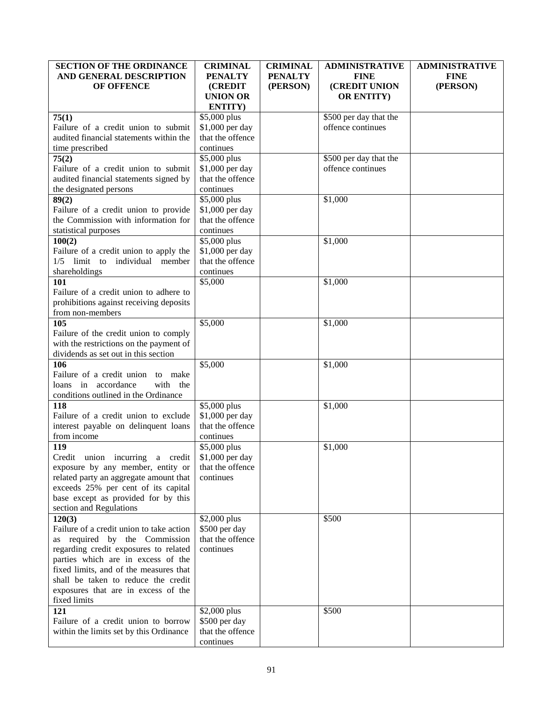| <b>SECTION OF THE ORDINANCE</b>          | <b>CRIMINAL</b>  | <b>CRIMINAL</b> | <b>ADMINISTRATIVE</b>  | <b>ADMINISTRATIVE</b> |
|------------------------------------------|------------------|-----------------|------------------------|-----------------------|
| AND GENERAL DESCRIPTION                  | <b>PENALTY</b>   | <b>PENALTY</b>  | <b>FINE</b>            | <b>FINE</b>           |
| OF OFFENCE                               | <b>(CREDIT)</b>  | (PERSON)        | (CREDIT UNION          | (PERSON)              |
|                                          | <b>UNION OR</b>  |                 | <b>OR ENTITY)</b>      |                       |
|                                          | <b>ENTITY</b> )  |                 |                        |                       |
| 75(1)                                    | \$5,000 plus     |                 | \$500 per day that the |                       |
| Failure of a credit union to submit      | \$1,000 per day  |                 | offence continues      |                       |
| audited financial statements within the  | that the offence |                 |                        |                       |
| time prescribed                          | continues        |                 |                        |                       |
| 75(2)                                    | \$5,000 plus     |                 | \$500 per day that the |                       |
| Failure of a credit union to submit      | \$1,000 per day  |                 | offence continues      |                       |
| audited financial statements signed by   | that the offence |                 |                        |                       |
|                                          | continues        |                 |                        |                       |
| the designated persons                   |                  |                 |                        |                       |
| 89(2)                                    | \$5,000 plus     |                 | \$1,000                |                       |
| Failure of a credit union to provide     | \$1,000 per day  |                 |                        |                       |
| the Commission with information for      | that the offence |                 |                        |                       |
| statistical purposes                     | continues        |                 |                        |                       |
| 100(2)                                   | \$5,000 plus     |                 | \$1,000                |                       |
| Failure of a credit union to apply the   | \$1,000 per day  |                 |                        |                       |
| 1/5 limit to individual member           | that the offence |                 |                        |                       |
| shareholdings                            | continues        |                 |                        |                       |
| 101                                      | \$5,000          |                 | \$1,000                |                       |
| Failure of a credit union to adhere to   |                  |                 |                        |                       |
| prohibitions against receiving deposits  |                  |                 |                        |                       |
| from non-members                         |                  |                 |                        |                       |
| 105                                      | \$5,000          |                 | \$1,000                |                       |
| Failure of the credit union to comply    |                  |                 |                        |                       |
| with the restrictions on the payment of  |                  |                 |                        |                       |
| dividends as set out in this section     |                  |                 |                        |                       |
| 106                                      | \$5,000          |                 | \$1,000                |                       |
| Failure of a credit union to make        |                  |                 |                        |                       |
| loans in accordance<br>with the          |                  |                 |                        |                       |
| conditions outlined in the Ordinance     |                  |                 |                        |                       |
| 118                                      | \$5,000 plus     |                 | \$1,000                |                       |
| Failure of a credit union to exclude     | \$1,000 per day  |                 |                        |                       |
| interest payable on delinquent loans     | that the offence |                 |                        |                       |
| from income                              | continues        |                 |                        |                       |
|                                          |                  |                 |                        |                       |
| 119                                      | \$5,000 plus     |                 | \$1,000                |                       |
| Credit union incurring a credit          | \$1,000 per day  |                 |                        |                       |
| exposure by any member, entity or        | that the offence |                 |                        |                       |
| related party an aggregate amount that   | continues        |                 |                        |                       |
| exceeds 25% per cent of its capital      |                  |                 |                        |                       |
| base except as provided for by this      |                  |                 |                        |                       |
| section and Regulations                  |                  |                 |                        |                       |
| 120(3)                                   | \$2,000 plus     |                 | \$500                  |                       |
| Failure of a credit union to take action | \$500 per day    |                 |                        |                       |
| as required by the Commission            | that the offence |                 |                        |                       |
| regarding credit exposures to related    | continues        |                 |                        |                       |
| parties which are in excess of the       |                  |                 |                        |                       |
| fixed limits, and of the measures that   |                  |                 |                        |                       |
| shall be taken to reduce the credit      |                  |                 |                        |                       |
| exposures that are in excess of the      |                  |                 |                        |                       |
| fixed limits                             |                  |                 |                        |                       |
| 121                                      | \$2,000 plus     |                 | \$500                  |                       |
| Failure of a credit union to borrow      | \$500 per day    |                 |                        |                       |
| within the limits set by this Ordinance  | that the offence |                 |                        |                       |
|                                          | continues        |                 |                        |                       |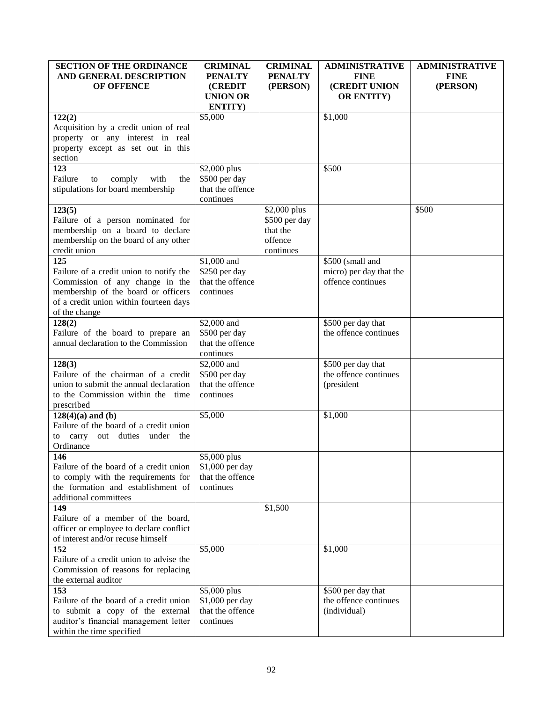| <b>SECTION OF THE ORDINANCE</b>                                           | <b>CRIMINAL</b>               | <b>CRIMINAL</b> | <b>ADMINISTRATIVE</b>   | <b>ADMINISTRATIVE</b> |
|---------------------------------------------------------------------------|-------------------------------|-----------------|-------------------------|-----------------------|
| AND GENERAL DESCRIPTION                                                   | <b>PENALTY</b>                | <b>PENALTY</b>  | <b>FINE</b>             | <b>FINE</b>           |
| OF OFFENCE                                                                | <b>(CREDIT)</b>               | (PERSON)        | (CREDIT UNION           | (PERSON)              |
|                                                                           | <b>UNION OR</b>               |                 | <b>OR ENTITY)</b>       |                       |
|                                                                           | ENTITY)                       |                 |                         |                       |
| 122(2)                                                                    | \$5,000                       |                 | \$1,000                 |                       |
| Acquisition by a credit union of real                                     |                               |                 |                         |                       |
| property or any interest in real                                          |                               |                 |                         |                       |
| property except as set out in this                                        |                               |                 |                         |                       |
| section<br>123                                                            |                               |                 | \$500                   |                       |
| Failure<br>comply<br>with<br>the<br>to                                    | \$2,000 plus<br>\$500 per day |                 |                         |                       |
| stipulations for board membership                                         | that the offence              |                 |                         |                       |
|                                                                           | continues                     |                 |                         |                       |
| 123(5)                                                                    |                               | \$2,000 plus    |                         | \$500                 |
| Failure of a person nominated for                                         |                               | \$500 per day   |                         |                       |
| membership on a board to declare                                          |                               | that the        |                         |                       |
| membership on the board of any other                                      |                               | offence         |                         |                       |
| credit union                                                              |                               | continues       |                         |                       |
| 125                                                                       | \$1,000 and                   |                 | \$500 (small and        |                       |
| Failure of a credit union to notify the                                   | \$250 per day                 |                 | micro) per day that the |                       |
| Commission of any change in the                                           | that the offence              |                 | offence continues       |                       |
| membership of the board or officers                                       | continues                     |                 |                         |                       |
| of a credit union within fourteen days                                    |                               |                 |                         |                       |
| of the change                                                             |                               |                 |                         |                       |
| 128(2)                                                                    | \$2,000 and                   |                 | \$500 per day that      |                       |
| Failure of the board to prepare an                                        | \$500 per day                 |                 | the offence continues   |                       |
| annual declaration to the Commission                                      | that the offence              |                 |                         |                       |
|                                                                           | continues                     |                 |                         |                       |
| 128(3)                                                                    | \$2,000 and                   |                 | \$500 per day that      |                       |
| Failure of the chairman of a credit                                       | \$500 per day                 |                 | the offence continues   |                       |
| union to submit the annual declaration                                    | that the offence              |                 | (president              |                       |
| to the Commission within the time                                         | continues                     |                 |                         |                       |
| prescribed                                                                |                               |                 |                         |                       |
| $128(4)(a)$ and (b)<br>Failure of the board of a credit union             | \$5,000                       |                 | \$1,000                 |                       |
| to carry out duties<br>under<br>the                                       |                               |                 |                         |                       |
| Ordinance                                                                 |                               |                 |                         |                       |
| 146                                                                       | \$5,000 plus                  |                 |                         |                       |
| Failure of the board of a credit union                                    | \$1,000 per day               |                 |                         |                       |
| to comply with the requirements for                                       | that the offence              |                 |                         |                       |
| the formation and establishment of                                        | continues                     |                 |                         |                       |
| additional committees                                                     |                               |                 |                         |                       |
| 149                                                                       |                               | \$1,500         |                         |                       |
| Failure of a member of the board,                                         |                               |                 |                         |                       |
| officer or employee to declare conflict                                   |                               |                 |                         |                       |
| of interest and/or recuse himself                                         |                               |                 |                         |                       |
| 152                                                                       | \$5,000                       |                 | \$1,000                 |                       |
| Failure of a credit union to advise the                                   |                               |                 |                         |                       |
| Commission of reasons for replacing                                       |                               |                 |                         |                       |
| the external auditor                                                      |                               |                 |                         |                       |
| 153                                                                       | \$5,000 plus                  |                 | \$500 per day that      |                       |
| Failure of the board of a credit union                                    | \$1,000 per day               |                 | the offence continues   |                       |
| to submit a copy of the external<br>auditor's financial management letter | that the offence<br>continues |                 | (individual)            |                       |
| within the time specified                                                 |                               |                 |                         |                       |
|                                                                           |                               |                 |                         |                       |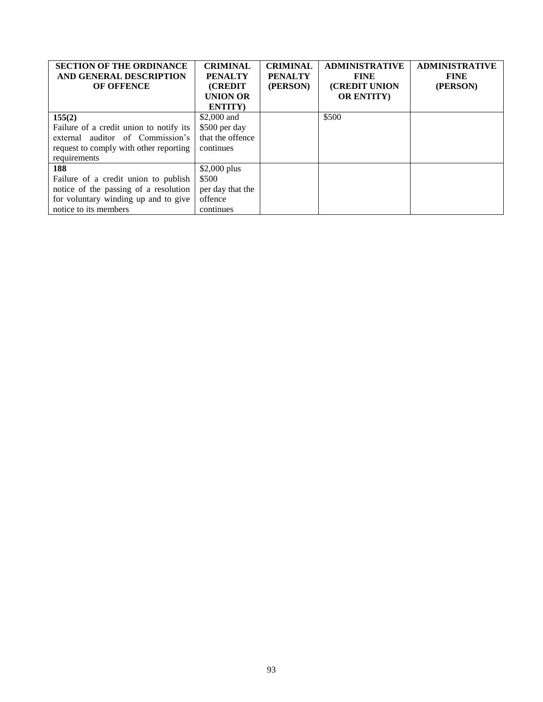| <b>SECTION OF THE ORDINANCE</b><br>AND GENERAL DESCRIPTION<br><b>OF OFFENCE</b> | <b>CRIMINAL</b><br><b>PENALTY</b><br><b>CREDIT</b> | <b>CRIMINAL</b><br><b>PENALTY</b><br>(PERSON) | <b>ADMINISTRATIVE</b><br><b>FINE</b><br>(CREDIT UNION | <b>ADMINISTRATIVE</b><br><b>FINE</b><br>(PERSON) |
|---------------------------------------------------------------------------------|----------------------------------------------------|-----------------------------------------------|-------------------------------------------------------|--------------------------------------------------|
|                                                                                 | <b>UNION OR</b>                                    |                                               | <b>OR ENTITY</b>                                      |                                                  |
|                                                                                 | ENTITY)                                            |                                               |                                                       |                                                  |
| 155(2)                                                                          | \$2,000 and                                        |                                               | \$500                                                 |                                                  |
| Failure of a credit union to notify its                                         | \$500 per day                                      |                                               |                                                       |                                                  |
| auditor of Commission's<br>external                                             | that the offence                                   |                                               |                                                       |                                                  |
| request to comply with other reporting                                          | continues                                          |                                               |                                                       |                                                  |
| requirements                                                                    |                                                    |                                               |                                                       |                                                  |
| 188                                                                             | $$2,000$ plus                                      |                                               |                                                       |                                                  |
| Failure of a credit union to publish                                            | \$500                                              |                                               |                                                       |                                                  |
| notice of the passing of a resolution                                           | per day that the                                   |                                               |                                                       |                                                  |
| for voluntary winding up and to give                                            | offence                                            |                                               |                                                       |                                                  |
| notice to its members                                                           | continues                                          |                                               |                                                       |                                                  |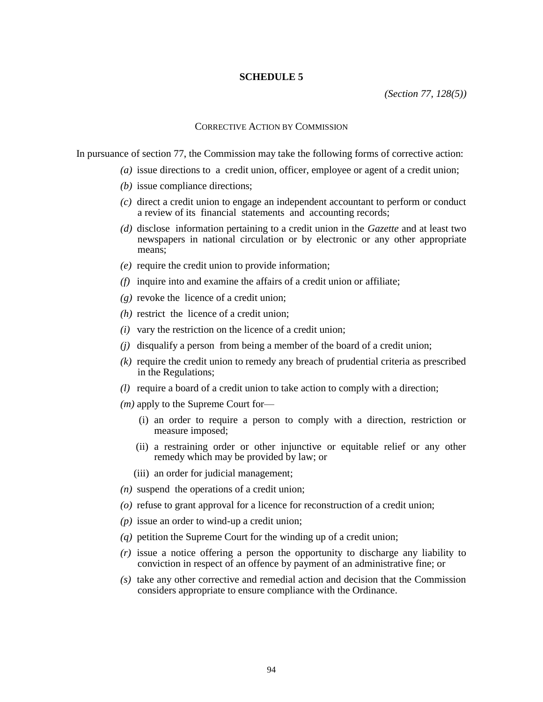*(Section 77, 128(5))*

#### CORRECTIVE ACTION BY COMMISSION

In pursuance of section 77, the Commission may take the following forms of corrective action:

- *(a)* issue directions to a credit union, officer, employee or agent of a credit union;
- *(b)* issue compliance directions;
- *(c)* direct a credit union to engage an independent accountant to perform or conduct a review of its financial statements and accounting records;
- *(d)* disclose information pertaining to a credit union in the *Gazette* and at least two newspapers in national circulation or by electronic or any other appropriate means;
- *(e)* require the credit union to provide information;
- *(f)* inquire into and examine the affairs of a credit union or affiliate;
- *(g)* revoke the licence of a credit union;
- *(h)* restrict the licence of a credit union;
- *(i)* vary the restriction on the licence of a credit union;
- *(j)* disqualify a person from being a member of the board of a credit union;
- *(k)* require the credit union to remedy any breach of prudential criteria as prescribed in the Regulations;
- *(l)* require a board of a credit union to take action to comply with a direction;
- *(m)* apply to the Supreme Court for—
	- (i) an order to require a person to comply with a direction, restriction or measure imposed;
	- (ii) a restraining order or other injunctive or equitable relief or any other remedy which may be provided by law; or
	- (iii) an order for judicial management;
- *(n)* suspend the operations of a credit union;
- *(o)* refuse to grant approval for a licence for reconstruction of a credit union;
- *(p)* issue an order to wind-up a credit union;
- *(q)* petition the Supreme Court for the winding up of a credit union;
- *(r)* issue a notice offering a person the opportunity to discharge any liability to conviction in respect of an offence by payment of an administrative fine; or
- *(s)* take any other corrective and remedial action and decision that the Commission considers appropriate to ensure compliance with the Ordinance.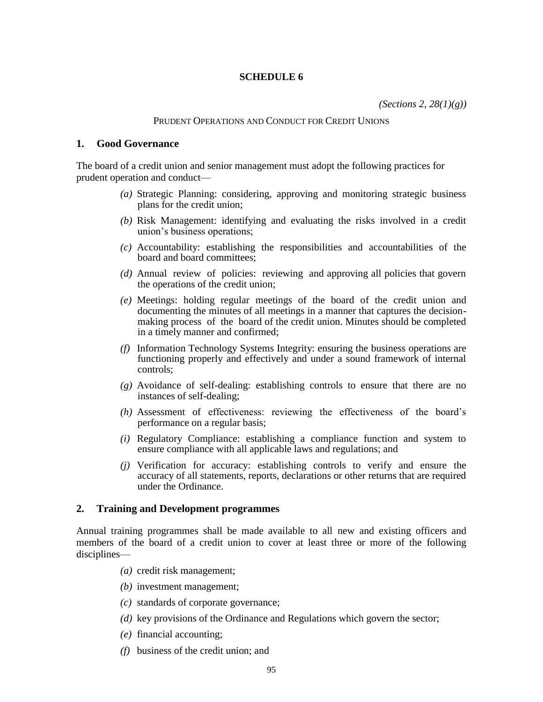*(Sections 2, 28(1)(g))*

### PRUDENT OPERATIONS AND CONDUCT FOR CREDIT UNIONS

## **1. Good Governance**

The board of a credit union and senior management must adopt the following practices for prudent operation and conduct—

- *(a)* Strategic Planning: considering, approving and monitoring strategic business plans for the credit union;
- *(b)* Risk Management: identifying and evaluating the risks involved in a credit union's business operations;
- *(c)* Accountability: establishing the responsibilities and accountabilities of the board and board committees;
- *(d)* Annual review of policies: reviewing and approving all policies that govern the operations of the credit union;
- *(e)* Meetings: holding regular meetings of the board of the credit union and documenting the minutes of all meetings in a manner that captures the decisionmaking process of the board of the credit union. Minutes should be completed in a timely manner and confirmed;
- *(f)* Information Technology Systems Integrity: ensuring the business operations are functioning properly and effectively and under a sound framework of internal controls;
- *(g)* Avoidance of self-dealing: establishing controls to ensure that there are no instances of self-dealing;
- *(h)* Assessment of effectiveness: reviewing the effectiveness of the board's performance on a regular basis;
- *(i)* Regulatory Compliance: establishing a compliance function and system to ensure compliance with all applicable laws and regulations; and
- *(j)* Verification for accuracy: establishing controls to verify and ensure the accuracy of all statements, reports, declarations or other returns that are required under the Ordinance.

## **2. Training and Development programmes**

Annual training programmes shall be made available to all new and existing officers and members of the board of a credit union to cover at least three or more of the following disciplines—

- *(a)* credit risk management;
- *(b)* investment management;
- *(c)* standards of corporate governance;
- *(d)* key provisions of the Ordinance and Regulations which govern the sector;
- *(e)* financial accounting;
- *(f)* business of the credit union; and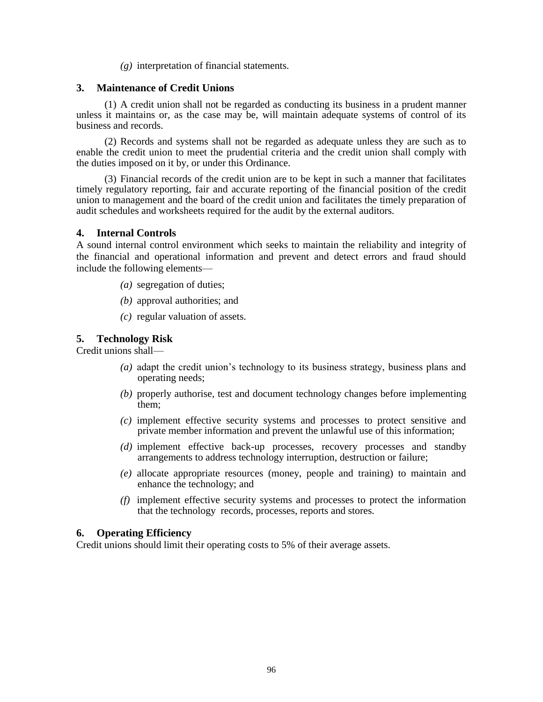*(g)* interpretation of financial statements.

## **3. Maintenance of Credit Unions**

(1) A credit union shall not be regarded as conducting its business in a prudent manner unless it maintains or, as the case may be, will maintain adequate systems of control of its business and records.

(2) Records and systems shall not be regarded as adequate unless they are such as to enable the credit union to meet the prudential criteria and the credit union shall comply with the duties imposed on it by, or under this Ordinance.

(3) Financial records of the credit union are to be kept in such a manner that facilitates timely regulatory reporting, fair and accurate reporting of the financial position of the credit union to management and the board of the credit union and facilitates the timely preparation of audit schedules and worksheets required for the audit by the external auditors.

## **4. Internal Controls**

A sound internal control environment which seeks to maintain the reliability and integrity of the financial and operational information and prevent and detect errors and fraud should include the following elements—

- *(a)* segregation of duties;
- *(b)* approval authorities; and
- *(c)* regular valuation of assets.

# **5. Technology Risk**

Credit unions shall—

- *(a)* adapt the credit union's technology to its business strategy, business plans and operating needs;
- *(b)* properly authorise, test and document technology changes before implementing them;
- *(c)* implement effective security systems and processes to protect sensitive and private member information and prevent the unlawful use of this information;
- *(d)* implement effective back-up processes, recovery processes and standby arrangements to address technology interruption, destruction or failure;
- *(e)* allocate appropriate resources (money, people and training) to maintain and enhance the technology; and
- *(f)* implement effective security systems and processes to protect the information that the technology records, processes, reports and stores.

# **6. Operating Efficiency**

Credit unions should limit their operating costs to 5% of their average assets.